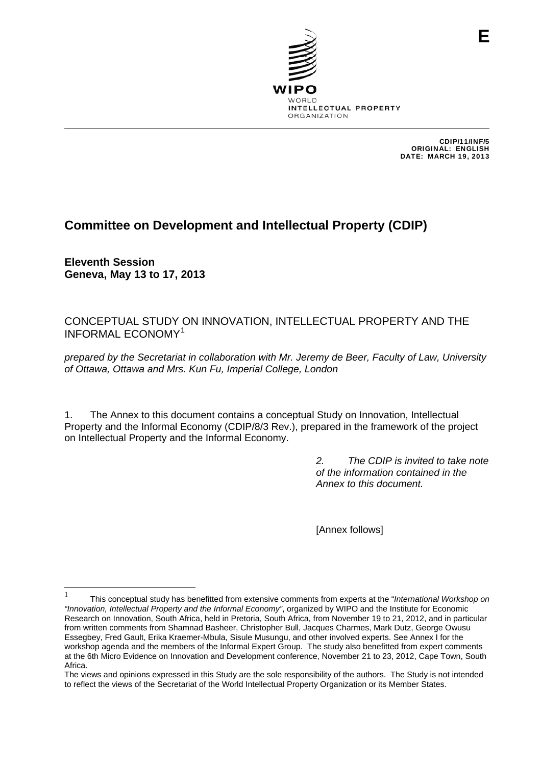

CDIP/11/INF/5 ORIGINAL: ENGLISH DATE: MARCH 19, 2013

# **Committee on Development and Intellectual Property (CDIP)**

**Eleventh Session Geneva, May 13 to 17, 2013** 

CONCEPTUAL STUDY ON INNOVATION, INTELLECTUAL PROPERTY AND THE INFORMAL ECONOMY[1](#page-0-0)

*prepared by the Secretariat in collaboration with Mr. Jeremy de Beer, Faculty of Law, University of Ottawa, Ottawa and Mrs. Kun Fu, Imperial College, London* 

1. The Annex to this document contains a conceptual Study on Innovation, Intellectual Property and the Informal Economy (CDIP/8/3 Rev.), prepared in the framework of the project on Intellectual Property and the Informal Economy.

> *2. The CDIP is invited to take note of the information contained in the Annex to this document.*

[Annex follows]

<span id="page-0-0"></span><sup>|&</sup>lt;br>|<br>| This conceptual study has benefitted from extensive comments from experts at the "*International Workshop on "Innovation, Intellectual Property and the Informal Economy"*, organized by WIPO and the Institute for Economic Research on Innovation, South Africa, held in Pretoria, South Africa, from November 19 to 21, 2012, and in particular from written comments from Shamnad Basheer, Christopher Bull, Jacques Charmes, Mark Dutz, George Owusu Essegbey, Fred Gault, Erika Kraemer-Mbula, Sisule Musungu, and other involved experts. See Annex I for the workshop agenda and the members of the Informal Expert Group. The study also benefitted from expert comments at the 6th Micro Evidence on Innovation and Development conference, November 21 to 23, 2012, Cape Town, South **Africa** 

The views and opinions expressed in this Study are the sole responsibility of the authors. The Study is not intended to reflect the views of the Secretariat of the World Intellectual Property Organization or its Member States.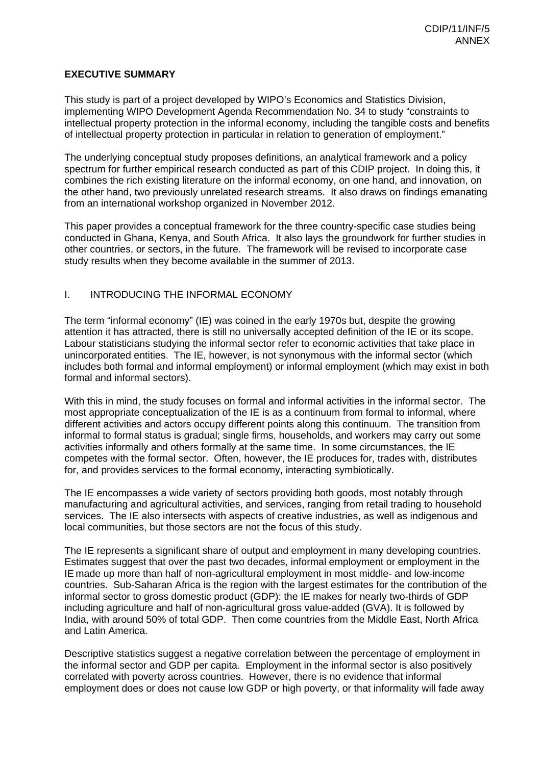# **EXECUTIVE SUMMARY**

This study is part of a project developed by WIPO's Economics and Statistics Division, implementing WIPO Development Agenda Recommendation No. 34 to study "constraints to intellectual property protection in the informal economy, including the tangible costs and benefits of intellectual property protection in particular in relation to generation of employment."

The underlying conceptual study proposes definitions, an analytical framework and a policy spectrum for further empirical research conducted as part of this CDIP project. In doing this, it combines the rich existing literature on the informal economy, on one hand, and innovation, on the other hand, two previously unrelated research streams. It also draws on findings emanating from an international workshop organized in November 2012.

This paper provides a conceptual framework for the three country-specific case studies being conducted in Ghana, Kenya, and South Africa. It also lays the groundwork for further studies in other countries, or sectors, in the future. The framework will be revised to incorporate case study results when they become available in the summer of 2013.

# I. INTRODUCING THE INFORMAL ECONOMY

The term "informal economy" (IE) was coined in the early 1970s but, despite the growing attention it has attracted, there is still no universally accepted definition of the IE or its scope. Labour statisticians studying the informal sector refer to economic activities that take place in unincorporated entities. The IE, however, is not synonymous with the informal sector (which includes both formal and informal employment) or informal employment (which may exist in both formal and informal sectors).

With this in mind, the study focuses on formal and informal activities in the informal sector. The most appropriate conceptualization of the IE is as a continuum from formal to informal, where different activities and actors occupy different points along this continuum. The transition from informal to formal status is gradual; single firms, households, and workers may carry out some activities informally and others formally at the same time. In some circumstances, the IE competes with the formal sector. Often, however, the IE produces for, trades with, distributes for, and provides services to the formal economy, interacting symbiotically.

The IE encompasses a wide variety of sectors providing both goods, most notably through manufacturing and agricultural activities, and services, ranging from retail trading to household services. The IE also intersects with aspects of creative industries, as well as indigenous and local communities, but those sectors are not the focus of this study.

The IE represents a significant share of output and employment in many developing countries. Estimates suggest that over the past two decades, informal employment or employment in the IE made up more than half of non-agricultural employment in most middle- and low-income countries. Sub-Saharan Africa is the region with the largest estimates for the contribution of the informal sector to gross domestic product (GDP): the IE makes for nearly two-thirds of GDP including agriculture and half of non-agricultural gross value-added (GVA). It is followed by India, with around 50% of total GDP. Then come countries from the Middle East, North Africa and Latin America.

Descriptive statistics suggest a negative correlation between the percentage of employment in the informal sector and GDP per capita. Employment in the informal sector is also positively correlated with poverty across countries. However, there is no evidence that informal employment does or does not cause low GDP or high poverty, or that informality will fade away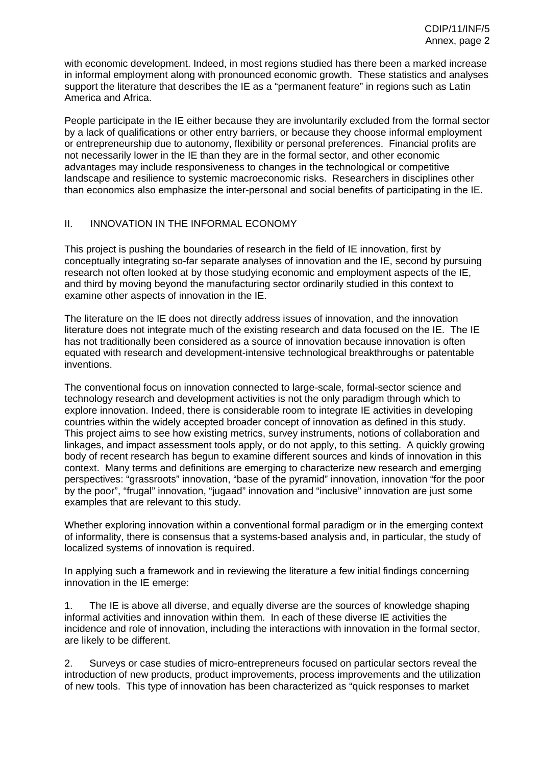with economic development. Indeed, in most regions studied has there been a marked increase in informal employment along with pronounced economic growth. These statistics and analyses support the literature that describes the IE as a "permanent feature" in regions such as Latin America and Africa.

People participate in the IE either because they are involuntarily excluded from the formal sector by a lack of qualifications or other entry barriers, or because they choose informal employment or entrepreneurship due to autonomy, flexibility or personal preferences. Financial profits are not necessarily lower in the IE than they are in the formal sector, and other economic advantages may include responsiveness to changes in the technological or competitive landscape and resilience to systemic macroeconomic risks. Researchers in disciplines other than economics also emphasize the inter-personal and social benefits of participating in the IE.

# II. INNOVATION IN THE INFORMAL ECONOMY

This project is pushing the boundaries of research in the field of IE innovation, first by conceptually integrating so-far separate analyses of innovation and the IE, second by pursuing research not often looked at by those studying economic and employment aspects of the IE, and third by moving beyond the manufacturing sector ordinarily studied in this context to examine other aspects of innovation in the IE.

The literature on the IE does not directly address issues of innovation, and the innovation literature does not integrate much of the existing research and data focused on the IE. The IE has not traditionally been considered as a source of innovation because innovation is often equated with research and development-intensive technological breakthroughs or patentable inventions.

The conventional focus on innovation connected to large-scale, formal-sector science and technology research and development activities is not the only paradigm through which to explore innovation. Indeed, there is considerable room to integrate IE activities in developing countries within the widely accepted broader concept of innovation as defined in this study. This project aims to see how existing metrics, survey instruments, notions of collaboration and linkages, and impact assessment tools apply, or do not apply, to this setting. A quickly growing body of recent research has begun to examine different sources and kinds of innovation in this context. Many terms and definitions are emerging to characterize new research and emerging perspectives: "grassroots" innovation, "base of the pyramid" innovation, innovation "for the poor by the poor", "frugal" innovation, "jugaad" innovation and "inclusive" innovation are just some examples that are relevant to this study.

Whether exploring innovation within a conventional formal paradigm or in the emerging context of informality, there is consensus that a systems-based analysis and, in particular, the study of localized systems of innovation is required.

In applying such a framework and in reviewing the literature a few initial findings concerning innovation in the IE emerge:

1. The IE is above all diverse, and equally diverse are the sources of knowledge shaping informal activities and innovation within them. In each of these diverse IE activities the incidence and role of innovation, including the interactions with innovation in the formal sector, are likely to be different.

2. Surveys or case studies of micro-entrepreneurs focused on particular sectors reveal the introduction of new products, product improvements, process improvements and the utilization of new tools. This type of innovation has been characterized as "quick responses to market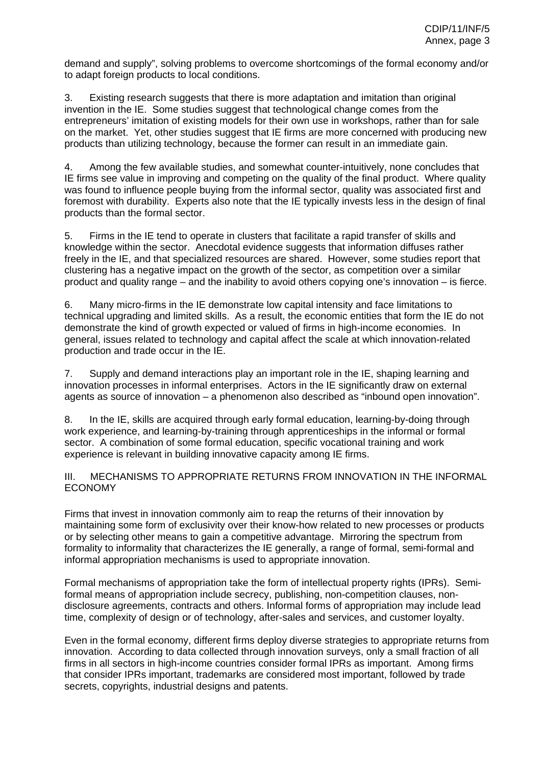demand and supply", solving problems to overcome shortcomings of the formal economy and/or to adapt foreign products to local conditions.

3. Existing research suggests that there is more adaptation and imitation than original invention in the IE. Some studies suggest that technological change comes from the entrepreneurs' imitation of existing models for their own use in workshops, rather than for sale on the market. Yet, other studies suggest that IE firms are more concerned with producing new products than utilizing technology, because the former can result in an immediate gain.

4. Among the few available studies, and somewhat counter-intuitively, none concludes that IE firms see value in improving and competing on the quality of the final product. Where quality was found to influence people buying from the informal sector, quality was associated first and foremost with durability. Experts also note that the IE typically invests less in the design of final products than the formal sector.

5. Firms in the IE tend to operate in clusters that facilitate a rapid transfer of skills and knowledge within the sector. Anecdotal evidence suggests that information diffuses rather freely in the IE, and that specialized resources are shared. However, some studies report that clustering has a negative impact on the growth of the sector, as competition over a similar product and quality range – and the inability to avoid others copying one's innovation – is fierce.

6. Many micro-firms in the IE demonstrate low capital intensity and face limitations to technical upgrading and limited skills. As a result, the economic entities that form the IE do not demonstrate the kind of growth expected or valued of firms in high-income economies. In general, issues related to technology and capital affect the scale at which innovation-related production and trade occur in the IE.

7. Supply and demand interactions play an important role in the IE, shaping learning and innovation processes in informal enterprises. Actors in the IE significantly draw on external agents as source of innovation – a phenomenon also described as "inbound open innovation".

8. In the IE, skills are acquired through early formal education, learning-by-doing through work experience, and learning-by-training through apprenticeships in the informal or formal sector. A combination of some formal education, specific vocational training and work experience is relevant in building innovative capacity among IE firms.

III. MECHANISMS TO APPROPRIATE RETURNS FROM INNOVATION IN THE INFORMAL ECONOMY

Firms that invest in innovation commonly aim to reap the returns of their innovation by maintaining some form of exclusivity over their know-how related to new processes or products or by selecting other means to gain a competitive advantage. Mirroring the spectrum from formality to informality that characterizes the IE generally, a range of formal, semi-formal and informal appropriation mechanisms is used to appropriate innovation.

Formal mechanisms of appropriation take the form of intellectual property rights (IPRs). Semiformal means of appropriation include secrecy, publishing, non-competition clauses, nondisclosure agreements, contracts and others. Informal forms of appropriation may include lead time, complexity of design or of technology, after-sales and services, and customer loyalty.

Even in the formal economy, different firms deploy diverse strategies to appropriate returns from innovation. According to data collected through innovation surveys, only a small fraction of all firms in all sectors in high-income countries consider formal IPRs as important. Among firms that consider IPRs important, trademarks are considered most important, followed by trade secrets, copyrights, industrial designs and patents.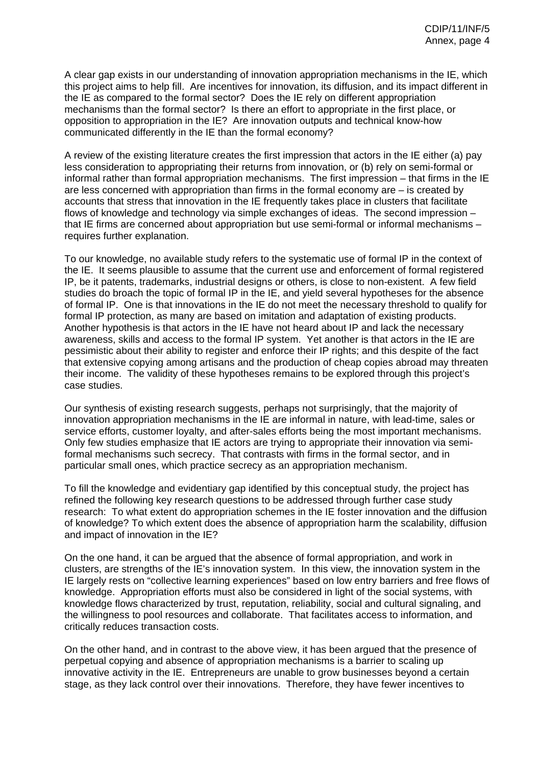A clear gap exists in our understanding of innovation appropriation mechanisms in the IE, which this project aims to help fill. Are incentives for innovation, its diffusion, and its impact different in the IE as compared to the formal sector? Does the IE rely on different appropriation mechanisms than the formal sector? Is there an effort to appropriate in the first place, or opposition to appropriation in the IE? Are innovation outputs and technical know-how communicated differently in the IE than the formal economy?

A review of the existing literature creates the first impression that actors in the IE either (a) pay less consideration to appropriating their returns from innovation, or (b) rely on semi-formal or informal rather than formal appropriation mechanisms. The first impression – that firms in the IE are less concerned with appropriation than firms in the formal economy are – is created by accounts that stress that innovation in the IE frequently takes place in clusters that facilitate flows of knowledge and technology via simple exchanges of ideas. The second impression – that IE firms are concerned about appropriation but use semi-formal or informal mechanisms – requires further explanation.

To our knowledge, no available study refers to the systematic use of formal IP in the context of the IE. It seems plausible to assume that the current use and enforcement of formal registered IP, be it patents, trademarks, industrial designs or others, is close to non-existent. A few field studies do broach the topic of formal IP in the IE, and yield several hypotheses for the absence of formal IP. One is that innovations in the IE do not meet the necessary threshold to qualify for formal IP protection, as many are based on imitation and adaptation of existing products. Another hypothesis is that actors in the IE have not heard about IP and lack the necessary awareness, skills and access to the formal IP system. Yet another is that actors in the IE are pessimistic about their ability to register and enforce their IP rights; and this despite of the fact that extensive copying among artisans and the production of cheap copies abroad may threaten their income. The validity of these hypotheses remains to be explored through this project's case studies.

Our synthesis of existing research suggests, perhaps not surprisingly, that the majority of innovation appropriation mechanisms in the IE are informal in nature, with lead-time, sales or service efforts, customer loyalty, and after-sales efforts being the most important mechanisms. Only few studies emphasize that IE actors are trying to appropriate their innovation via semiformal mechanisms such secrecy. That contrasts with firms in the formal sector, and in particular small ones, which practice secrecy as an appropriation mechanism.

To fill the knowledge and evidentiary gap identified by this conceptual study, the project has refined the following key research questions to be addressed through further case study research: To what extent do appropriation schemes in the IE foster innovation and the diffusion of knowledge? To which extent does the absence of appropriation harm the scalability, diffusion and impact of innovation in the IE?

On the one hand, it can be argued that the absence of formal appropriation, and work in clusters, are strengths of the IE's innovation system. In this view, the innovation system in the IE largely rests on "collective learning experiences" based on low entry barriers and free flows of knowledge. Appropriation efforts must also be considered in light of the social systems, with knowledge flows characterized by trust, reputation, reliability, social and cultural signaling, and the willingness to pool resources and collaborate. That facilitates access to information, and critically reduces transaction costs.

On the other hand, and in contrast to the above view, it has been argued that the presence of perpetual copying and absence of appropriation mechanisms is a barrier to scaling up innovative activity in the IE. Entrepreneurs are unable to grow businesses beyond a certain stage, as they lack control over their innovations. Therefore, they have fewer incentives to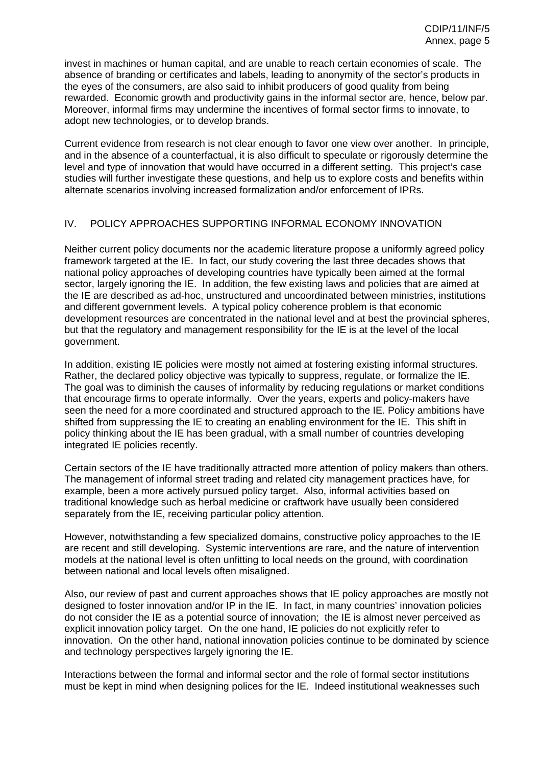invest in machines or human capital, and are unable to reach certain economies of scale. The absence of branding or certificates and labels, leading to anonymity of the sector's products in the eyes of the consumers, are also said to inhibit producers of good quality from being rewarded. Economic growth and productivity gains in the informal sector are, hence, below par. Moreover, informal firms may undermine the incentives of formal sector firms to innovate, to adopt new technologies, or to develop brands.

Current evidence from research is not clear enough to favor one view over another. In principle, and in the absence of a counterfactual, it is also difficult to speculate or rigorously determine the level and type of innovation that would have occurred in a different setting. This project's case studies will further investigate these questions, and help us to explore costs and benefits within alternate scenarios involving increased formalization and/or enforcement of IPRs.

# IV. POLICY APPROACHES SUPPORTING INFORMAL ECONOMY INNOVATION

Neither current policy documents nor the academic literature propose a uniformly agreed policy framework targeted at the IE. In fact, our study covering the last three decades shows that national policy approaches of developing countries have typically been aimed at the formal sector, largely ignoring the IE. In addition, the few existing laws and policies that are aimed at the IE are described as ad-hoc, unstructured and uncoordinated between ministries, institutions and different government levels. A typical policy coherence problem is that economic development resources are concentrated in the national level and at best the provincial spheres, but that the regulatory and management responsibility for the IE is at the level of the local government.

In addition, existing IE policies were mostly not aimed at fostering existing informal structures. Rather, the declared policy objective was typically to suppress, regulate, or formalize the IE. The goal was to diminish the causes of informality by reducing regulations or market conditions that encourage firms to operate informally. Over the years, experts and policy-makers have seen the need for a more coordinated and structured approach to the IE. Policy ambitions have shifted from suppressing the IE to creating an enabling environment for the IE. This shift in policy thinking about the IE has been gradual, with a small number of countries developing integrated IE policies recently.

Certain sectors of the IE have traditionally attracted more attention of policy makers than others. The management of informal street trading and related city management practices have, for example, been a more actively pursued policy target. Also, informal activities based on traditional knowledge such as herbal medicine or craftwork have usually been considered separately from the IE, receiving particular policy attention.

However, notwithstanding a few specialized domains, constructive policy approaches to the IE are recent and still developing. Systemic interventions are rare, and the nature of intervention models at the national level is often unfitting to local needs on the ground, with coordination between national and local levels often misaligned.

Also, our review of past and current approaches shows that IE policy approaches are mostly not designed to foster innovation and/or IP in the IE. In fact, in many countries' innovation policies do not consider the IE as a potential source of innovation; the IE is almost never perceived as explicit innovation policy target. On the one hand, IE policies do not explicitly refer to innovation. On the other hand, national innovation policies continue to be dominated by science and technology perspectives largely ignoring the IE.

Interactions between the formal and informal sector and the role of formal sector institutions must be kept in mind when designing polices for the IE. Indeed institutional weaknesses such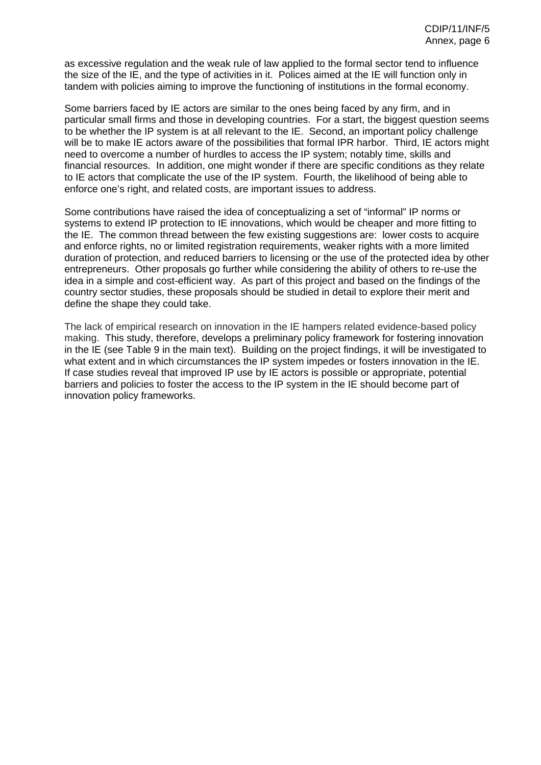as excessive regulation and the weak rule of law applied to the formal sector tend to influence the size of the IE, and the type of activities in it. Polices aimed at the IE will function only in tandem with policies aiming to improve the functioning of institutions in the formal economy.

Some barriers faced by IE actors are similar to the ones being faced by any firm, and in particular small firms and those in developing countries. For a start, the biggest question seems to be whether the IP system is at all relevant to the IE. Second, an important policy challenge will be to make IE actors aware of the possibilities that formal IPR harbor. Third, IE actors might need to overcome a number of hurdles to access the IP system; notably time, skills and financial resources. In addition, one might wonder if there are specific conditions as they relate to IE actors that complicate the use of the IP system. Fourth, the likelihood of being able to enforce one's right, and related costs, are important issues to address.

Some contributions have raised the idea of conceptualizing a set of "informal" IP norms or systems to extend IP protection to IE innovations, which would be cheaper and more fitting to the IE. The common thread between the few existing suggestions are: lower costs to acquire and enforce rights, no or limited registration requirements, weaker rights with a more limited duration of protection, and reduced barriers to licensing or the use of the protected idea by other entrepreneurs. Other proposals go further while considering the ability of others to re-use the idea in a simple and cost-efficient way. As part of this project and based on the findings of the country sector studies, these proposals should be studied in detail to explore their merit and define the shape they could take.

The lack of empirical research on innovation in the IE hampers related evidence-based policy making. This study, therefore, develops a preliminary policy framework for fostering innovation in the IE (see Table 9 in the main text). Building on the project findings, it will be investigated to what extent and in which circumstances the IP system impedes or fosters innovation in the IE. If case studies reveal that improved IP use by IE actors is possible or appropriate, potential barriers and policies to foster the access to the IP system in the IE should become part of innovation policy frameworks.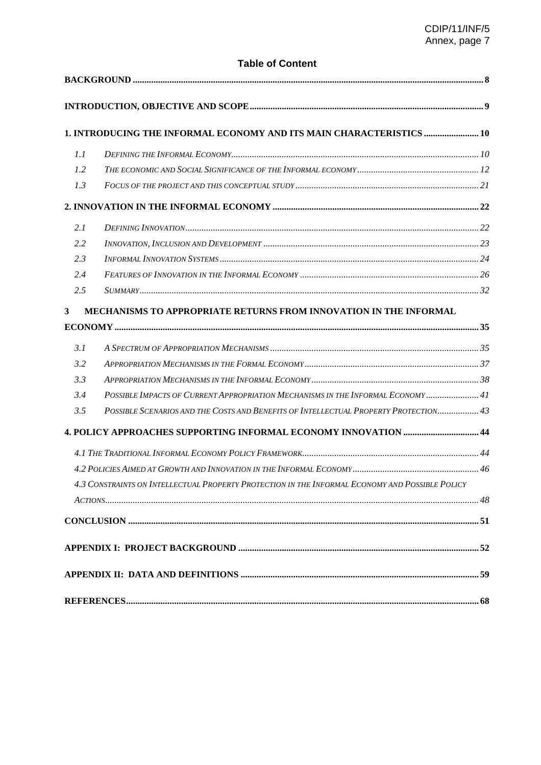# **Table of Content**

|                | 1. INTRODUCING THE INFORMAL ECONOMY AND ITS MAIN CHARACTERISTICS  10                            |  |
|----------------|-------------------------------------------------------------------------------------------------|--|
| 1.1            |                                                                                                 |  |
| 1.2            |                                                                                                 |  |
| 1.3            |                                                                                                 |  |
|                |                                                                                                 |  |
| 2.1            |                                                                                                 |  |
| 2.2            |                                                                                                 |  |
| 2.3            |                                                                                                 |  |
| 2.4            |                                                                                                 |  |
| 2.5            |                                                                                                 |  |
| 3 <sup>1</sup> | MECHANISMS TO APPROPRIATE RETURNS FROM INNOVATION IN THE INFORMAL                               |  |
|                |                                                                                                 |  |
| 3.1            |                                                                                                 |  |
| 3.2            |                                                                                                 |  |
| 3.3            |                                                                                                 |  |
| 3.4            | POSSIBLE IMPACTS OF CURRENT APPROPRIATION MECHANISMS IN THE INFORMAL ECONOMY  41                |  |
| 3.5            | POSSIBLE SCENARIOS AND THE COSTS AND BENEFITS OF INTELLECTUAL PROPERTY PROTECTION 43            |  |
|                | 4. POLICY APPROACHES SUPPORTING INFORMAL ECONOMY INNOVATION  44                                 |  |
|                |                                                                                                 |  |
|                |                                                                                                 |  |
|                | 4.3 CONSTRAINTS ON INTELLECTUAL PROPERTY PROTECTION IN THE INFORMAL ECONOMY AND POSSIBLE POLICY |  |
|                |                                                                                                 |  |
|                |                                                                                                 |  |
|                |                                                                                                 |  |
|                |                                                                                                 |  |
|                |                                                                                                 |  |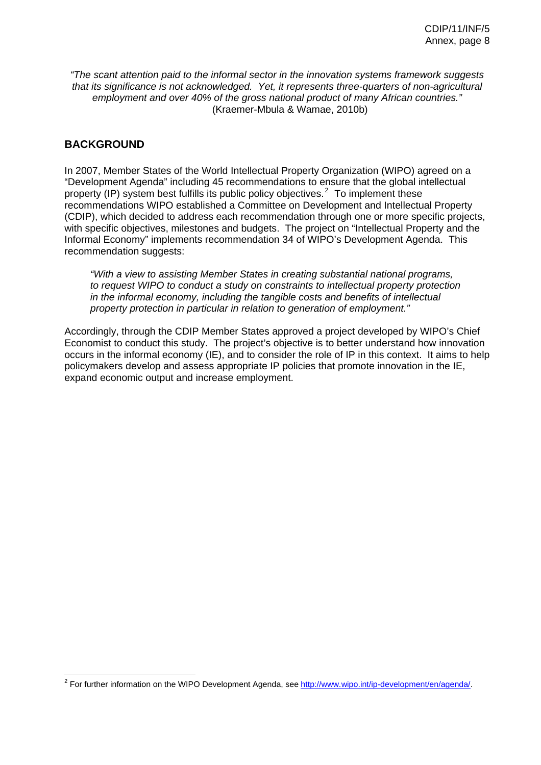*"The scant attention paid to the informal sector in the innovation systems framework suggests that its significance is not acknowledged. Yet, it represents three-quarters of non-agricultural employment and over 40% of the gross national product of many African countries."*  (Kraemer-Mbula & Wamae, 2010b)

# <span id="page-8-0"></span>**BACKGROUND**

 $\overline{\phantom{a}}$ 

In 2007, Member States of the World Intellectual Property Organization (WIPO) agreed on a "Development Agenda" including 45 recommendations to ensure that the global intellectual property (IP) system best fulfills its public policy objectives.<sup>2</sup> To implement these recommendations WIPO established a Committee on Development and Intellectual Property (CDIP), which decided to address each recommendation through one or more specific projects, with specific objectives, milestones and budgets. The project on "Intellectual Property and the Informal Economy" implements recommendation 34 of WIPO's Development Agenda. This recommendation suggests:

*"With a view to assisting Member States in creating substantial national programs, to request WIPO to conduct a study on constraints to intellectual property protection in the informal economy, including the tangible costs and benefits of intellectual property protection in particular in relation to generation of employment."* 

Accordingly, through the CDIP Member States approved a project developed by WIPO's Chief Economist to conduct this study. The project's objective is to better understand how innovation occurs in the informal economy (IE), and to consider the role of IP in this context. It aims to help policymakers develop and assess appropriate IP policies that promote innovation in the IE, expand economic output and increase employment.

<span id="page-8-1"></span><sup>&</sup>lt;sup>2</sup> For further information on the WIPO Development Agenda, see http://www.wipo.int/ip-development/en/agenda/.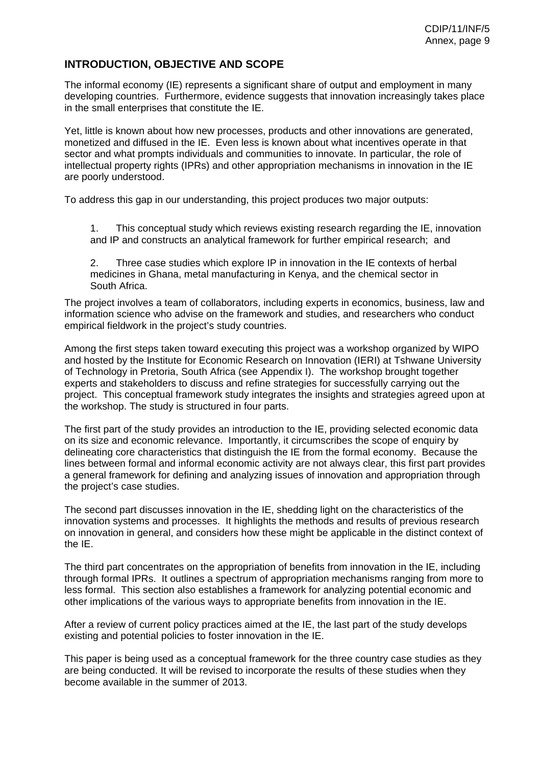# <span id="page-9-0"></span>**INTRODUCTION, OBJECTIVE AND SCOPE**

The informal economy (IE) represents a significant share of output and employment in many developing countries. Furthermore, evidence suggests that innovation increasingly takes place in the small enterprises that constitute the IE.

Yet, little is known about how new processes, products and other innovations are generated, monetized and diffused in the IE. Even less is known about what incentives operate in that sector and what prompts individuals and communities to innovate. In particular, the role of intellectual property rights (IPRs) and other appropriation mechanisms in innovation in the IE are poorly understood.

To address this gap in our understanding, this project produces two major outputs:

1. This conceptual study which reviews existing research regarding the IE, innovation and IP and constructs an analytical framework for further empirical research; and

2. Three case studies which explore IP in innovation in the IE contexts of herbal medicines in Ghana, metal manufacturing in Kenya, and the chemical sector in South Africa.

The project involves a team of collaborators, including experts in economics, business, law and information science who advise on the framework and studies, and researchers who conduct empirical fieldwork in the project's study countries.

Among the first steps taken toward executing this project was a workshop organized by WIPO and hosted by the Institute for Economic Research on Innovation (IERI) at Tshwane University of Technology in Pretoria, South Africa (see Appendix I). The workshop brought together experts and stakeholders to discuss and refine strategies for successfully carrying out the project. This conceptual framework study integrates the insights and strategies agreed upon at the workshop. The study is structured in four parts.

The first part of the study provides an introduction to the IE, providing selected economic data on its size and economic relevance. Importantly, it circumscribes the scope of enquiry by delineating core characteristics that distinguish the IE from the formal economy. Because the lines between formal and informal economic activity are not always clear, this first part provides a general framework for defining and analyzing issues of innovation and appropriation through the project's case studies.

The second part discusses innovation in the IE, shedding light on the characteristics of the innovation systems and processes. It highlights the methods and results of previous research on innovation in general, and considers how these might be applicable in the distinct context of the IE.

The third part concentrates on the appropriation of benefits from innovation in the IE, including through formal IPRs. It outlines a spectrum of appropriation mechanisms ranging from more to less formal. This section also establishes a framework for analyzing potential economic and other implications of the various ways to appropriate benefits from innovation in the IE.

After a review of current policy practices aimed at the IE, the last part of the study develops existing and potential policies to foster innovation in the IE.

This paper is being used as a conceptual framework for the three country case studies as they are being conducted. It will be revised to incorporate the results of these studies when they become available in the summer of 2013.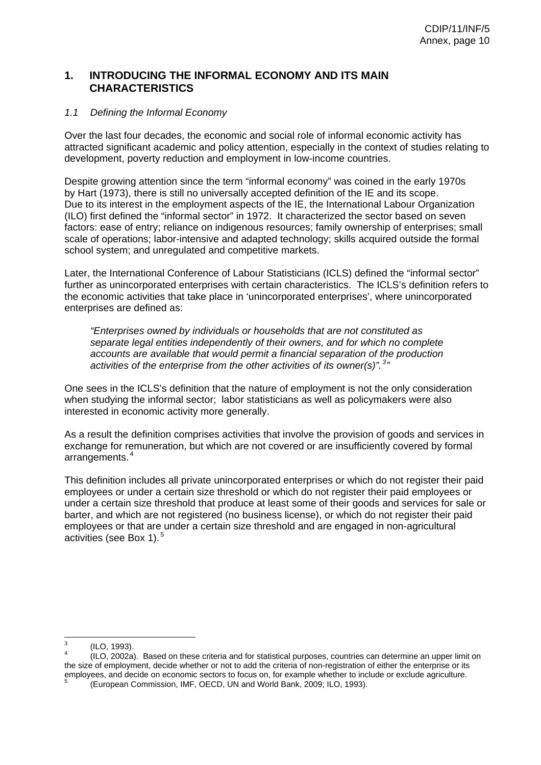# <span id="page-10-0"></span>**1. INTRODUCING THE INFORMAL ECONOMY AND ITS MAIN CHARACTERISTICS**

### <span id="page-10-1"></span>*1.1 Defining the Informal Economy*

Over the last four decades, the economic and social role of informal economic activity has attracted significant academic and policy attention, especially in the context of studies relating to development, poverty reduction and employment in low-income countries.

Despite growing attention since the term "informal economy" was coined in the early 1970s by Hart (1973), there is still no universally accepted definition of the IE and its scope. Due to its interest in the employment aspects of the IE, the International Labour Organization (ILO) first defined the "informal sector" in 1972. It characterized the sector based on seven factors: ease of entry; reliance on indigenous resources; family ownership of enterprises; small scale of operations; labor-intensive and adapted technology; skills acquired outside the formal school system; and unregulated and competitive markets.

Later, the International Conference of Labour Statisticians (ICLS) defined the "informal sector" further as unincorporated enterprises with certain characteristics. The ICLS's definition refers to the economic activities that take place in 'unincorporated enterprises', where unincorporated enterprises are defined as:

*"Enterprises owned by individuals or households that are not constituted as separate legal entities independently of their owners, and for which no complete accounts are available that would permit a financial separation of the production*  activities of the enterprise from the other activities of its owner(s)".<sup>3</sup>"

One sees in the ICLS's definition that the nature of employment is not the only consideration when studying the informal sector; labor statisticians as well as policymakers were also interested in economic activity more generally.

As a result the definition comprises activities that involve the provision of goods and services in exchange for remuneration, but which are not covered or are insufficiently covered by formal arrangements.<sup>4</sup>

This definition includes all private unincorporated enterprises or which do not register their paid employees or under a certain size threshold or which do not register their paid employees or under a certain size threshold that produce at least some of their goods and services for sale or barter, and which are not registered (no business license), or which do not register their paid employees or that are under a certain size threshold and are engaged in non-agricultural activities (see Box 1).<sup>5</sup>

<sup>-&</sup>lt;br>3 (ILO, 1993).

<span id="page-10-4"></span><span id="page-10-3"></span><span id="page-10-2"></span><sup>4</sup> (ILO, 2002a). Based on these criteria and for statistical purposes, countries can determine an upper limit on the size of employment, decide whether or not to add the criteria of non-registration of either the enterprise or its employees, and decide on economic sectors to focus on, for example whether to include or exclude agriculture. (European Commission, IMF, OECD, UN and World Bank, 2009; ILO, 1993).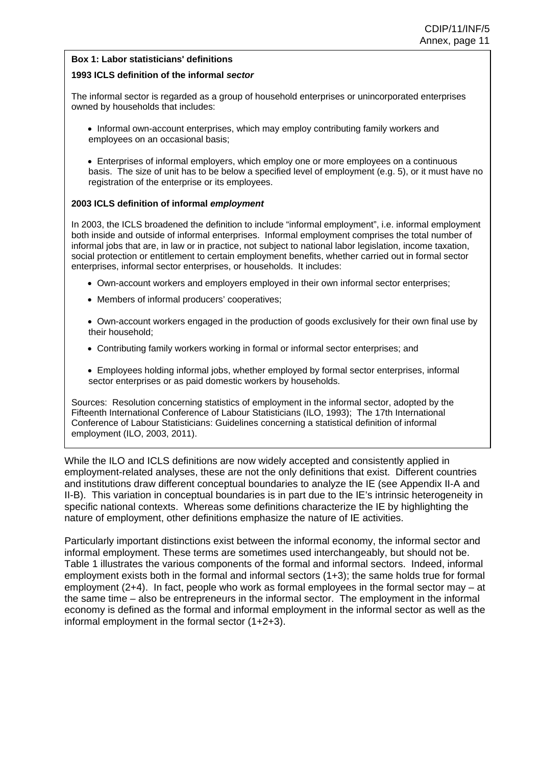#### **Box 1: Labor statisticians' definitions**

#### **1993 ICLS definition of the informal** *sector*

The informal sector is regarded as a group of household enterprises or unincorporated enterprises owned by households that includes:

• Informal own-account enterprises, which may employ contributing family workers and employees on an occasional basis;

• Enterprises of informal employers, which employ one or more employees on a continuous basis. The size of unit has to be below a specified level of employment (e.g. 5), or it must have no registration of the enterprise or its employees.

#### **2003 ICLS definition of informal** *employment*

In 2003, the ICLS broadened the definition to include "informal employment", i.e. informal employment both inside and outside of informal enterprises. Informal employment comprises the total number of informal jobs that are, in law or in practice, not subject to national labor legislation, income taxation, social protection or entitlement to certain employment benefits, whether carried out in formal sector enterprises, informal sector enterprises, or households. It includes:

- Own-account workers and employers employed in their own informal sector enterprises;
- Members of informal producers' cooperatives;

• Own-account workers engaged in the production of goods exclusively for their own final use by their household;

- Contributing family workers working in formal or informal sector enterprises; and
- Employees holding informal jobs, whether employed by formal sector enterprises, informal sector enterprises or as paid domestic workers by households.

Sources: Resolution concerning statistics of employment in the informal sector, adopted by the Fifteenth International Conference of Labour Statisticians (ILO, 1993); The 17th International Conference of Labour Statisticians: Guidelines concerning a statistical definition of informal employment (ILO, 2003, 2011).

While the ILO and ICLS definitions are now widely accepted and consistently applied in employment-related analyses, these are not the only definitions that exist. Different countries and institutions draw different conceptual boundaries to analyze the IE (see Appendix II-A and II-B). This variation in conceptual boundaries is in part due to the IE's intrinsic heterogeneity in specific national contexts. Whereas some definitions characterize the IE by highlighting the nature of employment, other definitions emphasize the nature of IE activities.

Particularly important distinctions exist between the informal economy, the informal sector and informal employment. These terms are sometimes used interchangeably, but should not be. Table 1 illustrates the various components of the formal and informal sectors. Indeed, informal employment exists both in the formal and informal sectors (1+3); the same holds true for formal employment (2+4). In fact, people who work as formal employees in the formal sector may – at the same time – also be entrepreneurs in the informal sector. The employment in the informal economy is defined as the formal and informal employment in the informal sector as well as the informal employment in the formal sector (1+2+3).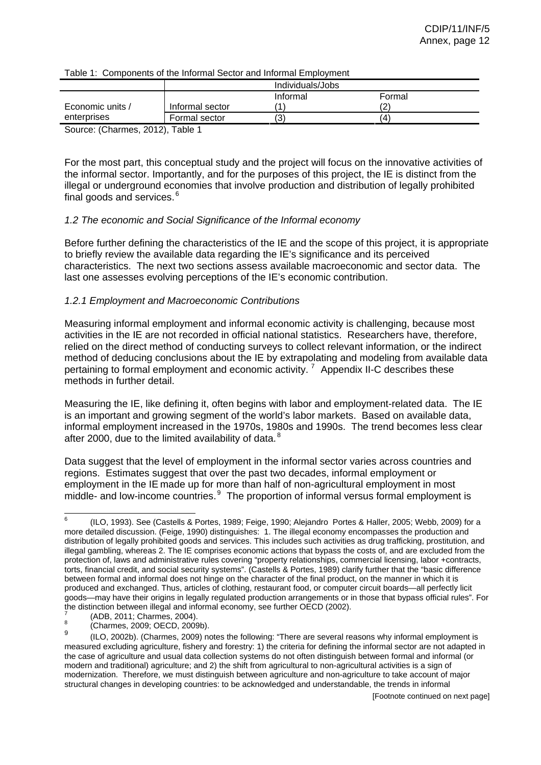|                                           |                 | Individuals/Jobs |        |  |
|-------------------------------------------|-----------------|------------------|--------|--|
|                                           |                 | Informal         | Formal |  |
| Economic units /                          | Informal sector |                  |        |  |
| enterprises                               | Formal sector   |                  | 14     |  |
| $C_{\text{OUTCO}}$ (Charmos 2012) Table 1 |                 |                  |        |  |

Table 1: Components of the Informal Sector and Informal Employment

Source: (Charmes, 2012), Table 1

For the most part, this conceptual study and the project will focus on the innovative activities of the informal sector. Importantly, and for the purposes of this project, the IE is distinct from the illegal or underground economies that involve production and distribution of legally prohibited final goods and services.<sup>6</sup>

# <span id="page-12-0"></span>*1.2 The economic and Social Significance of the Informal economy*

Before further defining the characteristics of the IE and the scope of this project, it is appropriate to briefly review the available data regarding the IE's significance and its perceived characteristics. The next two sections assess available macroeconomic and sector data. The last one assesses evolving perceptions of the IE's economic contribution.

# *1.2.1 Employment and Macroeconomic Contributions*

Measuring informal employment and informal economic activity is challenging, because most activities in the IE are not recorded in official national statistics. Researchers have, therefore, relied on the direct method of conducting surveys to collect relevant information, or the indirect method of deducing conclusions about the IE by extrapolating and modeling from available data pertaining to formal employment and economic activity.<sup>7</sup> Appendix II-C describes these methods in further detail.

Measuring the IE, like defining it, often begins with labor and employment-related data. The IE is an important and growing segment of the world's labor markets. Based on available data, informal employment increased in the 1970s, 1980s and 1990s. The trend becomes less clear after 2000, due to the limited availability of data. ${}^{8}$ 

Data suggest that the level of employment in the informal sector varies across countries and regions. Estimates suggest that over the past two decades, informal employment or employment in the IE made up for more than half of non-agricultural employment in most middle- and low-income countries.<sup>9</sup> The proportion of informal versus formal employment is

<span id="page-12-1"></span><sup>—&</sup>lt;br>6 (ILO, 1993). See (Castells & Portes, 1989; Feige, 1990; Alejandro Portes & Haller, 2005; Webb, 2009) for a more detailed discussion. (Feige, 1990) distinguishes: 1. The illegal economy encompasses the production and distribution of legally prohibited goods and services. This includes such activities as drug trafficking, prostitution, and illegal gambling, whereas 2. The IE comprises economic actions that bypass the costs of, and are excluded from the protection of, laws and administrative rules covering "property relationships, commercial licensing, labor +contracts, torts, financial credit, and social security systems". (Castells & Portes, 1989) clarify further that the "basic difference between formal and informal does not hinge on the character of the final product, on the manner in which it is produced and exchanged. Thus, articles of clothing, restaurant food, or computer circuit boards—all perfectly licit goods—may have their origins in legally regulated production arrangements or in those that bypass official rules". For the distinction between illegal and informal economy, see further OECD (2002). 7

<span id="page-12-2"></span> <sup>(</sup>ADB, 2011; Charmes, 2004).

<sup>8</sup> (Charmes, 2009; OECD, 2009b).

<span id="page-12-4"></span><span id="page-12-3"></span><sup>9</sup> (ILO, 2002b). (Charmes, 2009) notes the following: "There are several reasons why informal employment is measured excluding agriculture, fishery and forestry: 1) the criteria for defining the informal sector are not adapted in the case of agriculture and usual data collection systems do not often distinguish between formal and informal (or modern and traditional) agriculture; and 2) the shift from agricultural to non-agricultural activities is a sign of modernization. Therefore, we must distinguish between agriculture and non-agriculture to take account of major structural changes in developing countries: to be acknowledged and understandable, the trends in informal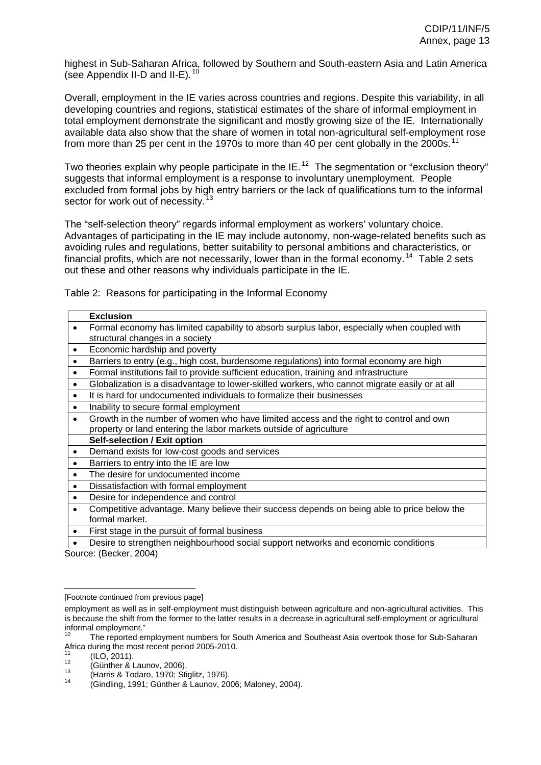highest in Sub-Saharan Africa, followed by Southern and South-eastern Asia and Latin America (see Appendix II-D and II-E).  $10$ 

Overall, employment in the IE varies across countries and regions. Despite this variability, in all developing countries and regions, statistical estimates of the share of informal employment in total employment demonstrate the significant and mostly growing size of the IE. Internationally available data also show that the share of women in total non-agricultural self-employment rose from more than 25 per cent in the 1970s to more than 40 per cent globally in the 2000s.<sup>[11](#page-0-0)</sup>

Two theories explain why people participate in the IE.<sup>[12](#page-8-1)</sup> The segmentation or "exclusion theory" suggests that informal employment is a response to involuntary unemployment. People excluded from formal jobs by high entry barriers or the lack of qualifications turn to the informal sector for work out of necessity.<sup>[13](#page-10-2)</sup>

The "self-selection theory" regards informal employment as workers' voluntary choice. Advantages of participating in the IE may include autonomy, non-wage-related benefits such as avoiding rules and regulations, better suitability to personal ambitions and characteristics, or financial profits, which are not necessarily, lower than in the formal economy.<sup>[14](#page-10-3)</sup> Table 2 sets out these and other reasons why individuals participate in the IE.

Table 2: Reasons for participating in the Informal Economy

|           | <b>Exclusion</b>                                                                                             |
|-----------|--------------------------------------------------------------------------------------------------------------|
| $\bullet$ | Formal economy has limited capability to absorb surplus labor, especially when coupled with                  |
|           | structural changes in a society                                                                              |
| $\bullet$ | Economic hardship and poverty                                                                                |
|           | Barriers to entry (e.g., high cost, burdensome regulations) into formal economy are high                     |
|           | Formal institutions fail to provide sufficient education, training and infrastructure                        |
|           | Globalization is a disadvantage to lower-skilled workers, who cannot migrate easily or at all                |
| $\bullet$ | It is hard for undocumented individuals to formalize their businesses                                        |
| $\bullet$ | Inability to secure formal employment                                                                        |
| $\bullet$ | Growth in the number of women who have limited access and the right to control and own                       |
|           | property or land entering the labor markets outside of agriculture                                           |
|           | <b>Self-selection / Exit option</b>                                                                          |
| $\bullet$ | Demand exists for low-cost goods and services                                                                |
|           | Barriers to entry into the IE are low                                                                        |
|           | The desire for undocumented income                                                                           |
| $\bullet$ | Dissatisfaction with formal employment                                                                       |
|           | Desire for independence and control                                                                          |
|           | Competitive advantage. Many believe their success depends on being able to price below the<br>formal market. |
|           | First stage in the pursuit of formal business                                                                |
|           |                                                                                                              |

• Desire to strengthen neighbourhood social support networks and economic conditions Source: (Becker, 2004)

<sup>[</sup>Footnote continued from previous page]

employment as well as in self-employment must distinguish between agriculture and non-agricultural activities. This is because the shift from the former to the latter results in a decrease in agricultural self-employment or agricultural informal employment."

<span id="page-13-0"></span>The reported employment numbers for South America and Southeast Asia overtook those for Sub-Saharan Africa during the most recent period 2005-2010.

<span id="page-13-3"></span><span id="page-13-2"></span>

<span id="page-13-4"></span>

<span id="page-13-1"></span><sup>11 (</sup>ILO, 2011).<br>
1<sup>2</sup> (Günther & Launov, 2006).<br>
1<sup>3</sup> (Harris & Todaro, 1970; Stiglitz, 1976).<br>
14 (Gindling, 1991; Günther & Launov, 2006; Maloney, 2004).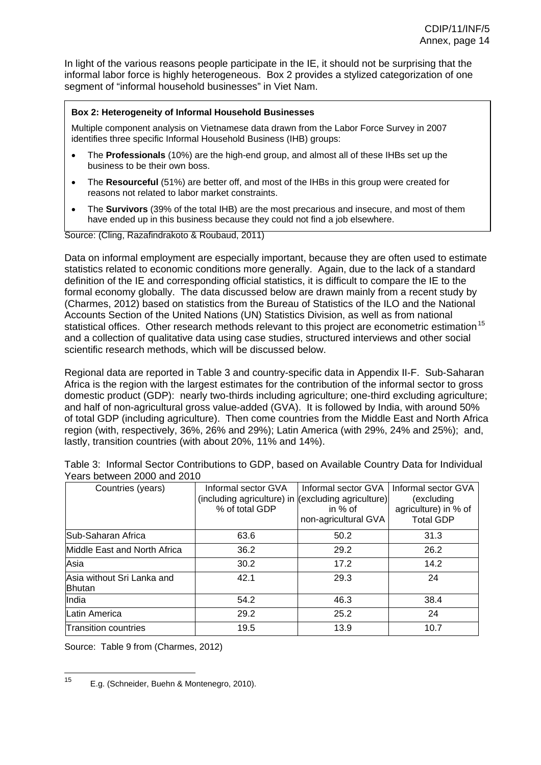In light of the various reasons people participate in the IE, it should not be surprising that the informal labor force is highly heterogeneous. Box 2 provides a stylized categorization of one segment of "informal household businesses" in Viet Nam.

#### **Box 2: Heterogeneity of Informal Household Businesses**

Multiple component analysis on Vietnamese data drawn from the Labor Force Survey in 2007 identifies three specific Informal Household Business (IHB) groups:

- The **Professionals** (10%) are the high-end group, and almost all of these IHBs set up the business to be their own boss.
- The **Resourceful** (51%) are better off, and most of the IHBs in this group were created for reasons not related to labor market constraints.
- The **Survivors** (39% of the total IHB) are the most precarious and insecure, and most of them have ended up in this business because they could not find a job elsewhere.

Source: (Cling, Razafindrakoto & Roubaud, 2011)

Data on informal employment are especially important, because they are often used to estimate statistics related to economic conditions more generally. Again, due to the lack of a standard definition of the IE and corresponding official statistics, it is difficult to compare the IE to the formal economy globally. The data discussed below are drawn mainly from a recent study by (Charmes, 2012) based on statistics from the Bureau of Statistics of the ILO and the National Accounts Section of the United Nations (UN) Statistics Division, as well as from national statistical offices. Other research methods relevant to this project are econometric estimation<sup>[15](#page-10-4)</sup> and a collection of qualitative data using case studies, structured interviews and other social scientific research methods, which will be discussed below.

Regional data are reported in Table 3 and country-specific data in Appendix II-F. Sub-Saharan Africa is the region with the largest estimates for the contribution of the informal sector to gross domestic product (GDP): nearly two-thirds including agriculture; one-third excluding agriculture; and half of non-agricultural gross value-added (GVA). It is followed by India, with around 50% of total GDP (including agriculture). Then come countries from the Middle East and North Africa region (with, respectively, 36%, 26% and 29%); Latin America (with 29%, 24% and 25%); and, lastly, transition countries (with about 20%, 11% and 14%).

| Countries (years)                           | Informal sector GVA<br>(including agriculture) in (excluding agriculture)<br>% of total GDP | Informal sector GVA<br>in % of<br>non-agricultural GVA | Informal sector GVA<br>(excluding<br>agriculture) in % of<br><b>Total GDP</b> |
|---------------------------------------------|---------------------------------------------------------------------------------------------|--------------------------------------------------------|-------------------------------------------------------------------------------|
| <b>Sub-Saharan Africa</b>                   | 63.6                                                                                        | 50.2                                                   | 31.3                                                                          |
| Middle East and North Africa                | 36.2                                                                                        | 29.2                                                   | 26.2                                                                          |
| Asia                                        | 30.2                                                                                        | 17.2                                                   | 14.2                                                                          |
| Asia without Sri Lanka and<br><b>Bhutan</b> | 42.1                                                                                        | 29.3                                                   | 24                                                                            |
| India                                       | 54.2                                                                                        | 46.3                                                   | 38.4                                                                          |
| Latin America                               | 29.2                                                                                        | 25.2                                                   | 24                                                                            |
| Transition countries                        | 19.5                                                                                        | 13.9                                                   | 10.7                                                                          |

Table 3: Informal Sector Contributions to GDP, based on Available Country Data for Individual Years between 2000 and 2010

Source: Table 9 from (Charmes, 2012)

<span id="page-14-0"></span> $15<sup>1</sup>$ 15 E.g. (Schneider, Buehn & Montenegro, 2010).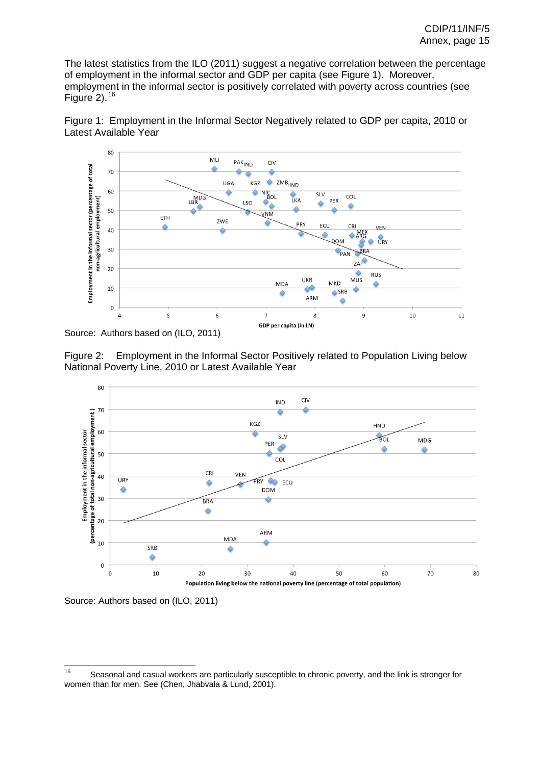The latest statistics from the ILO (2011) suggest a negative correlation between the percentage of employment in the informal sector and GDP per capita (see Figure 1). Moreover, employment in the informal sector is positively correlated with poverty across countries (see Figure 2).  $16$ 





Source: Authors based on (ILO, 2011)





Source: Authors based on (ILO, 2011)

<span id="page-15-0"></span><sup>16</sup> Seasonal and casual workers are particularly susceptible to chronic poverty, and the link is stronger for women than for men. See (Chen, Jhabvala & Lund, 2001).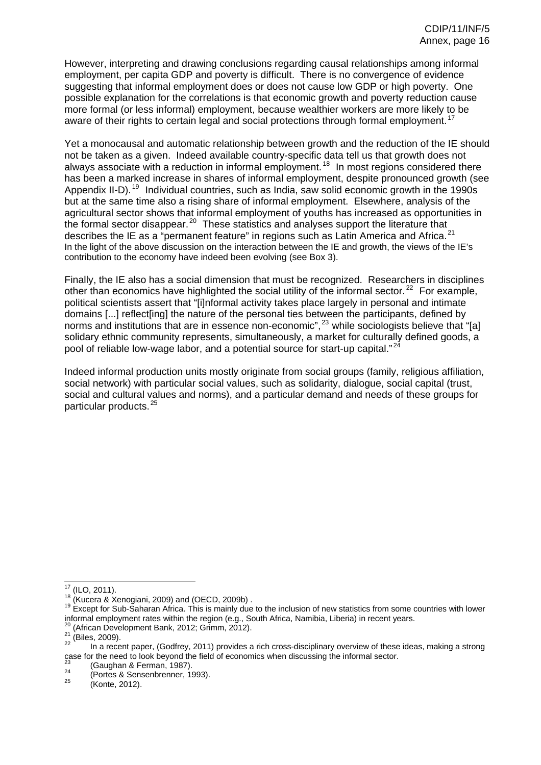However, interpreting and drawing conclusions regarding causal relationships among informal employment, per capita GDP and poverty is difficult. There is no convergence of evidence suggesting that informal employment does or does not cause low GDP or high poverty. One possible explanation for the correlations is that economic growth and poverty reduction cause more formal (or less informal) employment, because wealthier workers are more likely to be aware of their rights to certain legal and social protections through formal employment.<sup>[17](#page-12-2)</sup>

Yet a monocausal and automatic relationship between growth and the reduction of the IE should not be taken as a given. Indeed available country-specific data tell us that growth does not always associate with a reduction in informal employment.<sup>[18](#page-12-3)</sup> In most regions considered there has been a marked increase in shares of informal employment, despite pronounced growth (see Appendix II-D).<sup>[19](#page-12-4)</sup> Individual countries, such as India, saw solid economic growth in the 1990s but at the same time also a rising share of informal employment. Elsewhere, analysis of the agricultural sector shows that informal employment of youths has increased as opportunities in the formal sector disappear.<sup>[20](#page-13-0)</sup> These statistics and analyses support the literature that describes the IE as a "permanent feature" in regions such as Latin America and Africa.<sup>[21](#page-0-0)</sup> In the light of the above discussion on the interaction between the IE and growth, the views of the IE's contribution to the economy have indeed been evolving (see Box 3).

Finally, the IE also has a social dimension that must be recognized. Researchers in disciplines other than economics have highlighted the social utility of the informal sector.<sup>[22](#page-8-1)</sup> For example, political scientists assert that "[i]nformal activity takes place largely in personal and intimate domains [...] reflect ling the nature of the personal ties between the participants, defined by norms and institutions that are in essence non-economic",<sup>[23](#page-10-2)</sup> while sociologists believe that "[a] solidary ethnic community represents, simultaneously, a market for culturally defined goods, a pool of reliable low-wage labor, and a potential source for start-up capital."<sup>[24](#page-10-3)</sup>

Indeed informal production units mostly originate from social groups (family, religious affiliation, social network) with particular social values, such as solidarity, dialogue, social capital (trust, social and cultural values and norms), and a particular demand and needs of these groups for particular products.<sup>[25](#page-10-4)</sup>

 $17$  (ILO, 2011).

<span id="page-16-2"></span><span id="page-16-1"></span><span id="page-16-0"></span><sup>18 (</sup>Kucera & Xenogiani, 2009) and (OECD, 2009b) .<br><sup>18</sup> Except for Sub-Saharan Africa. This is mainly due to the inclusion of new statistics from some countries with lower informal employment rates within the region (e.g., South Africa, Namibia, Liberia) in recent years.<br>
<sup>20</sup> (African Development Bank, 2012; Grimm, 2012).<br>
<sup>21</sup> (Biles, 2009).<br>
In a recent paper, (Godfrey, 2011) provides a r

<span id="page-16-4"></span><span id="page-16-3"></span>

<span id="page-16-5"></span>case for the need to look beyond the field of economics when discussing the informal sector.

<sup>&</sup>lt;sup>23</sup> (Gaughan & Ferman, 1987).<br><sup>24</sup> (Portes & Sensenbrenner, 1993).<br><sup>25</sup> (Konte, 2012).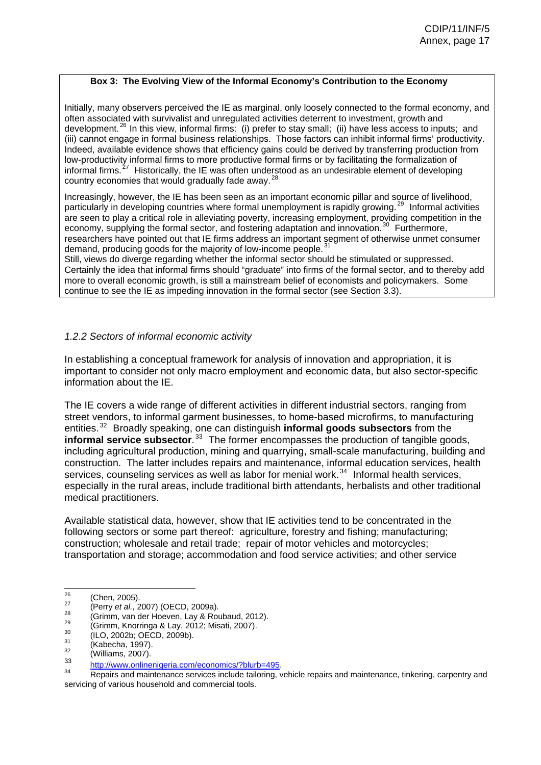#### **Box 3: The Evolving View of the Informal Economy's Contribution to the Economy**

Initially, many observers perceived the IE as marginal, only loosely connected to the formal economy, and often associated with survivalist and unregulated activities deterrent to investment, growth and development.<sup>[26](#page-12-1)</sup> In this view, informal firms: (i) prefer to stay small; (ii) have less access to inputs; and (iii) cannot engage in formal business relationships. Those factors can inhibit informal firms' productivity. Indeed, available evidence shows that efficiency gains could be derived by transferring production from low-productivity informal firms to more productive formal firms or by facilitating the formalization of informal firms. $<sup>2</sup>$ </sup> [27](#page-12-2) Historically, the IE was often understood as an undesirable element of developing country economies that would gradually fade away. $28$ 

Increasingly, however, the IE has been seen as an important economic pillar and source of livelihood, particularly in developing countries where formal unemployment is rapidly growing.<sup>[29](#page-12-4)</sup> Informal activities are seen to play a critical role in alleviating poverty, increasing employment, providing competition in the economy, supplying the formal sector, and fostering adaptation and innovation.<sup>[30](#page-13-0)</sup> Furthermore, researchers have pointed out that IE firms address an important segment of otherwise unmet consumer demand, producing goods for the majority of low-income people.  $31$ 

Still, views do diverge regarding whether the informal sector should be stimulated or suppressed. Certainly the idea that informal firms should "graduate" into firms of the formal sector, and to thereby add more to overall economic growth, is still a mainstream belief of economists and policymakers. Some continue to see the IE as impeding innovation in the formal sector (see Section 3.3).

# *1.2.2 Sectors of informal economic activity*

In establishing a conceptual framework for analysis of innovation and appropriation, it is important to consider not only macro employment and economic data, but also sector-specific information about the IE.

The IE covers a wide range of different activities in different industrial sectors, ranging from street vendors, to informal garment businesses, to home-based microfirms, to manufacturing entities.<sup>3</sup> [32](#page-8-1) Broadly speaking, one can distinguish **informal goods subsectors** from the **informal service subsector.**<sup>[33](#page-10-2)</sup> The former encompasses the production of tangible goods, including agricultural production, mining and quarrying, small-scale manufacturing, building and construction. The latter includes repairs and maintenance, informal education services, health services, counseling services as well as labor for menial work.<sup>[34](#page-10-3)</sup> Informal health services, especially in the rural areas, include traditional birth attendants, herbalists and other traditional medical practitioners.

Available statistical data, however, show that IE activities tend to be concentrated in the following sectors or some part thereof: agriculture, forestry and fishing; manufacturing; construction; wholesale and retail trade; repair of motor vehicles and motorcycles; transportation and storage; accommodation and food service activities; and other service

<sup>26</sup> 

<sup>&</sup>lt;sup>26</sup> (Chen, 2005).<br>
<sup>27</sup> (Perry *et al.*, 2007) (OECD, 2009a).<br>
<sup>28</sup> (Grimm, van der Hoeven, Lay & Roubaud, 2012).<br>
<sup>29</sup> (Grimm, Knorringa & Lay, 2012; Misati, 2007).<br>
<sup>30</sup> (ILO, 2002b; OECD, 2009b).<br>
<sup>31</sup> (Kabecha, 1997)

<sup>&</sup>lt;sup>33</sup> http://www.onlinenigeria.com/economics/?blurb=495.<br><sup>34</sup> Repairs and maintenance services include tailoring, vehicle repairs and maintenance, tinkering, carpentry and servicing of various household and commercial tools.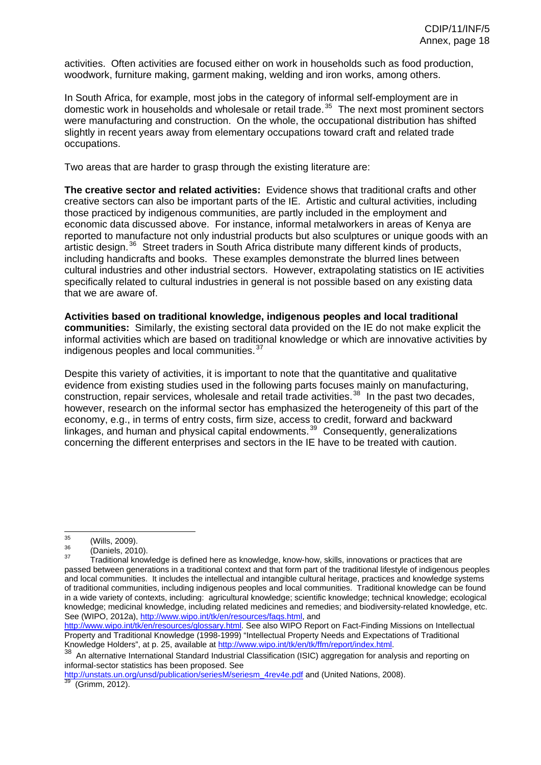activities. Often activities are focused either on work in households such as food production, woodwork, furniture making, garment making, welding and iron works, among others.

In South Africa, for example, most jobs in the category of informal self-employment are in domestic work in households and wholesale or retail trade.<sup>[35](#page-10-4)</sup> The next most prominent sectors were manufacturing and construction. On the whole, the occupational distribution has shifted slightly in recent years away from elementary occupations toward craft and related trade occupations.

Two areas that are harder to grasp through the existing literature are:

**The creative sector and related activities:** Evidence shows that traditional crafts and other creative sectors can also be important parts of the IE. Artistic and cultural activities, including those practiced by indigenous communities, are partly included in the employment and economic data discussed above. For instance, informal metalworkers in areas of Kenya are reported to manufacture not only industrial products but also sculptures or unique goods with an artistic design.<sup>[36](#page-12-1)</sup> Street traders in South Africa distribute many different kinds of products, including handicrafts and books. These examples demonstrate the blurred lines between cultural industries and other industrial sectors. However, extrapolating statistics on IE activities specifically related to cultural industries in general is not possible based on any existing data that we are aware of.

**Activities based on traditional knowledge, indigenous peoples and local traditional communities:** Similarly, the existing sectoral data provided on the IE do not make explicit the informal activities which are based on traditional knowledge or which are innovative activities by indigenous peoples and local communities.<sup>[37](#page-12-2)</sup>

Despite this variety of activities, it is important to note that the quantitative and qualitative evidence from existing studies used in the following parts focuses mainly on manufacturing, construction, repair services, wholesale and retail trade activities.<sup>[38](#page-12-3)</sup> In the past two decades, however, research on the informal sector has emphasized the heterogeneity of this part of the economy, e.g., in terms of entry costs, firm size, access to credit, forward and backward linkages, and human and physical capital endowments.<sup>[39](#page-12-4)</sup> Consequently, generalizations concerning the different enterprises and sectors in the IE have to be treated with caution.

http://www.wipo.int/tk/en/resources/glossary.html. See also WIPO Report on Fact-Finding Missions on Intellectual Property and Traditional Knowledge (1998-1999) "Intellectual Property Needs and Expectations of Traditional

http://unstats.un.org/unsd/publication/seriesM/seriesm\_4rev4e.pdf and (United Nations, 2008).<br><sup>39</sup> (Grimm, 2012).

<sup>35</sup> 

 $\frac{35}{36}$  (Wills, 2009).<br><sup>36</sup> (Daniels, 2010).<br><sup>37</sup> Traditional knowledge is defined here as knowledge, know-how, skills, innovations or practices that are passed between generations in a traditional context and that form part of the traditional lifestyle of indigenous peoples and local communities. It includes the intellectual and intangible cultural heritage, practices and knowledge systems of traditional communities, including indigenous peoples and local communities. Traditional knowledge can be found in a wide variety of contexts, including: agricultural knowledge; scientific knowledge; technical knowledge; ecological knowledge; medicinal knowledge, including related medicines and remedies; and biodiversity-related knowledge, etc. See (WIPO, 2012a), http://www.wipo.int/tk/en/resources/faqs.html, and

Knowledge Holders", at p. 25, available at http://www.wipo.int/tk/en/tk/ffm/report/index.html.<br><sup>38</sup> An alternative International Standard Industrial Classification (ISIC) aggregation for analysis and reporting on informal-sector statistics has been proposed. See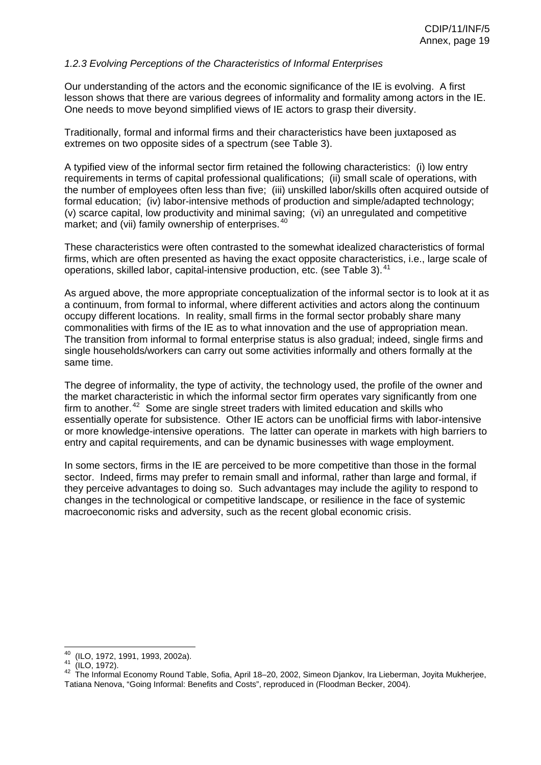### *1.2.3 Evolving Perceptions of the Characteristics of Informal Enterprises*

Our understanding of the actors and the economic significance of the IE is evolving. A first lesson shows that there are various degrees of informality and formality among actors in the IE. One needs to move beyond simplified views of IE actors to grasp their diversity.

Traditionally, formal and informal firms and their characteristics have been juxtaposed as extremes on two opposite sides of a spectrum (see Table 3).

A typified view of the informal sector firm retained the following characteristics: (i) low entry requirements in terms of capital professional qualifications; (ii) small scale of operations, with the number of employees often less than five; (iii) unskilled labor/skills often acquired outside of formal education; (iv) labor-intensive methods of production and simple/adapted technology; (v) scarce capital, low productivity and minimal saving; (vi) an unregulated and competitive market; and (vii) family ownership of enterprises.<sup>[40](#page-13-0)</sup>

These characteristics were often contrasted to the somewhat idealized characteristics of formal firms, which are often presented as having the exact opposite characteristics, i.e., large scale of operations, skilled labor, capital-intensive production, etc. (see Table 3).<sup>[41](#page-0-0)</sup>

As argued above, the more appropriate conceptualization of the informal sector is to look at it as a continuum, from formal to informal, where different activities and actors along the continuum occupy different locations. In reality, small firms in the formal sector probably share many commonalities with firms of the IE as to what innovation and the use of appropriation mean. The transition from informal to formal enterprise status is also gradual; indeed, single firms and single households/workers can carry out some activities informally and others formally at the same time.

The degree of informality, the type of activity, the technology used, the profile of the owner and the market characteristic in which the informal sector firm operates vary significantly from one firm to another.<sup>[42](#page-8-1)</sup> Some are single street traders with limited education and skills who essentially operate for subsistence. Other IE actors can be unofficial firms with labor-intensive or more knowledge-intensive operations. The latter can operate in markets with high barriers to entry and capital requirements, and can be dynamic businesses with wage employment.

In some sectors, firms in the IE are perceived to be more competitive than those in the formal sector. Indeed, firms may prefer to remain small and informal, rather than large and formal, if they perceive advantages to doing so. Such advantages may include the agility to respond to changes in the technological or competitive landscape, or resilience in the face of systemic macroeconomic risks and adversity, such as the recent global economic crisis.

<sup>&</sup>lt;sup>40</sup> (ILO, 1972, 1991, 1993, 2002a).<br><sup>41</sup> (ILO, 1972).<br><sup>42</sup> The Informal Economy Round Table, Sofia, April 18–20, 2002, Simeon Djankov, Ira Lieberman, Joyita Mukherjee, Tatiana Nenova, "Going Informal: Benefits and Costs", reproduced in (Floodman Becker, 2004).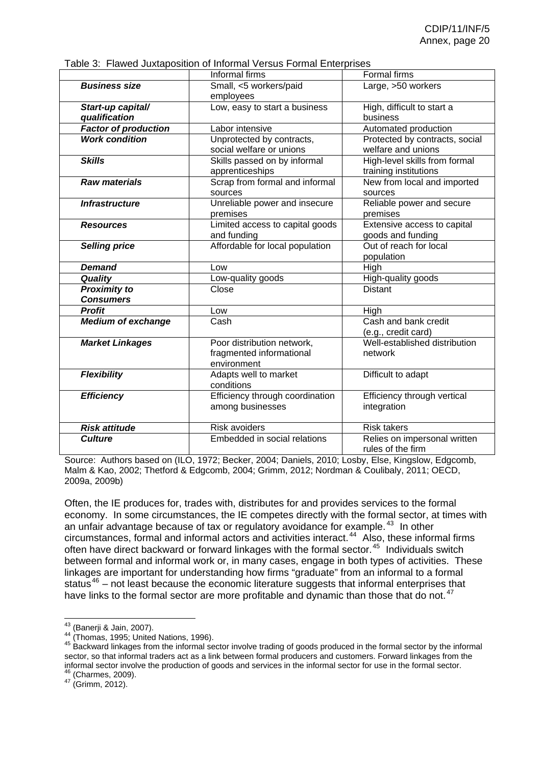|                             | Table 3: Flawed Juxtaposition of Informal Versus Formal Enterprises |                                    |
|-----------------------------|---------------------------------------------------------------------|------------------------------------|
|                             | Informal firms                                                      | <b>Formal firms</b>                |
| <b>Business size</b>        | Small, <5 workers/paid                                              | Large, >50 workers                 |
|                             | employees                                                           |                                    |
| Start-up capital/           | Low, easy to start a business                                       | High, difficult to start a         |
| qualification               |                                                                     | business                           |
| <b>Factor of production</b> | Labor intensive                                                     | Automated production               |
| <b>Work condition</b>       | Unprotected by contracts,                                           | Protected by contracts, social     |
|                             | social welfare or unions                                            | welfare and unions                 |
| <b>Skills</b>               | Skills passed on by informal                                        | High-level skills from formal      |
|                             | apprenticeships                                                     | training institutions              |
| <b>Raw materials</b>        | Scrap from formal and informal                                      | New from local and imported        |
|                             | sources                                                             | sources                            |
| <b>Infrastructure</b>       | Unreliable power and insecure                                       | Reliable power and secure          |
|                             | premises                                                            | premises                           |
| <b>Resources</b>            | Limited access to capital goods                                     | Extensive access to capital        |
|                             | and funding                                                         | goods and funding                  |
| <b>Selling price</b>        | Affordable for local population                                     | Out of reach for local             |
|                             |                                                                     | population                         |
| <b>Demand</b>               | Low                                                                 | High                               |
| Quality                     | Low-quality goods                                                   | High-quality goods                 |
| <b>Proximity to</b>         | Close                                                               | <b>Distant</b>                     |
| <b>Consumers</b>            |                                                                     |                                    |
| <b>Profit</b>               | Low                                                                 | High                               |
| <b>Medium of exchange</b>   | Cash                                                                | Cash and bank credit               |
|                             |                                                                     | (e.g., credit card)                |
| <b>Market Linkages</b>      | Poor distribution network,                                          | Well-established distribution      |
|                             | fragmented informational                                            | network                            |
|                             | environment                                                         |                                    |
| <b>Flexibility</b>          | Adapts well to market                                               | Difficult to adapt                 |
|                             | conditions                                                          |                                    |
| <b>Efficiency</b>           | Efficiency through coordination                                     | <b>Efficiency through vertical</b> |
|                             | among businesses                                                    | integration                        |
|                             |                                                                     |                                    |
| <b>Risk attitude</b>        | <b>Risk avoiders</b>                                                | <b>Risk takers</b>                 |
| <b>Culture</b>              | Embedded in social relations                                        | Relies on impersonal written       |
|                             |                                                                     | rules of the firm                  |

| Table 3: Flawed Juxtaposition of Informal Versus Formal Enterprises |  |  |  |
|---------------------------------------------------------------------|--|--|--|
|                                                                     |  |  |  |

Source: Authors based on (ILO, 1972; Becker, 2004; Daniels, 2010; Losby, Else, Kingslow, Edgcomb, Malm & Kao, 2002; Thetford & Edgcomb, 2004; Grimm, 2012; Nordman & Coulibaly, 2011; OECD, 2009a, 2009b)

Often, the IE produces for, trades with, distributes for and provides services to the formal economy. In some circumstances, the IE competes directly with the formal sector, at times with an unfair advantage because of tax or regulatory avoidance for example.<sup>[43](#page-10-2)</sup> In other circumstances, formal and informal actors and activities interact.<sup>[44](#page-10-3)</sup> Also, these informal firms often have direct backward or forward linkages with the formal sector.<sup>[45](#page-10-4)</sup> Individuals switch between formal and informal work or, in many cases, engage in both types of activities. These linkages are important for understanding how firms "graduate" from an informal to a formal status $46$  – not least because the economic literature suggests that informal enterprises that have links to the formal sector are more profitable and dynamic than those that do not.<sup>[47](#page-12-2)</sup>

<sup>&</sup>lt;sup>43</sup> (Banerji & Jain, 2007).

<sup>44 (</sup>Thomas, 1995; United Nations, 1996).<br><sup>45</sup> Backward linkages from the informal sector involve trading of goods produced in the formal sector by the informal sector, so that informal traders act as a link between formal producers and customers. Forward linkages from the informal sector involve the production of goods and services in the informal sector for use in the formal sector.<br><sup>46</sup> (Charmes, 2009).<br><sup>47</sup> (Grimm, 2012).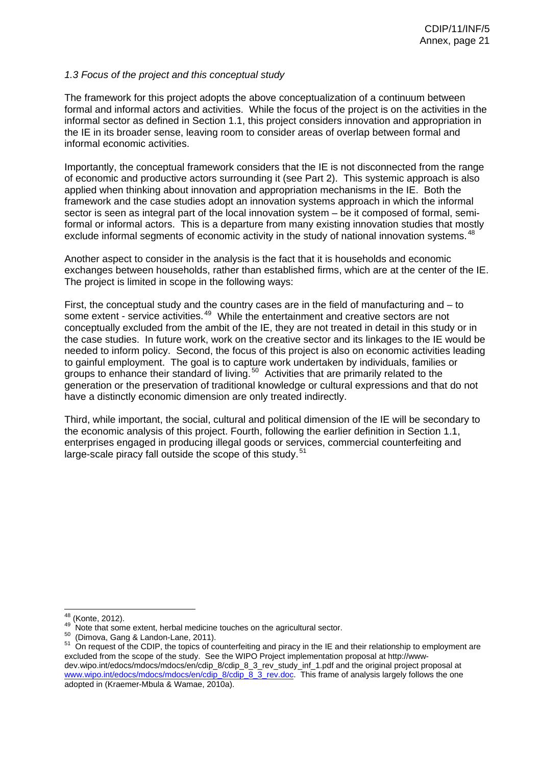### <span id="page-21-0"></span>*1.3 Focus of the project and this conceptual study*

The framework for this project adopts the above conceptualization of a continuum between formal and informal actors and activities. While the focus of the project is on the activities in the informal sector as defined in Section 1.1, this project considers innovation and appropriation in the IE in its broader sense, leaving room to consider areas of overlap between formal and informal economic activities.

Importantly, the conceptual framework considers that the IE is not disconnected from the range of economic and productive actors surrounding it (see Part 2). This systemic approach is also applied when thinking about innovation and appropriation mechanisms in the IE. Both the framework and the case studies adopt an innovation systems approach in which the informal sector is seen as integral part of the local innovation system – be it composed of formal, semiformal or informal actors. This is a departure from many existing innovation studies that mostly exclude informal segments of economic activity in the study of national innovation systems.  $48$ 

Another aspect to consider in the analysis is the fact that it is households and economic exchanges between households, rather than established firms, which are at the center of the IE. The project is limited in scope in the following ways:

First, the conceptual study and the country cases are in the field of manufacturing and – to some extent - service activities.<sup>[49](#page-12-4)</sup> While the entertainment and creative sectors are not conceptually excluded from the ambit of the IE, they are not treated in detail in this study or in the case studies. In future work, work on the creative sector and its linkages to the IE would be needed to inform policy. Second, the focus of this project is also on economic activities leading to gainful employment. The goal is to capture work undertaken by individuals, families or groups to enhance their standard of living.<sup>[50](#page-13-0)</sup> Activities that are primarily related to the generation or the preservation of traditional knowledge or cultural expressions and that do not have a distinctly economic dimension are only treated indirectly.

Third, while important, the social, cultural and political dimension of the IE will be secondary to the economic analysis of this project. Fourth, following the earlier definition in Section 1.1, enterprises engaged in producing illegal goods or services, commercial counterfeiting and large-scale piracy fall outside the scope of this study.<sup>[51](#page-0-0)</sup>

<sup>&</sup>lt;sup>48</sup> (Konte, 2012).

<sup>49</sup> Note that some extent, herbal medicine touches on the agricultural sector.<br>
<sup>50</sup> (Dimova, Gang & Landon-Lane, 2011).<br>
<sup>51</sup> On request of the CDIP, the topics of counterfeiting and piracy in the IE and their relationship excluded from the scope of the study. See the WIPO Project implementation proposal at http://wwwdev.wipo.int/edocs/mdocs/mdocs/en/cdip\_8/cdip\_8\_3\_rev\_study\_inf\_1.pdf and the original project proposal at www.wipo.int/edocs/mdocs/mdocs/en/cdip\_8/cdip\_8\_3\_rev.doc. This frame of analysis largely follows the one adopted in (Kraemer-Mbula & Wamae, 2010a).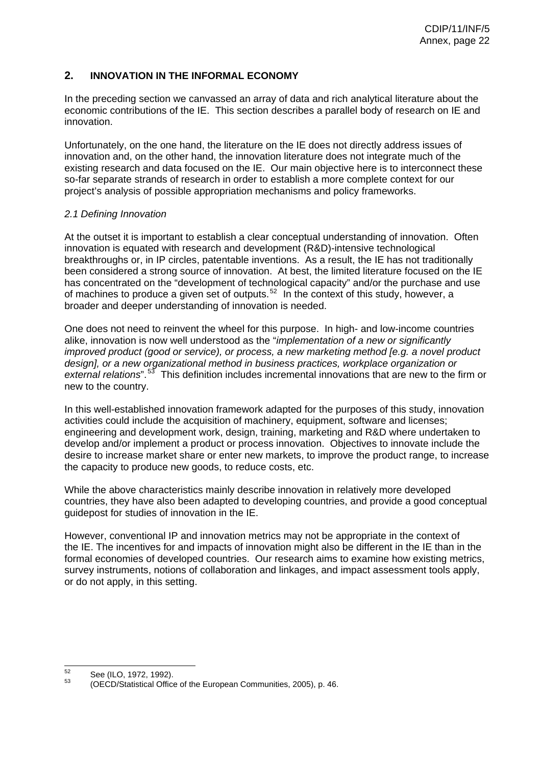# <span id="page-22-0"></span>**2. INNOVATION IN THE INFORMAL ECONOMY**

In the preceding section we canvassed an array of data and rich analytical literature about the economic contributions of the IE. This section describes a parallel body of research on IE and innovation.

Unfortunately, on the one hand, the literature on the IE does not directly address issues of innovation and, on the other hand, the innovation literature does not integrate much of the existing research and data focused on the IE. Our main objective here is to interconnect these so-far separate strands of research in order to establish a more complete context for our project's analysis of possible appropriation mechanisms and policy frameworks.

# <span id="page-22-1"></span>*2.1 Defining Innovation*

At the outset it is important to establish a clear conceptual understanding of innovation. Often innovation is equated with research and development (R&D)-intensive technological breakthroughs or, in IP circles, patentable inventions. As a result, the IE has not traditionally been considered a strong source of innovation. At best, the limited literature focused on the IE has concentrated on the "development of technological capacity" and/or the purchase and use of machines to produce a given set of outputs.<sup>[52](#page-8-1)</sup> In the context of this study, however, a broader and deeper understanding of innovation is needed.

One does not need to reinvent the wheel for this purpose. In high- and low-income countries alike, innovation is now well understood as the "*implementation of a new or significantly improved product (good or service), or process, a new marketing method [e.g. a novel product design], or a new organizational method in business practices, workplace organization or*  external relations".<sup>[53](#page-10-2)</sup> This definition includes incremental innovations that are new to the firm or new to the country.

In this well-established innovation framework adapted for the purposes of this study, innovation activities could include the acquisition of machinery, equipment, software and licenses; engineering and development work, design, training, marketing and R&D where undertaken to develop and/or implement a product or process innovation. Objectives to innovate include the desire to increase market share or enter new markets, to improve the product range, to increase the capacity to produce new goods, to reduce costs, etc.

While the above characteristics mainly describe innovation in relatively more developed countries, they have also been adapted to developing countries, and provide a good conceptual guidepost for studies of innovation in the IE.

However, conventional IP and innovation metrics may not be appropriate in the context of the IE. The incentives for and impacts of innovation might also be different in the IE than in the formal economies of developed countries. Our research aims to examine how existing metrics, survey instruments, notions of collaboration and linkages, and impact assessment tools apply, or do not apply, in this setting.

 $52$ 

 $52$  See (ILO, 1972, 1992).<br> $53$  (OECD/Statistical Office of the European Communities, 2005), p. 46.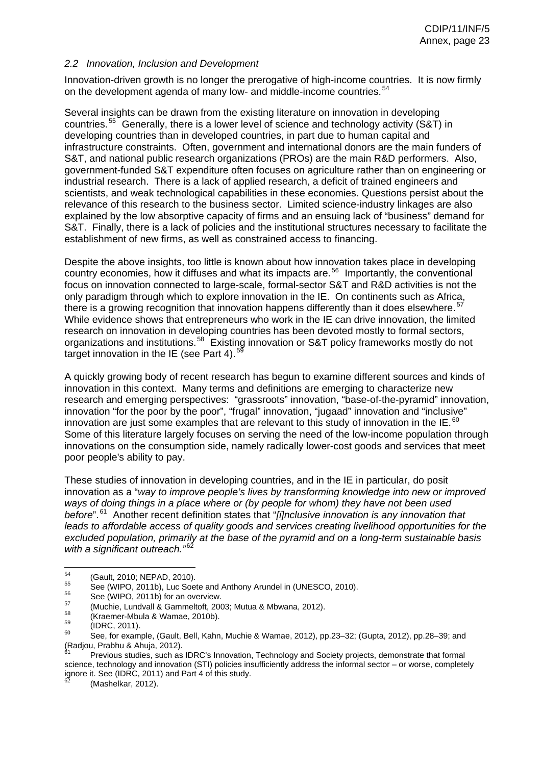#### <span id="page-23-0"></span>*2.2 Innovation, Inclusion and Development*

Innovation-driven growth is no longer the prerogative of high-income countries. It is now firmly on the development agenda of many low- and middle-income countries.<sup>[54](#page-10-3)</sup>

Several insights can be drawn from the existing literature on innovation in developing countries.<sup>[55](#page-10-4)</sup> Generally, there is a lower level of science and technology activity (S&T) in developing countries than in developed countries, in part due to human capital and infrastructure constraints. Often, government and international donors are the main funders of S&T, and national public research organizations (PROs) are the main R&D performers. Also, government-funded S&T expenditure often focuses on agriculture rather than on engineering or industrial research. There is a lack of applied research, a deficit of trained engineers and scientists, and weak technological capabilities in these economies. Questions persist about the relevance of this research to the business sector. Limited science-industry linkages are also explained by the low absorptive capacity of firms and an ensuing lack of "business" demand for S&T. Finally, there is a lack of policies and the institutional structures necessary to facilitate the establishment of new firms, as well as constrained access to financing.

Despite the above insights, too little is known about how innovation takes place in developing country economies, how it diffuses and what its impacts are.<sup>[56](#page-12-1)</sup> Importantly, the conventional focus on innovation connected to large-scale, formal-sector S&T and R&D activities is not the only paradigm through which to explore innovation in the IE. On continents such as Africa, there is a growing recognition that innovation happens differently than it does elsewhere.  $57$ While evidence shows that entrepreneurs who work in the IE can drive innovation, the limited research on innovation in developing countries has been devoted mostly to formal sectors, organizations and institutions.<sup>[58](#page-12-3)</sup> Existing innovation or S&T policy frameworks mostly do not target innovation in the IE (see Part 4).<sup>[59](#page-12-4)</sup>

A quickly growing body of recent research has begun to examine different sources and kinds of innovation in this context. Many terms and definitions are emerging to characterize new research and emerging perspectives: "grassroots" innovation, "base-of-the-pyramid" innovation, innovation "for the poor by the poor", "frugal" innovation, "jugaad" innovation and "inclusive" innovation are just some examples that are relevant to this study of innovation in the IE.  $^{60}$  $^{60}$  $^{60}$ Some of this literature largely focuses on serving the need of the low-income population through innovations on the consumption side, namely radically lower-cost goods and services that meet poor people's ability to pay.

These studies of innovation in developing countries, and in the IE in particular, do posit innovation as a "*way to improve people's lives by transforming knowledge into new or improved ways of doing things in a place where or (by people for whom) they have not been used*  before".<sup>[61](#page-0-0)</sup> Another recent definition states that "[i]nclusive innovation is any innovation that *leads to affordable access of quality goods and services creating livelihood opportunities for the excluded population, primarily at the base of the pyramid and on a long-term sustainable basis*  with a significant outreach."<sup>[62](#page-8-1)</sup>

<sup>54</sup> 

<sup>&</sup>lt;sup>54</sup> (Gault, 2010; NEPAD, 2010).<br>
<sup>55</sup> See (WIPO, 2011b), Luc Soete and Anthony Arundel in (UNESCO, 2010).<br>
<sup>56</sup> See (WIPO, 2011b) for an overview.<br>
(Muchie, Lundvall & Gammeltoft, 2003; Mutua & Mbwana, 2012).<br>
<sup>57</sup> (Krae (Radjou, Prabhu & Ahuja, 2012).

Previous studies, such as IDRC's Innovation, Technology and Society projects, demonstrate that formal science, technology and innovation (STI) policies insufficiently address the informal sector – or worse, completely ignore it. See (IDRC, 2011) and Part 4 of this study.

<sup>(</sup>Mashelkar, 2012).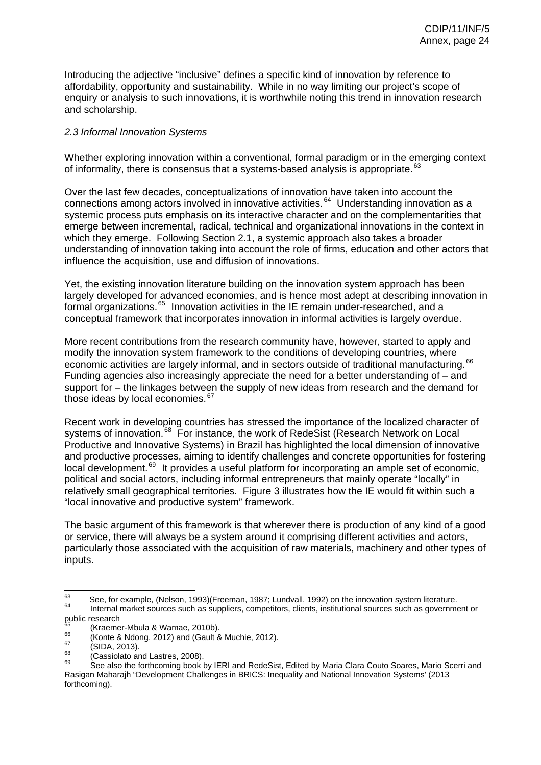Introducing the adjective "inclusive" defines a specific kind of innovation by reference to affordability, opportunity and sustainability. While in no way limiting our project's scope of enquiry or analysis to such innovations, it is worthwhile noting this trend in innovation research and scholarship.

# <span id="page-24-0"></span>*2.3 Informal Innovation Systems*

Whether exploring innovation within a conventional, formal paradigm or in the emerging context of informality, there is consensus that a systems-based analysis is appropriate. <sup>[63](#page-10-2)</sup>

Over the last few decades, conceptualizations of innovation have taken into account the connections among actors involved in innovative activities.<sup>[64](#page-10-3)</sup> Understanding innovation as a systemic process puts emphasis on its interactive character and on the complementarities that emerge between incremental, radical, technical and organizational innovations in the context in which they emerge. Following Section 2.1, a systemic approach also takes a broader understanding of innovation taking into account the role of firms, education and other actors that influence the acquisition, use and diffusion of innovations.

Yet, the existing innovation literature building on the innovation system approach has been largely developed for advanced economies, and is hence most adept at describing innovation in formal organizations.<sup>[65](#page-10-4)</sup> Innovation activities in the IE remain under-researched, and a conceptual framework that incorporates innovation in informal activities is largely overdue.

More recent contributions from the research community have, however, started to apply and modify the innovation system framework to the conditions of developing countries, where economic activities are largely informal, and in sectors outside of traditional manufacturing. <sup>[66](#page-12-1)</sup> Funding agencies also increasingly appreciate the need for a better understanding of – and support for – the linkages between the supply of new ideas from research and the demand for those ideas by local economies. [67](#page-12-2)

Recent work in developing countries has stressed the importance of the localized character of systems of innovation.<sup>[68](#page-12-3)</sup> For instance, the work of RedeSist (Research Network on Local Productive and Innovative Systems) in Brazil has highlighted the local dimension of innovative and productive processes, aiming to identify challenges and concrete opportunities for fostering local development.<sup>[69](#page-12-4)</sup> It provides a useful platform for incorporating an ample set of economic, political and social actors, including informal entrepreneurs that mainly operate "locally" in relatively small geographical territories. Figure 3 illustrates how the IE would fit within such a "local innovative and productive system" framework.

The basic argument of this framework is that wherever there is production of any kind of a good or service, there will always be a system around it comprising different activities and actors, particularly those associated with the acquisition of raw materials, machinery and other types of inputs.

<sup>63</sup>  $^{63}$  See, for example, (Nelson, 1993)(Freeman, 1987; Lundvall, 1992) on the innovation system literature.<br><sup>64</sup> Internal market sources such as suppliers, competitors, clients, institutional sources such as government or public research<br><sup>65</sup> (Kraemer-Mbula & Wamae, 2010b).

 $^{66}$  (Konte & Ndong, 2012) and (Gault & Muchie, 2012).<br>  $^{67}$  (SIDA, 2013).<br>
(Cassiolato and Lastres, 2008).<br>
See also the forthcoming book by IERI and RedeSist, Edited by Maria Clara Couto Soares, Mario Scerri and Rasigan Maharajh "Development Challenges in BRICS: Inequality and National Innovation Systems' (2013 forthcoming).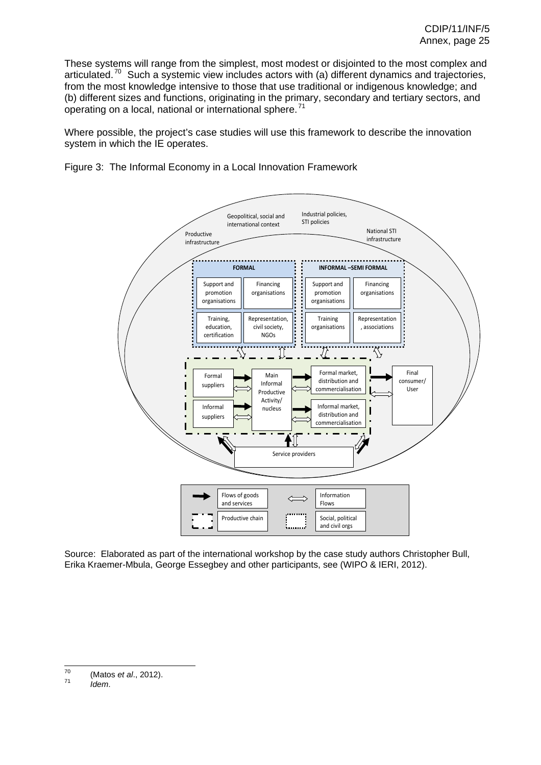These systems will range from the simplest, most modest or disjointed to the most complex and articulated.<sup>[70](#page-13-0)</sup> Such a systemic view includes actors with (a) different dynamics and trajectories, from the most knowledge intensive to those that use traditional or indigenous knowledge; and (b) different sizes and functions, originating in the primary, secondary and tertiary sectors, and operating on a local, national or international sphere.<sup>[71](#page-0-0)</sup>

Where possible, the project's case studies will use this framework to describe the innovation system in which the IE operates.



Figure 3: The Informal Economy in a Local Innovation Framework

Source: Elaborated as part of the international workshop by the case study authors Christopher Bull, Erika Kraemer-Mbula, George Essegbey and other participants, see (WIPO & IERI, 2012).

 $70$ 70 (Matos *et al*., 2012). 71 *Idem*.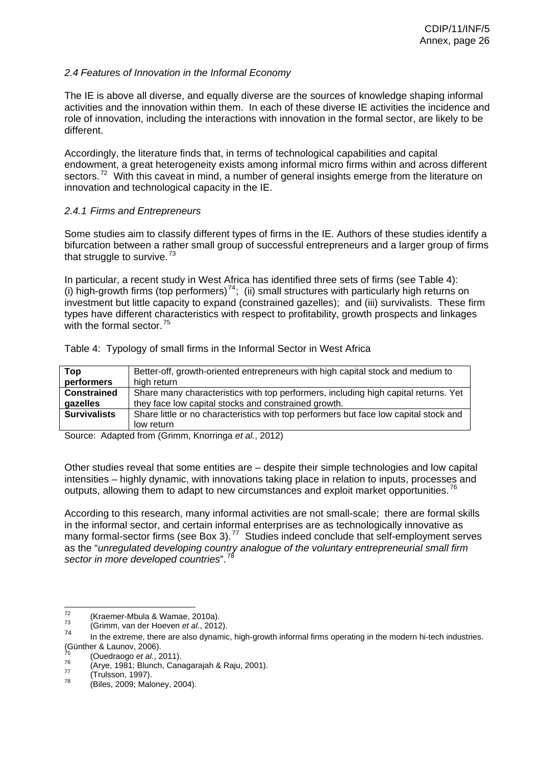# <span id="page-26-0"></span>*2.4 Features of Innovation in the Informal Economy*

The IE is above all diverse, and equally diverse are the sources of knowledge shaping informal activities and the innovation within them. In each of these diverse IE activities the incidence and role of innovation, including the interactions with innovation in the formal sector, are likely to be different.

Accordingly, the literature finds that, in terms of technological capabilities and capital endowment, a great heterogeneity exists among informal micro firms within and across different sectors.<sup>[72](#page-8-1)</sup> With this caveat in mind, a number of general insights emerge from the literature on innovation and technological capacity in the IE.

# *2.4.1 Firms and Entrepreneurs*

Some studies aim to classify different types of firms in the IE. Authors of these studies identify a bifurcation between a rather small group of successful entrepreneurs and a larger group of firms that struggle to survive.<sup>[73](#page-10-2)</sup>

In particular, a recent study in West Africa has identified three sets of firms (see Table 4): (i) high-growth firms (top performers)<sup>[74](#page-10-3)</sup>; (ii) small structures with particularly high returns on investment but little capacity to expand (constrained gazelles); and (iii) survivalists. These firm types have different characteristics with respect to profitability, growth prospects and linkages with the formal sector. $75$ 

| Top                 | Better-off, growth-oriented entrepreneurs with high capital stock and medium to       |
|---------------------|---------------------------------------------------------------------------------------|
| performers          | high return                                                                           |
| <b>Constrained</b>  | Share many characteristics with top performers, including high capital returns. Yet   |
| gazelles            | they face low capital stocks and constrained growth.                                  |
| <b>Survivalists</b> | Share little or no characteristics with top performers but face low capital stock and |
|                     | low return                                                                            |

Table 4: Typology of small firms in the Informal Sector in West Africa

Source: Adapted from (Grimm, Knorringa *et al.*, 2012)

Other studies reveal that some entities are – despite their simple technologies and low capital intensities – highly dynamic, with innovations taking place in relation to inputs, processes and outputs, allowing them to adapt to new circumstances and exploit market opportunities.<sup>[76](#page-12-1)</sup>

According to this research, many informal activities are not small-scale; there are formal skills in the informal sector, and certain informal enterprises are as technologically innovative as many formal-sector firms (see Box 3).<sup>[77](#page-12-2)</sup> Studies indeed conclude that self-employment serves as the "*unregulated developing country analogue of the voluntary entrepreneurial small firm*  sector in more developed countries".<sup>[78](#page-12-3)</sup>

 $\frac{1}{72}$ 

<sup>72 (</sup>Kraemer-Mbula & Wamae, 2010a). 73 (Grimm, van der Hoeven *et al.*, 2012).

In the extreme, there are also dynamic, high-growth informal firms operating in the modern hi-tech industries. (Günther & Launov, 2006).

<sup>&</sup>lt;sup>75</sup> (Ouedraogo *et al.*, 2011).<br><sup>76</sup> (Arye, 1981; Blunch, Canagarajah & Raju, 2001).<br><sup>77</sup> (Trulsson, 1997).<br><sup>78</sup> (Biles, 2009; Maloney, 2004).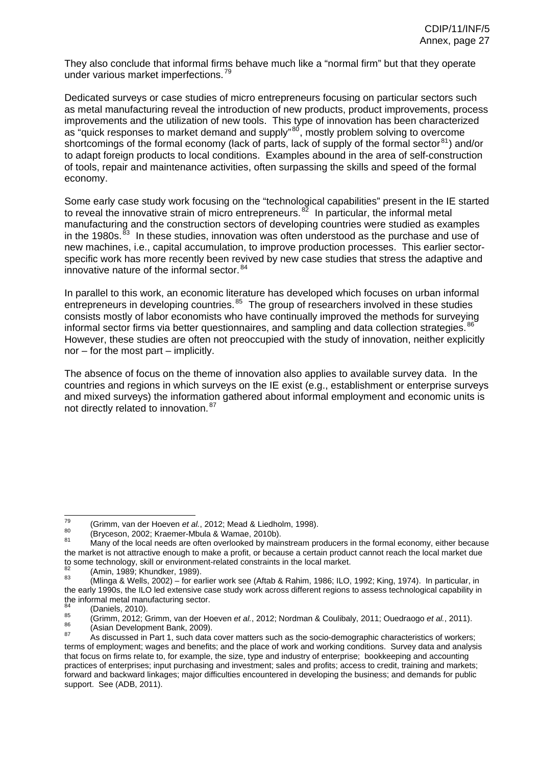They also conclude that informal firms behave much like a "normal firm" but that they operate under various market imperfections.<sup>[79](#page-12-4)</sup>

Dedicated surveys or case studies of micro entrepreneurs focusing on particular sectors such as metal manufacturing reveal the introduction of new products, product improvements, process improvements and the utilization of new tools. This type of innovation has been characterized as "quick responses to market demand and supply"<sup>[80](#page-13-0)</sup>, mostly problem solving to overcome shortcomings of the formal economy (lack of parts, lack of supply of the formal sector<sup>[81](#page-0-0)</sup>) and/or to adapt foreign products to local conditions. Examples abound in the area of self-construction of tools, repair and maintenance activities, often surpassing the skills and speed of the formal economy.

Some early case study work focusing on the "technological capabilities" present in the IE started to reveal the innovative strain of micro entrepreneurs.<sup>[82](#page-8-1)</sup> In particular, the informal metal manufacturing and the construction sectors of developing countries were studied as examples in the 1980s.<sup>[83](#page-10-2)</sup> In these studies, innovation was often understood as the purchase and use of new machines, i.e., capital accumulation, to improve production processes. This earlier sectorspecific work has more recently been revived by new case studies that stress the adaptive and innovative nature of the informal sector.<sup>[84](#page-10-3)</sup>

In parallel to this work, an economic literature has developed which focuses on urban informal entrepreneurs in developing countries.<sup>[85](#page-10-4)</sup> The group of researchers involved in these studies consists mostly of labor economists who have continually improved the methods for surveying informal sector firms via better questionnaires, and sampling and data collection strategies.  $^{86}$  $^{86}$  $^{86}$ However, these studies are often not preoccupied with the study of innovation, neither explicitly nor – for the most part – implicitly.

The absence of focus on the theme of innovation also applies to available survey data. In the countries and regions in which surveys on the IE exist (e.g., establishment or enterprise surveys and mixed surveys) the information gathered about informal employment and economic units is not directly related to innovation.<sup>[87](#page-12-2)</sup>

 $\overline{79}$ 

<sup>&</sup>lt;sup>79</sup> (Grimm, van der Hoeven *et al.*, 2012; Mead & Liedholm, 1998).<br><sup>80</sup> (Bryceson, 2002; Kraemer-Mbula & Wamae, 2010b).<br><sup>81</sup> Many of the local needs are often overlooked by mainstream producers in the formal economy, eit the market is not attractive enough to make a profit, or because a certain product cannot reach the local market due<br>to some technology, skill or environment-related constraints in the local market.

 $^{82}$  (Amin, 1989; Khundker, 1989).<br> $^{83}$  (Mlinga & Wells, 2002) – for earlier work see (Aftab & Rahim, 1986; ILO, 1992; King, 1974). In particular, in the early 1990s, the ILO led extensive case study work across different regions to assess technological capability in the informal metal manufacturing sector.

<sup>&</sup>lt;sup>84</sup> (Daniels, 2010).<br><sup>85</sup> (Grimm, 2012; Grimm, van der Hoeven *et al.*, 2012; Nordman & Coulibaly, 2011; Ouedraogo *et al.*, 2011).<br><sup>86</sup> (Asian Development Bank, 2009).<br><sup>87</sup> As discussed in Part 1, such data cover matter

terms of employment; wages and benefits; and the place of work and working conditions. Survey data and analysis that focus on firms relate to, for example, the size, type and industry of enterprise; bookkeeping and accounting practices of enterprises; input purchasing and investment; sales and profits; access to credit, training and markets; forward and backward linkages; major difficulties encountered in developing the business; and demands for public support. See (ADB, 2011).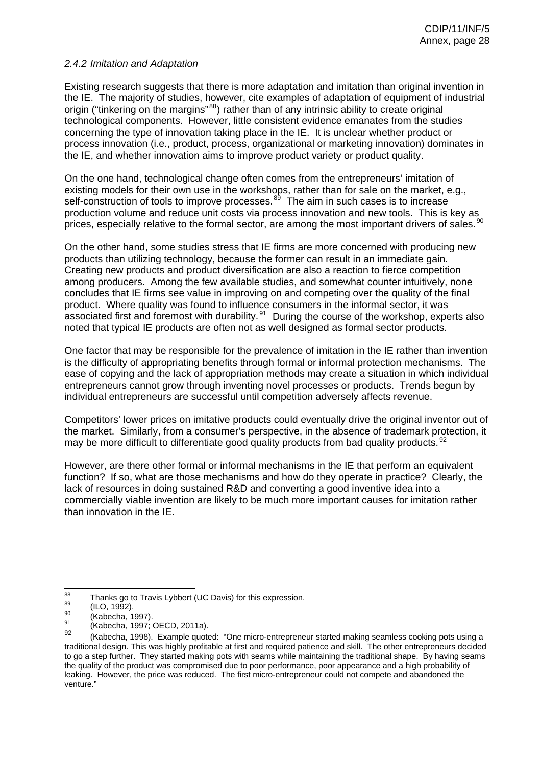### *2.4.2 Imitation and Adaptation*

Existing research suggests that there is more adaptation and imitation than original invention in the IE. The majority of studies, however, cite examples of adaptation of equipment of industrial origin ("tinkering on the margins"<sup>[88](#page-12-3)</sup>) rather than of any intrinsic ability to create original technological components. However, little consistent evidence emanates from the studies concerning the type of innovation taking place in the IE. It is unclear whether product or process innovation (i.e., product, process, organizational or marketing innovation) dominates in the IE, and whether innovation aims to improve product variety or product quality.

On the one hand, technological change often comes from the entrepreneurs' imitation of existing models for their own use in the workshops, rather than for sale on the market, e.g., self-construction of tools to improve processes.<sup>[89](#page-12-4)</sup> The aim in such cases is to increase production volume and reduce unit costs via process innovation and new tools. This is key as prices, especially relative to the formal sector, are among the most important drivers of sales.  $^{90}$  $^{90}$  $^{90}$ 

On the other hand, some studies stress that IE firms are more concerned with producing new products than utilizing technology, because the former can result in an immediate gain. Creating new products and product diversification are also a reaction to fierce competition among producers. Among the few available studies, and somewhat counter intuitively, none concludes that IE firms see value in improving on and competing over the quality of the final product. Where quality was found to influence consumers in the informal sector, it was associated first and foremost with durability. $91$  During the course of the workshop, experts also noted that typical IE products are often not as well designed as formal sector products.

One factor that may be responsible for the prevalence of imitation in the IE rather than invention is the difficulty of appropriating benefits through formal or informal protection mechanisms. The ease of copying and the lack of appropriation methods may create a situation in which individual entrepreneurs cannot grow through inventing novel processes or products. Trends begun by individual entrepreneurs are successful until competition adversely affects revenue.

Competitors' lower prices on imitative products could eventually drive the original inventor out of the market. Similarly, from a consumer's perspective, in the absence of trademark protection, it may be more difficult to differentiate good quality products from bad quality products. <sup>[92](#page-8-1)</sup>

However, are there other formal or informal mechanisms in the IE that perform an equivalent function? If so, what are those mechanisms and how do they operate in practice? Clearly, the lack of resources in doing sustained R&D and converting a good inventive idea into a commercially viable invention are likely to be much more important causes for imitation rather than innovation in the IE.

<sup>88</sup> <sup>88</sup> Thanks go to Travis Lybbert (UC Davis) for this expression.<br>  $^{89}$  (ILO, 1992).<br>
(Kabecha, 1997; OECD, 2011a).<br>  $^{91}$  (Kabecha, 1997; OECD, 2011a).

<sup>(</sup>Kabecha, 1998). Example quoted: "One micro-entrepreneur started making seamless cooking pots using a traditional design. This was highly profitable at first and required patience and skill. The other entrepreneurs decided to go a step further. They started making pots with seams while maintaining the traditional shape. By having seams the quality of the product was compromised due to poor performance, poor appearance and a high probability of leaking. However, the price was reduced. The first micro-entrepreneur could not compete and abandoned the venture."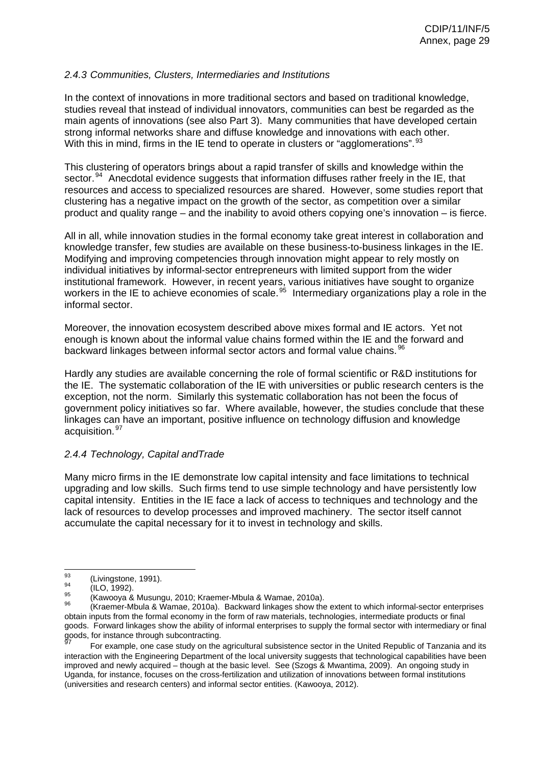## *2.4.3 Communities, Clusters, Intermediaries and Institutions*

In the context of innovations in more traditional sectors and based on traditional knowledge, studies reveal that instead of individual innovators, communities can best be regarded as the main agents of innovations (see also Part 3). Many communities that have developed certain strong informal networks share and diffuse knowledge and innovations with each other. With this in mind, firms in the IE tend to operate in clusters or "agglomerations".  $93$ 

This clustering of operators brings about a rapid transfer of skills and knowledge within the sector.<sup>[94](#page-10-3)</sup> Anecdotal evidence suggests that information diffuses rather freely in the IE, that resources and access to specialized resources are shared. However, some studies report that clustering has a negative impact on the growth of the sector, as competition over a similar product and quality range – and the inability to avoid others copying one's innovation – is fierce.

All in all, while innovation studies in the formal economy take great interest in collaboration and knowledge transfer, few studies are available on these business-to-business linkages in the IE. Modifying and improving competencies through innovation might appear to rely mostly on individual initiatives by informal-sector entrepreneurs with limited support from the wider institutional framework. However, in recent years, various initiatives have sought to organize workers in the IE to achieve economies of scale.<sup>[95](#page-10-4)</sup> Intermediary organizations play a role in the informal sector.

Moreover, the innovation ecosystem described above mixes formal and IE actors. Yet not enough is known about the informal value chains formed within the IE and the forward and backward linkages between informal sector actors and formal value chains.  $^{96}$  $^{96}$  $^{96}$ 

Hardly any studies are available concerning the role of formal scientific or R&D institutions for the IE. The systematic collaboration of the IE with universities or public research centers is the exception, not the norm. Similarly this systematic collaboration has not been the focus of government policy initiatives so far. Where available, however, the studies conclude that these linkages can have an important, positive influence on technology diffusion and knowledge acquisition.<sup>[97](#page-12-2)</sup>

#### *2.4.4 Technology, Capital andTrade*

Many micro firms in the IE demonstrate low capital intensity and face limitations to technical upgrading and low skills. Such firms tend to use simple technology and have persistently low capital intensity. Entities in the IE face a lack of access to techniques and technology and the lack of resources to develop processes and improved machinery. The sector itself cannot accumulate the capital necessary for it to invest in technology and skills.

<sup>93</sup> 

<sup>&</sup>lt;sup>93</sup> (Livingstone, 1991).<br><sup>94</sup> (ILO, 1992).<br><sup>95</sup> (Kawooya & Musungu, 2010; Kraemer-Mbula & Wamae, 2010a).<br><sup>96</sup> (Kraemer-Mbula & Wamae, 2010a). Backward linkages show the extent to which informal-sector enterprises obtain inputs from the formal economy in the form of raw materials, technologies, intermediate products or final goods. Forward linkages show the ability of informal enterprises to supply the formal sector with intermediary or final goods, for instance through subcontracting.

For example, one case study on the agricultural subsistence sector in the United Republic of Tanzania and its interaction with the Engineering Department of the local university suggests that technological capabilities have been improved and newly acquired – though at the basic level. See (Szogs & Mwantima, 2009). An ongoing study in Uganda, for instance, focuses on the cross-fertilization and utilization of innovations between formal institutions (universities and research centers) and informal sector entities. (Kawooya, 2012).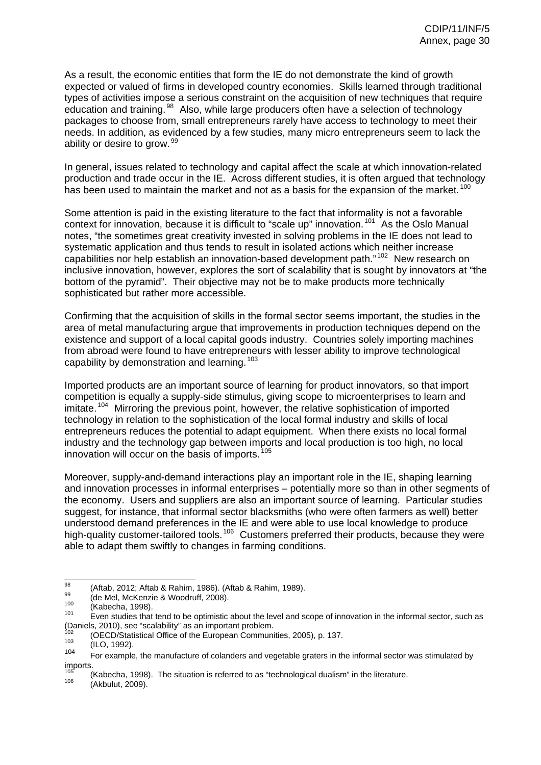As a result, the economic entities that form the IE do not demonstrate the kind of growth expected or valued of firms in developed country economies. Skills learned through traditional types of activities impose a serious constraint on the acquisition of new techniques that require education and training.<sup>[98](#page-12-3)</sup> Also, while large producers often have a selection of technology packages to choose from, small entrepreneurs rarely have access to technology to meet their needs. In addition, as evidenced by a few studies, many micro entrepreneurs seem to lack the ability or desire to grow.<sup>[99](#page-12-4)</sup>

In general, issues related to technology and capital affect the scale at which innovation-related production and trade occur in the IE. Across different studies, it is often argued that technology has been used to maintain the market and not as a basis for the expansion of the market.  $^{100}$  $^{100}$  $^{100}$ 

Some attention is paid in the existing literature to the fact that informality is not a favorable context for innovation, because it is difficult to "scale up" innovation.<sup>[101](#page-0-0)</sup> As the Oslo Manual notes, "the sometimes great creativity invested in solving problems in the IE does not lead to systematic application and thus tends to result in isolated actions which neither increase capabilities nor help establish an innovation-based development path."<sup>[102](#page-8-1)</sup> New research on inclusive innovation, however, explores the sort of scalability that is sought by innovators at "the bottom of the pyramid". Their objective may not be to make products more technically sophisticated but rather more accessible.

Confirming that the acquisition of skills in the formal sector seems important, the studies in the area of metal manufacturing argue that improvements in production techniques depend on the existence and support of a local capital goods industry. Countries solely importing machines from abroad were found to have entrepreneurs with lesser ability to improve technological capability by demonstration and learning. <sup>[103](#page-10-2)</sup>

Imported products are an important source of learning for product innovators, so that import competition is equally a supply-side stimulus, giving scope to microenterprises to learn and imitate.<sup>[104](#page-10-3)</sup> Mirroring the previous point, however, the relative sophistication of imported technology in relation to the sophistication of the local formal industry and skills of local entrepreneurs reduces the potential to adapt equipment. When there exists no local formal industry and the technology gap between imports and local production is too high, no local innovation will occur on the basis of imports.<sup>[105](#page-10-4)</sup>

Moreover, supply-and-demand interactions play an important role in the IE, shaping learning and innovation processes in informal enterprises – potentially more so than in other segments of the economy. Users and suppliers are also an important source of learning. Particular studies suggest, for instance, that informal sector blacksmiths (who were often farmers as well) better understood demand preferences in the IE and were able to use local knowledge to produce high-quality customer-tailored tools.<sup>[106](#page-12-1)</sup> Customers preferred their products, because they were able to adapt them swiftly to changes in farming conditions.

<sup>98</sup> 

<sup>&</sup>lt;sup>98</sup> (Aftab, 2012; Aftab & Rahim, 1986). (Aftab & Rahim, 1989).<br><sup>99</sup> (de Mel, McKenzie & Woodruff, 2008).<br><sup>100</sup> (Kabecha, 1998). Even studies that tend to be optimistic about the level and scope of innovation in the infor (Daniels, 2010), see "scalability" as an important problem.<br>  $^{102}$  (OECD/Statistical Office of the European Communities, 2005), p. 137.<br>  $^{103}$  (ILO, 1992).

<sup>104</sup> For example, the manufacture of colanders and vegetable graters in the informal sector was stimulated by imports.

<sup>&</sup>lt;sup>105</sup> (Kabecha, 1998). The situation is referred to as "technological dualism" in the literature.<br><sup>106</sup> (Akbulut, 2009).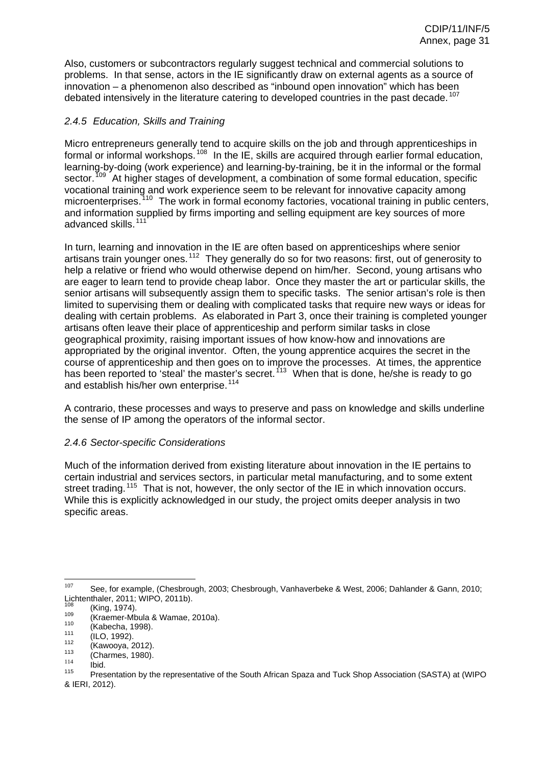Also, customers or subcontractors regularly suggest technical and commercial solutions to problems. In that sense, actors in the IE significantly draw on external agents as a source of innovation – a phenomenon also described as "inbound open innovation" which has been debated intensively in the literature catering to developed countries in the past decade.<sup>[107](#page-12-2)</sup>

# *2.4.5 Education, Skills and Training*

Micro entrepreneurs generally tend to acquire skills on the job and through apprenticeships in formal or informal workshops.<sup>[108](#page-12-3)</sup> In the IE, skills are acquired through earlier formal education, learning-by-doing (work experience) and learning-by-training, be it in the informal or the formal sector.<sup>[109](#page-12-4)</sup> At higher stages of development, a combination of some formal education, specific vocational training and work experience seem to be relevant for innovative capacity among microenterprises.<sup>[110](#page-13-0)</sup> The work in formal economy factories, vocational training in public centers, and information supplied by firms importing and selling equipment are key sources of more advanced skills.<sup>[111](#page-13-1)</sup>

In turn, learning and innovation in the IE are often based on apprenticeships where senior artisans train younger ones.<sup>[112](#page-13-2)</sup> They generally do so for two reasons: first, out of generosity to help a relative or friend who would otherwise depend on him/her. Second, young artisans who are eager to learn tend to provide cheap labor. Once they master the art or particular skills, the senior artisans will subsequently assign them to specific tasks. The senior artisan's role is then limited to supervising them or dealing with complicated tasks that require new ways or ideas for dealing with certain problems. As elaborated in Part 3, once their training is completed younger artisans often leave their place of apprenticeship and perform similar tasks in close geographical proximity, raising important issues of how know-how and innovations are appropriated by the original inventor. Often, the young apprentice acquires the secret in the course of apprenticeship and then goes on to improve the processes. At times, the apprentice has been reported to 'steal' the master's secret.<sup>[113](#page-13-3)</sup> When that is done, he/she is ready to go and establish his/her own enterprise.<sup>[114](#page-13-4)</sup>

A contrario, these processes and ways to preserve and pass on knowledge and skills underline the sense of IP among the operators of the informal sector.

# *2.4.6 Sector-specific Considerations*

Much of the information derived from existing literature about innovation in the IE pertains to certain industrial and services sectors, in particular metal manufacturing, and to some extent street trading.<sup>[115](#page-14-0)</sup> That is not, however, the only sector of the IE in which innovation occurs. While this is explicitly acknowledged in our study, the project omits deeper analysis in two specific areas.

<sup>107</sup> <sup>107</sup> See, for example, (Chesbrough, 2003; Chesbrough, Vanhaverbeke & West, 2006; Dahlander & Gann, 2010; Lichtenthaler, 2011; WIPO, 2011b).

<sup>&</sup>lt;sup>108</sup> (King, 1974).<br>
(Kraemer-Mbula & Wamae, 2010a).<br>
(Kabecha, 1998).<br>
(ILO, 1992).<br>
(Kawooya, 2012).<br>
(Charmes, 1980).<br>
<sup>114</sup> lbid.<br>
Presentation by the representative of the South African Spaza and Tuck Shop Association & IERI, 2012).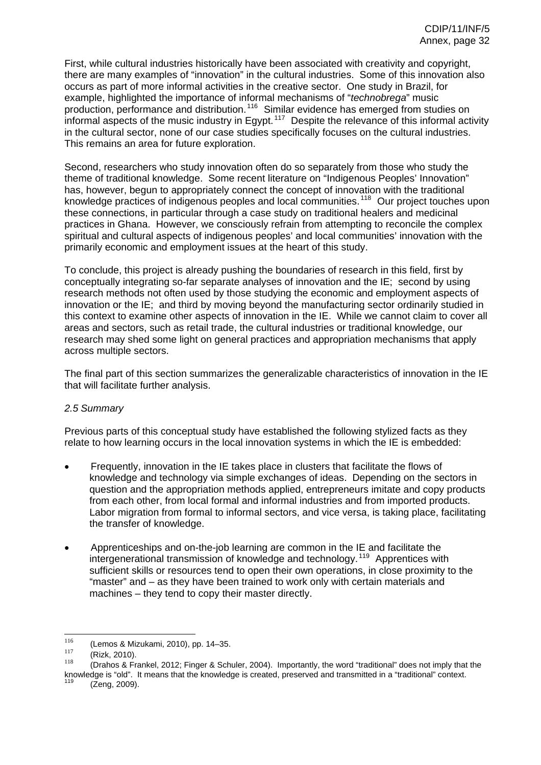First, while cultural industries historically have been associated with creativity and copyright, there are many examples of "innovation" in the cultural industries. Some of this innovation also occurs as part of more informal activities in the creative sector. One study in Brazil, for example, highlighted the importance of informal mechanisms of "*technobrega*" music production, performance and distribution.<sup>[116](#page-15-0)</sup> Similar evidence has emerged from studies on informal aspects of the music industry in Egypt.<sup>[117](#page-16-0)</sup> Despite the relevance of this informal activity in the cultural sector, none of our case studies specifically focuses on the cultural industries. This remains an area for future exploration.

Second, researchers who study innovation often do so separately from those who study the theme of traditional knowledge. Some recent literature on "Indigenous Peoples' Innovation" has, however, begun to appropriately connect the concept of innovation with the traditional knowledge practices of indigenous peoples and local communities.<sup>[118](#page-16-1)</sup> Our project touches upon these connections, in particular through a case study on traditional healers and medicinal practices in Ghana. However, we consciously refrain from attempting to reconcile the complex spiritual and cultural aspects of indigenous peoples' and local communities' innovation with the primarily economic and employment issues at the heart of this study.

To conclude, this project is already pushing the boundaries of research in this field, first by conceptually integrating so-far separate analyses of innovation and the IE; second by using research methods not often used by those studying the economic and employment aspects of innovation or the IE; and third by moving beyond the manufacturing sector ordinarily studied in this context to examine other aspects of innovation in the IE. While we cannot claim to cover all areas and sectors, such as retail trade, the cultural industries or traditional knowledge, our research may shed some light on general practices and appropriation mechanisms that apply across multiple sectors.

The final part of this section summarizes the generalizable characteristics of innovation in the IE that will facilitate further analysis.

# <span id="page-32-0"></span>*2.5 Summary*

Previous parts of this conceptual study have established the following stylized facts as they relate to how learning occurs in the local innovation systems in which the IE is embedded:

- Frequently, innovation in the IE takes place in clusters that facilitate the flows of knowledge and technology via simple exchanges of ideas. Depending on the sectors in question and the appropriation methods applied, entrepreneurs imitate and copy products from each other, from local formal and informal industries and from imported products. Labor migration from formal to informal sectors, and vice versa, is taking place, facilitating the transfer of knowledge.
- Apprenticeships and on-the-job learning are common in the IE and facilitate the intergenerational transmission of knowledge and technology.<sup>[119](#page-16-2)</sup> Apprentices with sufficient skills or resources tend to open their own operations, in close proximity to the "master" and – as they have been trained to work only with certain materials and machines – they tend to copy their master directly.

<sup>116</sup> <sup>116</sup> (Lemos & Mizukami, 2010), pp. 14–35.

 $^{117}$  (Rizk, 2010).

<sup>(</sup>Drahos & Frankel, 2012; Finger & Schuler, 2004). Importantly, the word "traditional" does not imply that the knowledge is "old". It means that the knowledge is created, preserved and transmitted in a "traditional" context.<br><sup>119</sup> (Zeng, 2009).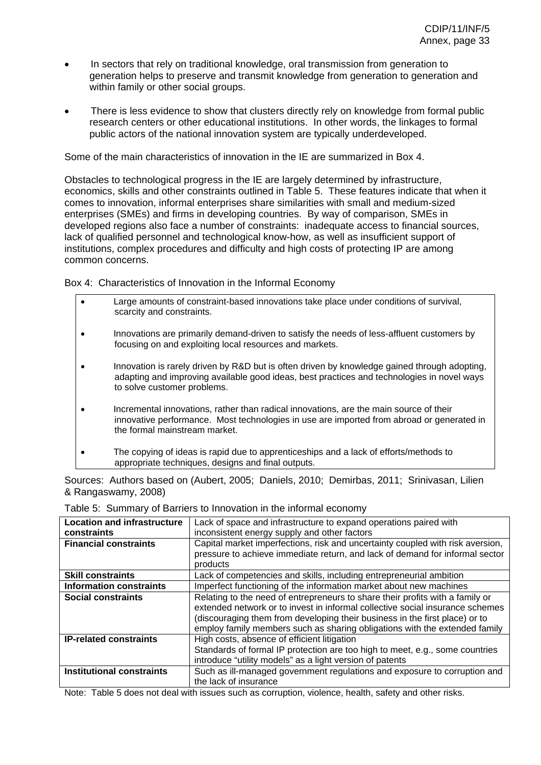- In sectors that rely on traditional knowledge, oral transmission from generation to generation helps to preserve and transmit knowledge from generation to generation and within family or other social groups.
- There is less evidence to show that clusters directly rely on knowledge from formal public research centers or other educational institutions. In other words, the linkages to formal public actors of the national innovation system are typically underdeveloped.

Some of the main characteristics of innovation in the IE are summarized in Box 4.

Obstacles to technological progress in the IE are largely determined by infrastructure, economics, skills and other constraints outlined in Table 5. These features indicate that when it comes to innovation, informal enterprises share similarities with small and medium-sized enterprises (SMEs) and firms in developing countries. By way of comparison, SMEs in developed regions also face a number of constraints: inadequate access to financial sources, lack of qualified personnel and technological know-how, as well as insufficient support of institutions, complex procedures and difficulty and high costs of protecting IP are among common concerns.

Box 4: Characteristics of Innovation in the Informal Economy

• Large amounts of constraint-based innovations take place under conditions of survival, scarcity and constraints. • Innovations are primarily demand-driven to satisfy the needs of less-affluent customers by focusing on and exploiting local resources and markets. • Innovation is rarely driven by R&D but is often driven by knowledge gained through adopting, adapting and improving available good ideas, best practices and technologies in novel ways to solve customer problems. • Incremental innovations, rather than radical innovations, are the main source of their innovative performance. Most technologies in use are imported from abroad or generated in the formal mainstream market. • The copying of ideas is rapid due to apprenticeships and a lack of efforts/methods to appropriate techniques, designs and final outputs.

Sources: Authors based on (Aubert, 2005; Daniels, 2010; Demirbas, 2011; Srinivasan, Lilien & Rangaswamy, 2008)

| <b>Location and infrastructure</b> | Lack of space and infrastructure to expand operations paired with              |
|------------------------------------|--------------------------------------------------------------------------------|
| constraints                        | inconsistent energy supply and other factors                                   |
| <b>Financial constraints</b>       | Capital market imperfections, risk and uncertainty coupled with risk aversion, |
|                                    | pressure to achieve immediate return, and lack of demand for informal sector   |
|                                    | products                                                                       |
| <b>Skill constraints</b>           | Lack of competencies and skills, including entrepreneurial ambition            |
| <b>Information constraints</b>     | Imperfect functioning of the information market about new machines             |
| Social constraints                 | Relating to the need of entrepreneurs to share their profits with a family or  |
|                                    | extended network or to invest in informal collective social insurance schemes  |
|                                    | (discouraging them from developing their business in the first place) or to    |
|                                    | employ family members such as sharing obligations with the extended family     |
| <b>IP-related constraints</b>      | High costs, absence of efficient litigation                                    |
|                                    | Standards of formal IP protection are too high to meet, e.g., some countries   |
|                                    | introduce "utility models" as a light version of patents                       |
| <b>Institutional constraints</b>   | Such as ill-managed government regulations and exposure to corruption and      |
|                                    | the lack of insurance                                                          |

Table 5: Summary of Barriers to Innovation in the informal economy

Note: Table 5 does not deal with issues such as corruption, violence, health, safety and other risks.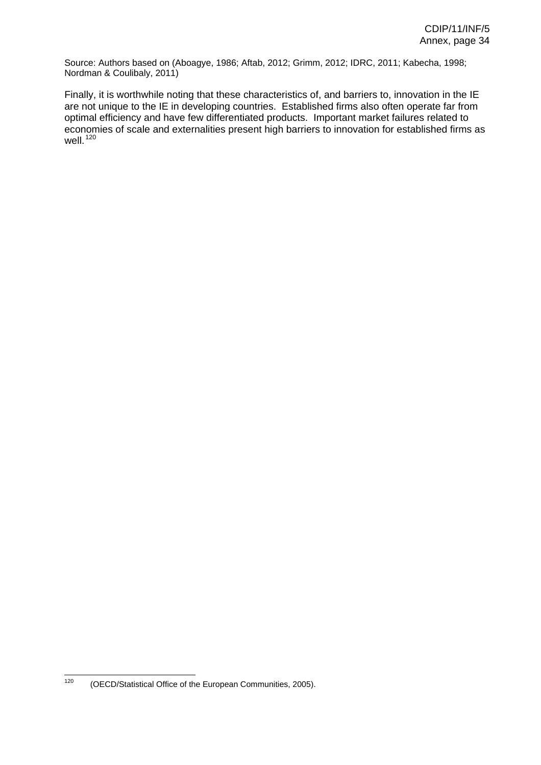Source: Authors based on (Aboagye, 1986; Aftab, 2012; Grimm, 2012; IDRC, 2011; Kabecha, 1998; Nordman & Coulibaly, 2011)

Finally, it is worthwhile noting that these characteristics of, and barriers to, innovation in the IE are not unique to the IE in developing countries. Established firms also often operate far from optimal efficiency and have few differentiated products. Important market failures related to economies of scale and externalities present high barriers to innovation for established firms as well. <sup>[120](#page-16-3)</sup>

<sup>120</sup> (OECD/Statistical Office of the European Communities, 2005).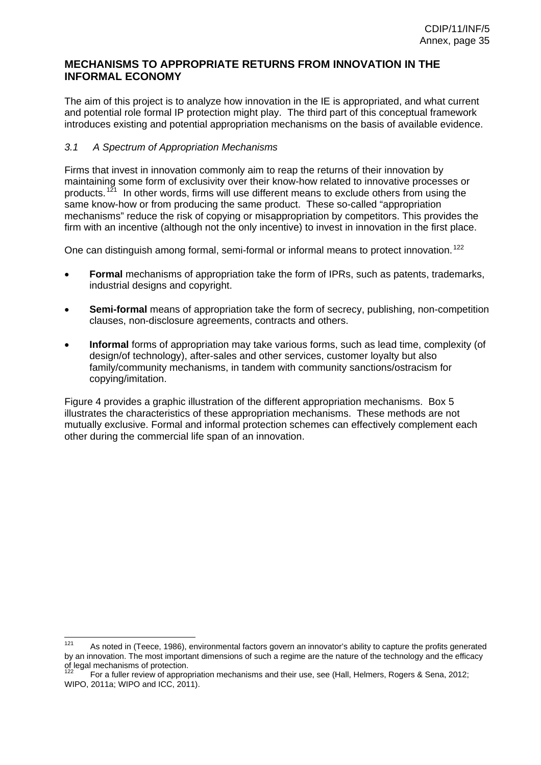# <span id="page-35-0"></span>**MECHANISMS TO APPROPRIATE RETURNS FROM INNOVATION IN THE INFORMAL ECONOMY**

The aim of this project is to analyze how innovation in the IE is appropriated, and what current and potential role formal IP protection might play. The third part of this conceptual framework introduces existing and potential appropriation mechanisms on the basis of available evidence.

## <span id="page-35-1"></span>*3.1 A Spectrum of Appropriation Mechanisms*

Firms that invest in innovation commonly aim to reap the returns of their innovation by maintaining some form of exclusivity over their know-how related to innovative processes or products.<sup>[121](#page-16-4)</sup> In other words, firms will use different means to exclude others from using the same know-how or from producing the same product. These so-called "appropriation mechanisms" reduce the risk of copying or misappropriation by competitors. This provides the firm with an incentive (although not the only incentive) to invest in innovation in the first place.

One can distinguish among formal, semi-formal or informal means to protect innovation.<sup>[122](#page-16-5)</sup>

- **Formal** mechanisms of appropriation take the form of IPRs, such as patents, trademarks, industrial designs and copyright.
- **Semi-formal** means of appropriation take the form of secrecy, publishing, non-competition clauses, non-disclosure agreements, contracts and others.
- **Informal** forms of appropriation may take various forms, such as lead time, complexity (of design/of technology), after-sales and other services, customer loyalty but also family/community mechanisms, in tandem with community sanctions/ostracism for copying/imitation.

Figure 4 provides a graphic illustration of the different appropriation mechanisms. Box 5 illustrates the characteristics of these appropriation mechanisms. These methods are not mutually exclusive. Formal and informal protection schemes can effectively complement each other during the commercial life span of an innovation.

 As noted in (Teece, 1986), environmental factors govern an innovator's ability to capture the profits generated by an innovation. The most important dimensions of such a regime are the nature of the technology and the efficacy of legal mechanisms of protection.

For a fuller review of appropriation mechanisms and their use, see (Hall, Helmers, Rogers & Sena, 2012; WIPO, 2011a; WIPO and ICC, 2011).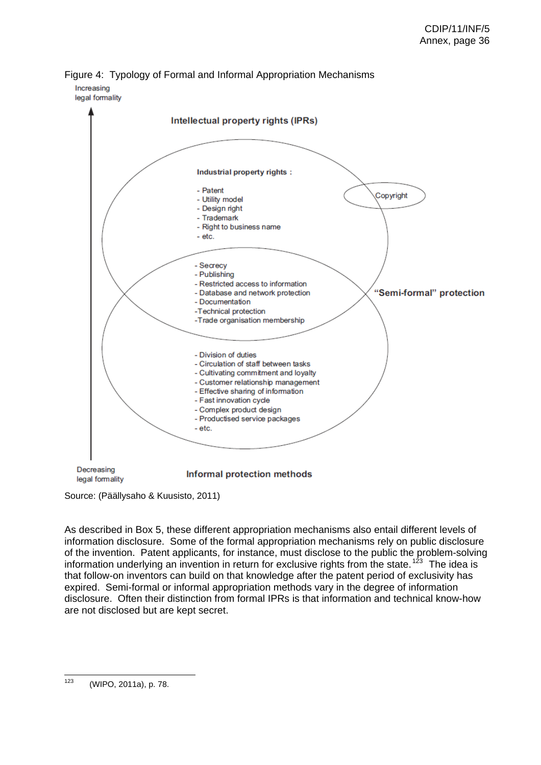



Source: (Päällysaho & Kuusisto, 2011)

As described in Box 5, these different appropriation mechanisms also entail different levels of information disclosure. Some of the formal appropriation mechanisms rely on public disclosure of the invention. Patent applicants, for instance, must disclose to the public the problem-solving information underlying an invention in return for exclusive rights from the state.<sup>[123](#page-16-0)</sup> The idea is that follow-on inventors can build on that knowledge after the patent period of exclusivity has expired. Semi-formal or informal appropriation methods vary in the degree of information disclosure. Often their distinction from formal IPRs is that information and technical know-how are not disclosed but are kept secret.

 $123$ (WIPO, 2011a), p. 78.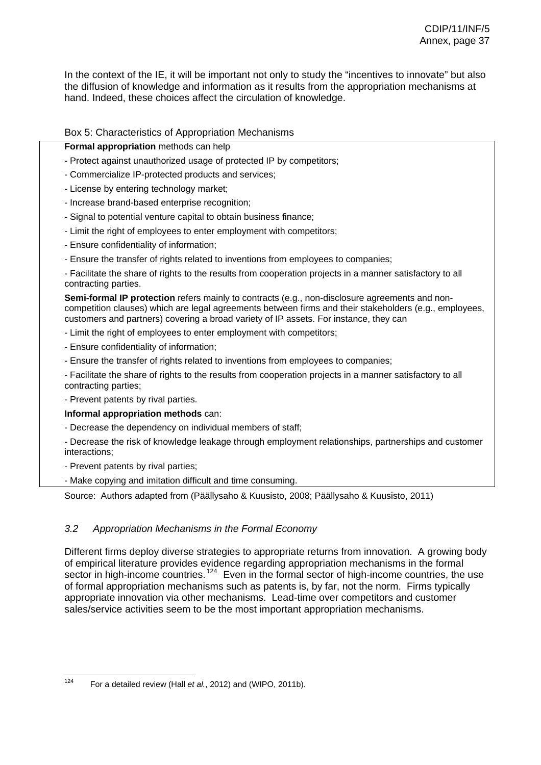In the context of the IE, it will be important not only to study the "incentives to innovate" but also the diffusion of knowledge and information as it results from the appropriation mechanisms at hand. Indeed, these choices affect the circulation of knowledge.

### Box 5: Characteristics of Appropriation Mechanisms

#### **Formal appropriation** methods can help

- Protect against unauthorized usage of protected IP by competitors;
- Commercialize IP-protected products and services;
- License by entering technology market;
- Increase brand-based enterprise recognition;
- Signal to potential venture capital to obtain business finance;
- Limit the right of employees to enter employment with competitors;
- Ensure confidentiality of information;
- Ensure the transfer of rights related to inventions from employees to companies;

- Facilitate the share of rights to the results from cooperation projects in a manner satisfactory to all contracting parties.

**Semi-formal IP protection** refers mainly to contracts (e.g., non-disclosure agreements and noncompetition clauses) which are legal agreements between firms and their stakeholders (e.g., employees, customers and partners) covering a broad variety of IP assets. For instance, they can

- Limit the right of employees to enter employment with competitors;
- Ensure confidentiality of information;
- Ensure the transfer of rights related to inventions from employees to companies;
- Facilitate the share of rights to the results from cooperation projects in a manner satisfactory to all contracting parties;
- Prevent patents by rival parties.
- **Informal appropriation methods** can:
- Decrease the dependency on individual members of staff;
- Decrease the risk of knowledge leakage through employment relationships, partnerships and customer interactions;
- Prevent patents by rival parties;
- Make copying and imitation difficult and time consuming.

Source: Authors adapted from (Päällysaho & Kuusisto, 2008; Päällysaho & Kuusisto, 2011)

# *3.2 Appropriation Mechanisms in the Formal Economy*

Different firms deploy diverse strategies to appropriate returns from innovation. A growing body of empirical literature provides evidence regarding appropriation mechanisms in the formal sector in high-income countries.<sup>[124](#page-16-1)</sup> Even in the formal sector of high-income countries, the use of formal appropriation mechanisms such as patents is, by far, not the norm. Firms typically appropriate innovation via other mechanisms. Lead-time over competitors and customer sales/service activities seem to be the most important appropriation mechanisms.

<sup>124</sup> For a detailed review (Hall *et al.*, 2012) and (WIPO, 2011b).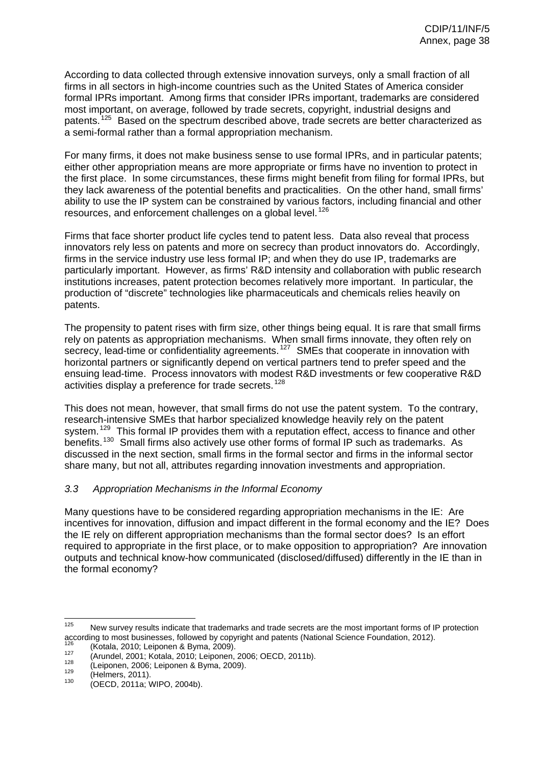According to data collected through extensive innovation surveys, only a small fraction of all firms in all sectors in high-income countries such as the United States of America consider formal IPRs important. Among firms that consider IPRs important, trademarks are considered most important, on average, followed by trade secrets, copyright, industrial designs and patents.<sup>[125](#page-16-2)</sup> Based on the spectrum described above, trade secrets are better characterized as a semi-formal rather than a formal appropriation mechanism.

For many firms, it does not make business sense to use formal IPRs, and in particular patents; either other appropriation means are more appropriate or firms have no invention to protect in the first place. In some circumstances, these firms might benefit from filing for formal IPRs, but they lack awareness of the potential benefits and practicalities. On the other hand, small firms' ability to use the IP system can be constrained by various factors, including financial and other resources, and enforcement challenges on a global level.<sup>[126](#page-17-0)</sup>

Firms that face shorter product life cycles tend to patent less. Data also reveal that process innovators rely less on patents and more on secrecy than product innovators do. Accordingly, firms in the service industry use less formal IP; and when they do use IP, trademarks are particularly important. However, as firms' R&D intensity and collaboration with public research institutions increases, patent protection becomes relatively more important. In particular, the production of "discrete" technologies like pharmaceuticals and chemicals relies heavily on patents.

The propensity to patent rises with firm size, other things being equal. It is rare that small firms rely on patents as appropriation mechanisms. When small firms innovate, they often rely on secrecy, lead-time or confidentiality agreements.<sup>[127](#page-17-1)</sup> SMEs that cooperate in innovation with horizontal partners or significantly depend on vertical partners tend to prefer speed and the ensuing lead-time. Process innovators with modest R&D investments or few cooperative R&D activities display a preference for trade secrets.<sup>[128](#page-17-2)</sup>

This does not mean, however, that small firms do not use the patent system. To the contrary, research-intensive SMEs that harbor specialized knowledge heavily rely on the patent system.<sup>[129](#page-17-3)</sup> This formal IP provides them with a reputation effect, access to finance and other benefits.<sup>[130](#page-17-4)</sup> Small firms also actively use other forms of formal IP such as trademarks. As discussed in the next section, small firms in the formal sector and firms in the informal sector share many, but not all, attributes regarding innovation investments and appropriation.

# *3.3 Appropriation Mechanisms in the Informal Economy*

Many questions have to be considered regarding appropriation mechanisms in the IE: Are incentives for innovation, diffusion and impact different in the formal economy and the IE? Does the IE rely on different appropriation mechanisms than the formal sector does? Is an effort required to appropriate in the first place, or to make opposition to appropriation? Are innovation outputs and technical know-how communicated (disclosed/diffused) differently in the IE than in the formal economy?

<sup>125</sup> New survey results indicate that trademarks and trade secrets are the most important forms of IP protection according to most businesses, followed by copyright and patents (National Science Foundation, 2012).<br>
(Kotala, 2010; Leiponen & Byma, 2009).<br>
(Arundel, 2001; Kotala, 2010; Leiponen, 2006; OECD, 2011b).<br>
(Leiponen, 2006; Le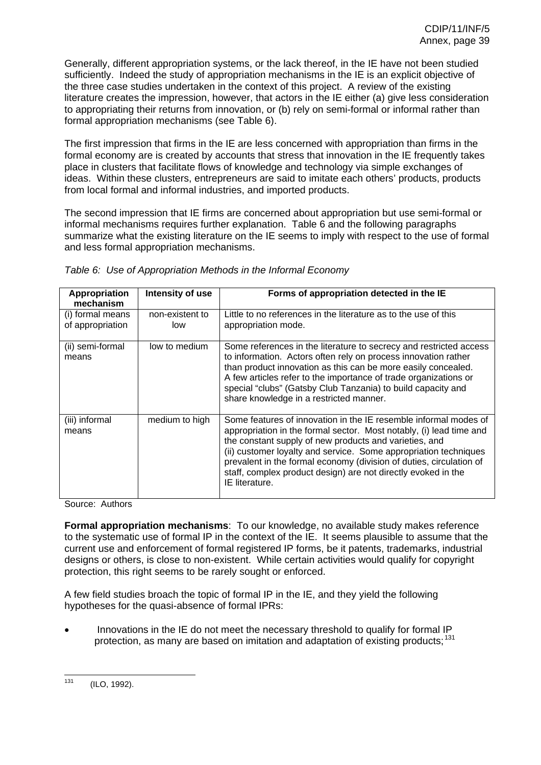Generally, different appropriation systems, or the lack thereof, in the IE have not been studied sufficiently. Indeed the study of appropriation mechanisms in the IE is an explicit objective of the three case studies undertaken in the context of this project. A review of the existing literature creates the impression, however, that actors in the IE either (a) give less consideration to appropriating their returns from innovation, or (b) rely on semi-formal or informal rather than formal appropriation mechanisms (see Table 6).

The first impression that firms in the IE are less concerned with appropriation than firms in the formal economy are is created by accounts that stress that innovation in the IE frequently takes place in clusters that facilitate flows of knowledge and technology via simple exchanges of ideas. Within these clusters, entrepreneurs are said to imitate each others' products, products from local formal and informal industries, and imported products.

The second impression that IE firms are concerned about appropriation but use semi-formal or informal mechanisms requires further explanation. Table 6 and the following paragraphs summarize what the existing literature on the IE seems to imply with respect to the use of formal and less formal appropriation mechanisms.

| Appropriation<br>mechanism           | Intensity of use       | Forms of appropriation detected in the IE                                                                                                                                                                                                                                                                                                                                                                                       |
|--------------------------------------|------------------------|---------------------------------------------------------------------------------------------------------------------------------------------------------------------------------------------------------------------------------------------------------------------------------------------------------------------------------------------------------------------------------------------------------------------------------|
| (i) formal means<br>of appropriation | non-existent to<br>low | Little to no references in the literature as to the use of this<br>appropriation mode.                                                                                                                                                                                                                                                                                                                                          |
| (ii) semi-formal<br>means            | low to medium          | Some references in the literature to secrecy and restricted access<br>to information. Actors often rely on process innovation rather<br>than product innovation as this can be more easily concealed.<br>A few articles refer to the importance of trade organizations or<br>special "clubs" (Gatsby Club Tanzania) to build capacity and<br>share knowledge in a restricted manner.                                            |
| (iii) informal<br>means              | medium to high         | Some features of innovation in the IE resemble informal modes of<br>appropriation in the formal sector. Most notably, (i) lead time and<br>the constant supply of new products and varieties, and<br>(ii) customer loyalty and service. Some appropriation techniques<br>prevalent in the formal economy (division of duties, circulation of<br>staff, complex product design) are not directly evoked in the<br>IE literature. |

|  | Table 6: Use of Appropriation Methods in the Informal Economy |  |
|--|---------------------------------------------------------------|--|
|  |                                                               |  |

Source: Authors

**Formal appropriation mechanisms**: To our knowledge, no available study makes reference to the systematic use of formal IP in the context of the IE. It seems plausible to assume that the current use and enforcement of formal registered IP forms, be it patents, trademarks, industrial designs or others, is close to non-existent. While certain activities would qualify for copyright protection, this right seems to be rarely sought or enforced.

A few field studies broach the topic of formal IP in the IE, and they yield the following hypotheses for the quasi-absence of formal IPRs:

• Innovations in the IE do not meet the necessary threshold to qualify for formal IP protection, as many are based on imitation and adaptation of existing products;<sup>[131](#page-17-5)</sup>

<sup>131</sup> (ILO, 1992).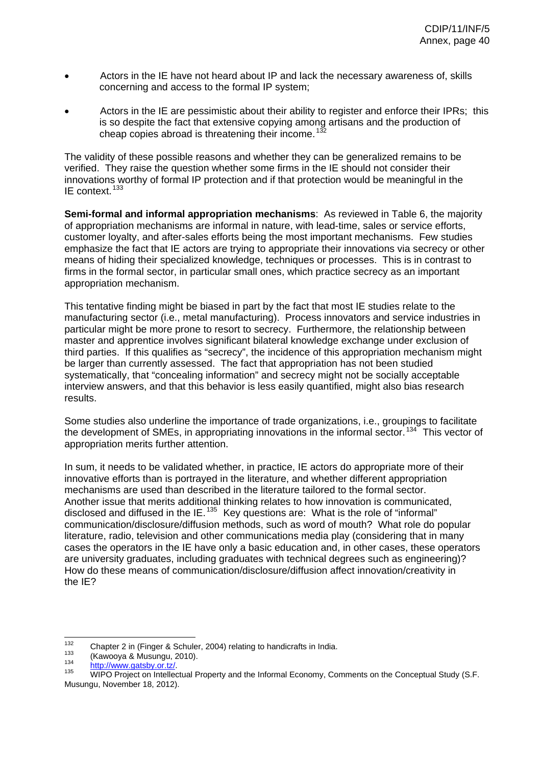- Actors in the IE have not heard about IP and lack the necessary awareness of, skills concerning and access to the formal IP system;
- Actors in the IE are pessimistic about their ability to register and enforce their IPRs; this is so despite the fact that extensive copying among artisans and the production of cheap copies abroad is threatening their income.<sup>[132](#page-17-6)</sup>

The validity of these possible reasons and whether they can be generalized remains to be verified. They raise the question whether some firms in the IE should not consider their innovations worthy of formal IP protection and if that protection would be meaningful in the IE context.<sup>[133](#page-17-7)</sup>

**Semi-formal and informal appropriation mechanisms**: As reviewed in Table 6, the majority of appropriation mechanisms are informal in nature, with lead-time, sales or service efforts, customer loyalty, and after-sales efforts being the most important mechanisms. Few studies emphasize the fact that IE actors are trying to appropriate their innovations via secrecy or other means of hiding their specialized knowledge, techniques or processes. This is in contrast to firms in the formal sector, in particular small ones, which practice secrecy as an important appropriation mechanism.

This tentative finding might be biased in part by the fact that most IE studies relate to the manufacturing sector (i.e., metal manufacturing). Process innovators and service industries in particular might be more prone to resort to secrecy. Furthermore, the relationship between master and apprentice involves significant bilateral knowledge exchange under exclusion of third parties. If this qualifies as "secrecy", the incidence of this appropriation mechanism might be larger than currently assessed. The fact that appropriation has not been studied systematically, that "concealing information" and secrecy might not be socially acceptable interview answers, and that this behavior is less easily quantified, might also bias research results.

Some studies also underline the importance of trade organizations, i.e., groupings to facilitate the development of SMEs, in appropriating innovations in the informal sector.<sup>[134](#page-17-8)</sup> This vector of appropriation merits further attention.

In sum, it needs to be validated whether, in practice, IE actors do appropriate more of their innovative efforts than is portrayed in the literature, and whether different appropriation mechanisms are used than described in the literature tailored to the formal sector. Another issue that merits additional thinking relates to how innovation is communicated, disclosed and diffused in the IE.<sup>[135](#page-18-0)</sup> Key questions are: What is the role of "informal" communication/disclosure/diffusion methods, such as word of mouth? What role do popular literature, radio, television and other communications media play (considering that in many cases the operators in the IE have only a basic education and, in other cases, these operators are university graduates, including graduates with technical degrees such as engineering)? How do these means of communication/disclosure/diffusion affect innovation/creativity in the IE?

<sup>132</sup> 

<sup>&</sup>lt;sup>132</sup> Chapter 2 in (Finger & Schuler, 2004) relating to handicrafts in India.<br><sup>133</sup> (Kawooya & Musungu, 2010).<br><sup>134</sup> http://www.gatsby.or.tz/.<br><sup>135</sup> WIPO Project on Intellectual Property and the Informal Economy, Comments Musungu, November 18, 2012).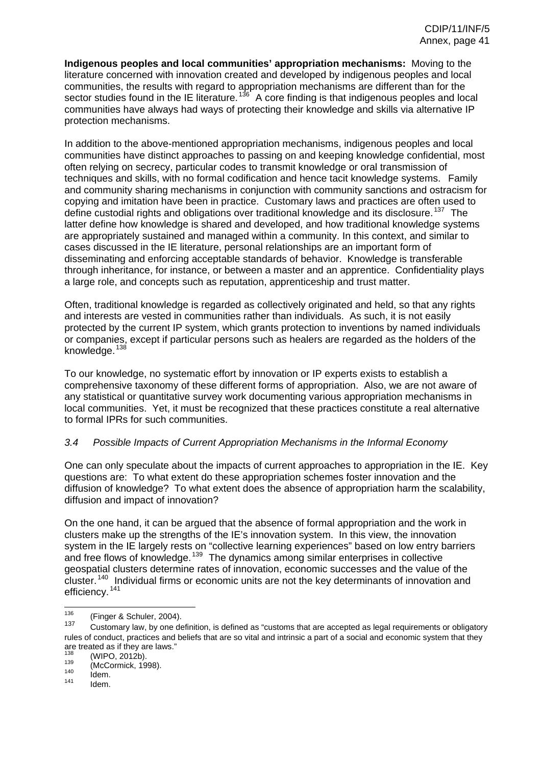**Indigenous peoples and local communities' appropriation mechanisms:** Moving to the literature concerned with innovation created and developed by indigenous peoples and local communities, the results with regard to appropriation mechanisms are different than for the sector studies found in the IE literature.<sup>[136](#page-18-1)</sup> A core finding is that indigenous peoples and local communities have always had ways of protecting their knowledge and skills via alternative IP protection mechanisms.

In addition to the above-mentioned appropriation mechanisms, indigenous peoples and local communities have distinct approaches to passing on and keeping knowledge confidential, most often relying on secrecy, particular codes to transmit knowledge or oral transmission of techniques and skills, with no formal codification and hence tacit knowledge systems. Family and community sharing mechanisms in conjunction with community sanctions and ostracism for copying and imitation have been in practice. Customary laws and practices are often used to define custodial rights and obligations over traditional knowledge and its disclosure.<sup>[137](#page-18-2)</sup> The latter define how knowledge is shared and developed, and how traditional knowledge systems are appropriately sustained and managed within a community. In this context, and similar to cases discussed in the IE literature, personal relationships are an important form of disseminating and enforcing acceptable standards of behavior. Knowledge is transferable through inheritance, for instance, or between a master and an apprentice. Confidentiality plays a large role, and concepts such as reputation, apprenticeship and trust matter.

Often, traditional knowledge is regarded as collectively originated and held, so that any rights and interests are vested in communities rather than individuals. As such, it is not easily protected by the current IP system, which grants protection to inventions by named individuals or companies, except if particular persons such as healers are regarded as the holders of the knowledge.<sup>[138](#page-18-3)</sup>

To our knowledge, no systematic effort by innovation or IP experts exists to establish a comprehensive taxonomy of these different forms of appropriation. Also, we are not aware of any statistical or quantitative survey work documenting various appropriation mechanisms in local communities. Yet, it must be recognized that these practices constitute a real alternative to formal IPRs for such communities.

# *3.4 Possible Impacts of Current Appropriation Mechanisms in the Informal Economy*

One can only speculate about the impacts of current approaches to appropriation in the IE. Key questions are: To what extent do these appropriation schemes foster innovation and the diffusion of knowledge? To what extent does the absence of appropriation harm the scalability, diffusion and impact of innovation?

On the one hand, it can be argued that the absence of formal appropriation and the work in clusters make up the strengths of the IE's innovation system. In this view, the innovation system in the IE largely rests on "collective learning experiences" based on low entry barriers and free flows of knowledge.<sup>[139](#page-18-4)</sup> The dynamics among similar enterprises in collective geospatial clusters determine rates of innovation, economic successes and the value of the cluster.<sup>[140](#page-19-0)</sup> Individual firms or economic units are not the key determinants of innovation and efficiency.<sup>[141](#page-19-1)</sup>

 $\frac{1}{136}$  $\frac{136}{137}$  (Finger & Schuler, 2004).

Customary law, by one definition, is defined as "customs that are accepted as legal requirements or obligatory rules of conduct, practices and beliefs that are so vital and intrinsic a part of a social and economic system that they are treated as if they are laws."

 $^{138}$  (WIPO, 2012b).<br>  $^{139}$  (McCormick, 1998).<br>  $^{140}$  Idem.<br>
Idem.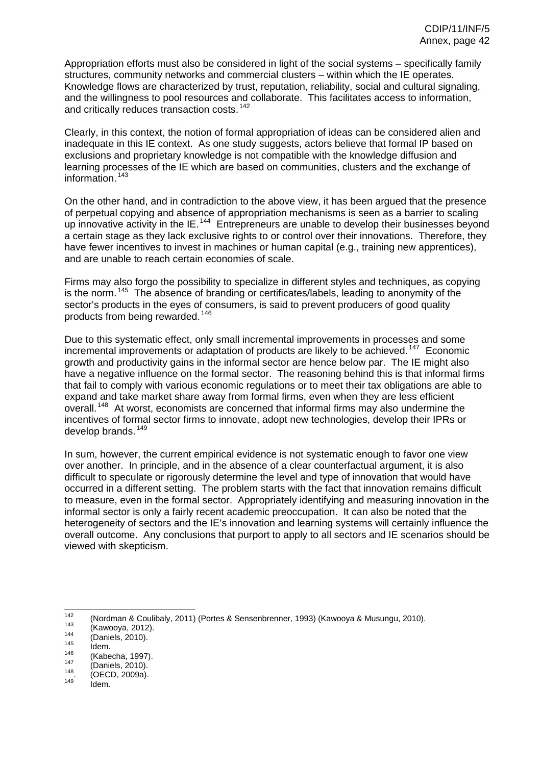Appropriation efforts must also be considered in light of the social systems – specifically family structures, community networks and commercial clusters – within which the IE operates. Knowledge flows are characterized by trust, reputation, reliability, social and cultural signaling, and the willingness to pool resources and collaborate. This facilitates access to information, and critically reduces transaction costs.<sup>[142](#page-19-2)</sup>

Clearly, in this context, the notion of formal appropriation of ideas can be considered alien and inadequate in this IE context. As one study suggests, actors believe that formal IP based on exclusions and proprietary knowledge is not compatible with the knowledge diffusion and learning processes of the IE which are based on communities, clusters and the exchange of information.<sup>[143](#page-20-0)</sup>

On the other hand, and in contradiction to the above view, it has been argued that the presence of perpetual copying and absence of appropriation mechanisms is seen as a barrier to scaling up innovative activity in the IE.<sup>[144](#page-20-1)</sup> Entrepreneurs are unable to develop their businesses beyond a certain stage as they lack exclusive rights to or control over their innovations. Therefore, they have fewer incentives to invest in machines or human capital (e.g., training new apprentices), and are unable to reach certain economies of scale.

Firms may also forgo the possibility to specialize in different styles and techniques, as copying is the norm.<sup>[145](#page-20-2)</sup> The absence of branding or certificates/labels, leading to anonymity of the sector's products in the eyes of consumers, is said to prevent producers of good quality products from being rewarded.<sup>[146](#page-20-3)</sup>

Due to this systematic effect, only small incremental improvements in processes and some incremental improvements or adaptation of products are likely to be achieved.<sup>[147](#page-20-4)</sup> Economic growth and productivity gains in the informal sector are hence below par. The IE might also have a negative influence on the formal sector. The reasoning behind this is that informal firms that fail to comply with various economic regulations or to meet their tax obligations are able to expand and take market share away from formal firms, even when they are less efficient overall.<sup>[148](#page-21-0)</sup> At worst, economists are concerned that informal firms may also undermine the incentives of formal sector firms to innovate, adopt new technologies, develop their IPRs or develop brands.<sup>[149](#page-21-1)</sup>

In sum, however, the current empirical evidence is not systematic enough to favor one view over another. In principle, and in the absence of a clear counterfactual argument, it is also difficult to speculate or rigorously determine the level and type of innovation that would have occurred in a different setting. The problem starts with the fact that innovation remains difficult to measure, even in the formal sector. Appropriately identifying and measuring innovation in the informal sector is only a fairly recent academic preoccupation. It can also be noted that the heterogeneity of sectors and the IE's innovation and learning systems will certainly influence the overall outcome. Any conclusions that purport to apply to all sectors and IE scenarios should be viewed with skepticism.

 $142$ 142 (Nordman & Coulibaly, 2011) (Portes & Sensenbrenner, 1993) (Kawooya & Musungu, 2010).<br>
143 (Kawooya, 2012).<br>
144 (Daniels, 2010).<br>
145 Idem. (Kabecha, 1997).<br>
147 (Daniels, 2010).<br>
148. (OECD, 2009a).<br>
149 Idem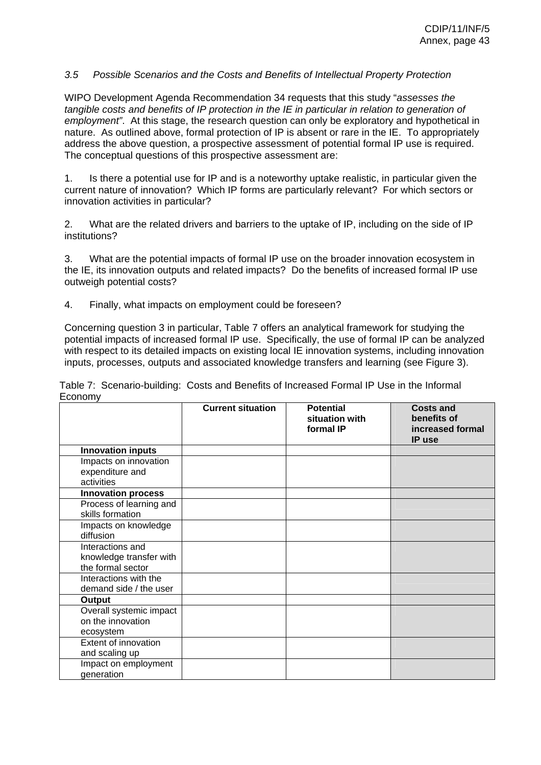### *3.5 Possible Scenarios and the Costs and Benefits of Intellectual Property Protection*

WIPO Development Agenda Recommendation 34 requests that this study "*assesses the tangible costs and benefits of IP protection in the IE in particular in relation to generation of employment"*. At this stage, the research question can only be exploratory and hypothetical in nature. As outlined above, formal protection of IP is absent or rare in the IE. To appropriately address the above question, a prospective assessment of potential formal IP use is required. The conceptual questions of this prospective assessment are:

1. Is there a potential use for IP and is a noteworthy uptake realistic, in particular given the current nature of innovation? Which IP forms are particularly relevant? For which sectors or innovation activities in particular?

2. What are the related drivers and barriers to the uptake of IP, including on the side of IP institutions?

3. What are the potential impacts of formal IP use on the broader innovation ecosystem in the IE, its innovation outputs and related impacts? Do the benefits of increased formal IP use outweigh potential costs?

4. Finally, what impacts on employment could be foreseen?

Concerning question 3 in particular, Table 7 offers an analytical framework for studying the potential impacts of increased formal IP use. Specifically, the use of formal IP can be analyzed with respect to its detailed impacts on existing local IE innovation systems, including innovation inputs, processes, outputs and associated knowledge transfers and learning (see Figure 3).

**Current situation Potential situation with formal IP Costs and benefits of increased formal IP use Innovation inputs**  Impacts on innovation expenditure and activities **Innovation process**  Process of learning and skills formation Impacts on knowledge diffusion Interactions and knowledge transfer with the formal sector Interactions with the demand side / the user **Output**  Overall systemic impact on the innovation ecosystem Extent of innovation and scaling up Impact on employment generation

Table 7: Scenario-building: Costs and Benefits of Increased Formal IP Use in the Informal Economy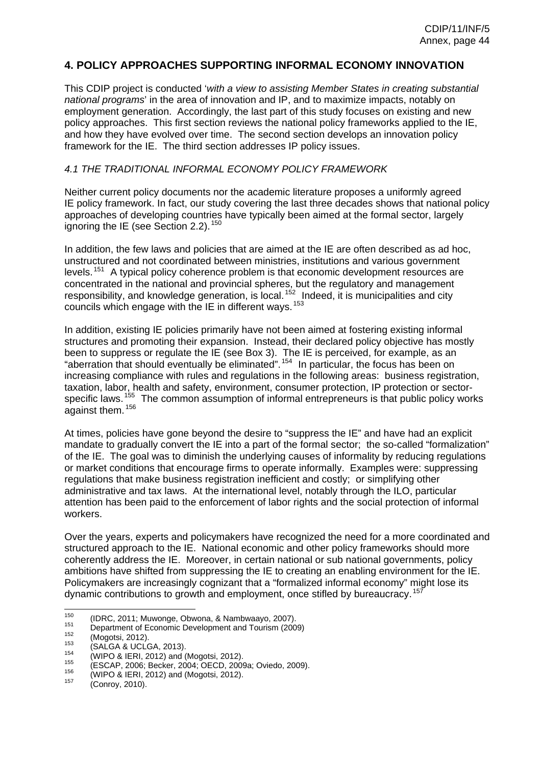# **4. POLICY APPROACHES SUPPORTING INFORMAL ECONOMY INNOVATION**

This CDIP project is conducted '*with a view to assisting Member States in creating substantial national programs*' in the area of innovation and IP, and to maximize impacts, notably on employment generation. Accordingly, the last part of this study focuses on existing and new policy approaches. This first section reviews the national policy frameworks applied to the IE, and how they have evolved over time. The second section develops an innovation policy framework for the IE. The third section addresses IP policy issues.

#### *4.1 THE TRADITIONAL INFORMAL ECONOMY POLICY FRAMEWORK*

Neither current policy documents nor the academic literature proposes a uniformly agreed IE policy framework. In fact, our study covering the last three decades shows that national policy approaches of developing countries have typically been aimed at the formal sector, largely ignoring the IE (see Section 2.2).<sup>[150](#page-21-2)</sup>

In addition, the few laws and policies that are aimed at the IE are often described as ad hoc, unstructured and not coordinated between ministries, institutions and various government levels.<sup>[151](#page-21-3)</sup> A typical policy coherence problem is that economic development resources are concentrated in the national and provincial spheres, but the regulatory and management responsibility, and knowledge generation, is local.  $152$  Indeed, it is municipalities and city councils which engage with the IE in different ways.  $153$ 

In addition, existing IE policies primarily have not been aimed at fostering existing informal structures and promoting their expansion. Instead, their declared policy objective has mostly been to suppress or regulate the IE (see Box 3). The IE is perceived, for example, as an "aberration that should eventually be eliminated".<sup>[154](#page-23-0)</sup> In particular, the focus has been on increasing compliance with rules and regulations in the following areas: business registration, taxation, labor, health and safety, environment, consumer protection, IP protection or sector-specific laws.<sup>[155](#page-23-1)</sup> The common assumption of informal entrepreneurs is that public policy works against them. <sup>[156](#page-23-2)</sup>

At times, policies have gone beyond the desire to "suppress the IE" and have had an explicit mandate to gradually convert the IE into a part of the formal sector; the so-called "formalization" of the IE. The goal was to diminish the underlying causes of informality by reducing regulations or market conditions that encourage firms to operate informally. Examples were: suppressing regulations that make business registration inefficient and costly; or simplifying other administrative and tax laws. At the international level, notably through the ILO, particular attention has been paid to the enforcement of labor rights and the social protection of informal workers.

Over the years, experts and policymakers have recognized the need for a more coordinated and structured approach to the IE. National economic and other policy frameworks should more coherently address the IE. Moreover, in certain national or sub national governments, policy ambitions have shifted from suppressing the IE to creating an enabling environment for the IE. Policymakers are increasingly cognizant that a "formalized informal economy" might lose its dynamic contributions to growth and employment, once stifled by bureaucracy.<sup>[157](#page-23-3)</sup>

- $\frac{1}{150}$
- <sup>150</sup> (IDRC, 2011; Muwonge, Obwona, & Nambwaayo, 2007).<br>
<sup>151</sup> Department of Economic Development and Tourism (2009)<br>
(Mogotsi, 2012).<br>
(SALGA & UCLGA, 2013).<br>
<sup>154</sup> (WIPO & IERI, 2012) and (Mogotsi, 2012).<br>
<sup>155</sup> (ESCAP,
-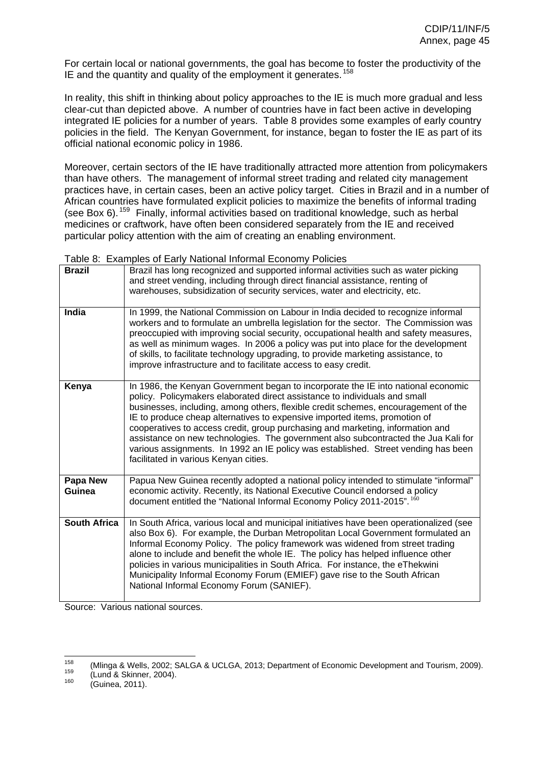For certain local or national governments, the goal has become to foster the productivity of the IE and the quantity and quality of the employment it generates.<sup>[158](#page-23-4)</sup>

In reality, this shift in thinking about policy approaches to the IE is much more gradual and less clear-cut than depicted above. A number of countries have in fact been active in developing integrated IE policies for a number of years. Table 8 provides some examples of early country policies in the field. The Kenyan Government, for instance, began to foster the IE as part of its official national economic policy in 1986.

Moreover, certain sectors of the IE have traditionally attracted more attention from policymakers than have others. The management of informal street trading and related city management practices have, in certain cases, been an active policy target. Cities in Brazil and in a number of African countries have formulated explicit policies to maximize the benefits of informal trading (see Box 6).<sup>[159](#page-23-5)</sup> Finally, informal activities based on traditional knowledge, such as herbal medicines or craftwork, have often been considered separately from the IE and received particular policy attention with the aim of creating an enabling environment.

Table 8: Examples of Early National Informal Economy Policies

| <b>Brazil</b>       | Brazil has long recognized and supported informal activities such as water picking<br>and street vending, including through direct financial assistance, renting of<br>warehouses, subsidization of security services, water and electricity, etc.                                                                                                                                                                                                                                                                                                                                                                                         |
|---------------------|--------------------------------------------------------------------------------------------------------------------------------------------------------------------------------------------------------------------------------------------------------------------------------------------------------------------------------------------------------------------------------------------------------------------------------------------------------------------------------------------------------------------------------------------------------------------------------------------------------------------------------------------|
| India               | In 1999, the National Commission on Labour in India decided to recognize informal<br>workers and to formulate an umbrella legislation for the sector. The Commission was<br>preoccupied with improving social security, occupational health and safety measures,<br>as well as minimum wages. In 2006 a policy was put into place for the development<br>of skills, to facilitate technology upgrading, to provide marketing assistance, to<br>improve infrastructure and to facilitate access to easy credit.                                                                                                                             |
| Kenya               | In 1986, the Kenyan Government began to incorporate the IE into national economic<br>policy. Policymakers elaborated direct assistance to individuals and small<br>businesses, including, among others, flexible credit schemes, encouragement of the<br>IE to produce cheap alternatives to expensive imported items, promotion of<br>cooperatives to access credit, group purchasing and marketing, information and<br>assistance on new technologies. The government also subcontracted the Jua Kali for<br>various assignments. In 1992 an IE policy was established. Street vending has been<br>facilitated in various Kenyan cities. |
| Papa New<br>Guinea  | Papua New Guinea recently adopted a national policy intended to stimulate "informal"<br>economic activity. Recently, its National Executive Council endorsed a policy<br>document entitled the "National Informal Economy Policy 2011-2015". 160                                                                                                                                                                                                                                                                                                                                                                                           |
| <b>South Africa</b> | In South Africa, various local and municipal initiatives have been operationalized (see<br>also Box 6). For example, the Durban Metropolitan Local Government formulated an<br>Informal Economy Policy. The policy framework was widened from street trading<br>alone to include and benefit the whole IE. The policy has helped influence other<br>policies in various municipalities in South Africa. For instance, the eThekwini<br>Municipality Informal Economy Forum (EMIEF) gave rise to the South African<br>National Informal Economy Forum (SANIEF).                                                                             |

Source: Various national sources.

 $158$ <sup>158</sup> (Mlinga & Wells, 2002; SALGA & UCLGA, 2013; Department of Economic Development and Tourism, 2009).<br><sup>159</sup> (Lund & Skinner, 2004).<br><sup>160</sup> (Guinea, 2011).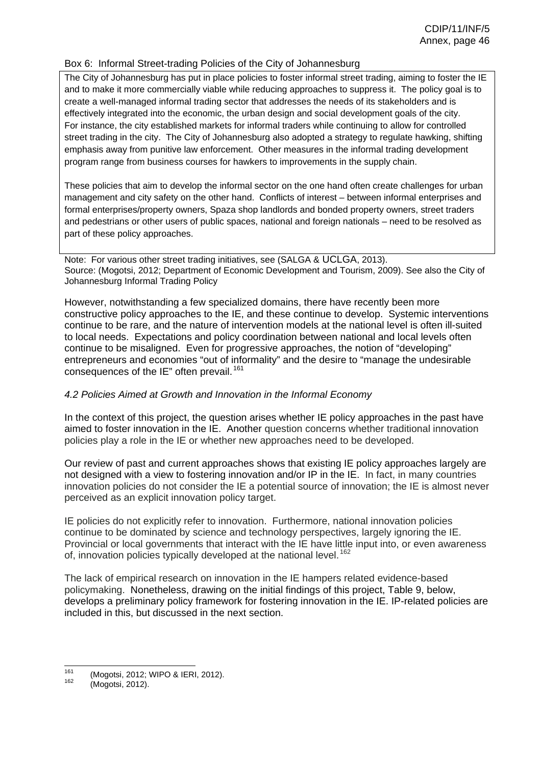### Box 6: Informal Street-trading Policies of the City of Johannesburg

The City of Johannesburg has put in place policies to foster informal street trading, aiming to foster the IE and to make it more commercially viable while reducing approaches to suppress it. The policy goal is to create a well-managed informal trading sector that addresses the needs of its stakeholders and is effectively integrated into the economic, the urban design and social development goals of the city. For instance, the city established markets for informal traders while continuing to allow for controlled street trading in the city. The City of Johannesburg also adopted a strategy to regulate hawking, shifting emphasis away from punitive law enforcement. Other measures in the informal trading development program range from business courses for hawkers to improvements in the supply chain.

These policies that aim to develop the informal sector on the one hand often create challenges for urban management and city safety on the other hand. Conflicts of interest – between informal enterprises and formal enterprises/property owners, Spaza shop landlords and bonded property owners, street traders and pedestrians or other users of public spaces, national and foreign nationals – need to be resolved as part of these policy approaches.

Note: For various other street trading initiatives, see (SALGA & UCLGA, 2013). Source: (Mogotsi, 2012; Department of Economic Development and Tourism, 2009). See also the City of Johannesburg Informal Trading Policy

However, notwithstanding a few specialized domains, there have recently been more constructive policy approaches to the IE, and these continue to develop. Systemic interventions continue to be rare, and the nature of intervention models at the national level is often ill-suited to local needs. Expectations and policy coordination between national and local levels often continue to be misaligned. Even for progressive approaches, the notion of "developing" entrepreneurs and economies "out of informality" and the desire to "manage the undesirable consequences of the IE" often prevail.<sup>[161](#page-23-7)</sup>

# *4.2 Policies Aimed at Growth and Innovation in the Informal Economy*

In the context of this project, the question arises whether IE policy approaches in the past have aimed to foster innovation in the IE. Another question concerns whether traditional innovation policies play a role in the IE or whether new approaches need to be developed.

Our review of past and current approaches shows that existing IE policy approaches largely are not designed with a view to fostering innovation and/or IP in the IE. In fact, in many countries innovation policies do not consider the IE a potential source of innovation; the IE is almost never perceived as an explicit innovation policy target.

IE policies do not explicitly refer to innovation. Furthermore, national innovation policies continue to be dominated by science and technology perspectives, largely ignoring the IE. Provincial or local governments that interact with the IE have little input into, or even awareness of, innovation policies typically developed at the national level.<sup>[162](#page-23-8)</sup>

The lack of empirical research on innovation in the IE hampers related evidence-based policymaking. Nonetheless, drawing on the initial findings of this project, Table 9, below, develops a preliminary policy framework for fostering innovation in the IE. IP-related policies are included in this, but discussed in the next section.

<sup>161</sup>  $161$  (Mogotsi, 2012; WIPO & IERI, 2012).<br> $162$  (Mogotsi, 2012).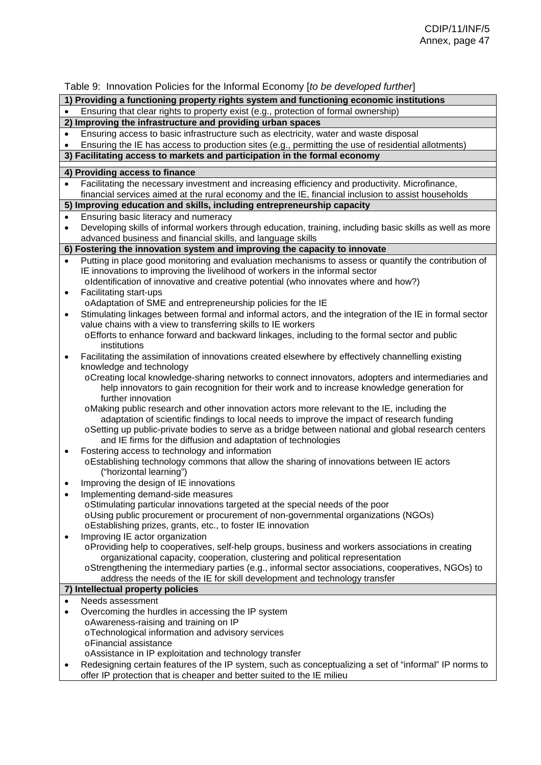Table 9: Innovation Policies for the Informal Economy [*to be developed further*]

#### **1) Providing a functioning property rights system and functioning economic institutions**

| Ensuring that clear rights to property exist (e.g., protection of formal ownership) |  |  |
|-------------------------------------------------------------------------------------|--|--|
|                                                                                     |  |  |

- **2) Improving the infrastructure and providing urban spaces**
- Ensuring access to basic infrastructure such as electricity, water and waste disposal
- Ensuring the IE has access to production sites (e.g., permitting the use of residential allotments)

# **3) Facilitating access to markets and participation in the formal economy**

**4) Providing access to finance** 

- Facilitating the necessary investment and increasing efficiency and productivity. Microfinance, financial services aimed at the rural economy and the IE, financial inclusion to assist households
- **5) Improving education and skills, including entrepreneurship capacity**
- Ensuring basic literacy and numeracy
- Developing skills of informal workers through education, training, including basic skills as well as more advanced business and financial skills, and language skills
- **6) Fostering the innovation system and improving the capacity to innovate**
- Putting in place good monitoring and evaluation mechanisms to assess or quantify the contribution of IE innovations to improving the livelihood of workers in the informal sector o Identification of innovative and creative potential (who innovates where and how?)
- Facilitating start-ups
	- o Adaptation of SME and entrepreneurship policies for the IE
- Stimulating linkages between formal and informal actors, and the integration of the IE in formal sector value chains with a view to transferring skills to IE workers
	- o Efforts to enhance forward and backward linkages, including to the formal sector and public institutions
- Facilitating the assimilation of innovations created elsewhere by effectively channelling existing knowledge and technology
	- o Creating local knowledge-sharing networks to connect innovators, adopters and intermediaries and help innovators to gain recognition for their work and to increase knowledge generation for further innovation
	- o Making public research and other innovation actors more relevant to the IE, including the adaptation of scientific findings to local needs to improve the impact of research funding
	- o Setting up public-private bodies to serve as a bridge between national and global research centers and IE firms for the diffusion and adaptation of technologies
- Fostering access to technology and information
	- o Establishing technology commons that allow the sharing of innovations between IE actors ("horizontal learning")
- Improving the design of IE innovations
- Implementing demand-side measures
	- o Stimulating particular innovations targeted at the special needs of the poor
	- o Using public procurement or procurement of non-governmental organizations (NGOs)
	- o Establishing prizes, grants, etc., to foster IE innovation
- Improving IE actor organization
	- o Providing help to cooperatives, self-help groups, business and workers associations in creating organizational capacity, cooperation, clustering and political representation
	- o Strengthening the intermediary parties (e.g., informal sector associations, cooperatives, NGOs) to address the needs of the IE for skill development and technology transfer

#### **7) Intellectual property policies**

- Needs assessment
- Overcoming the hurdles in accessing the IP system o Awareness-raising and training on IP
	- o Technological information and advisory services
		- o Financial assistance
	- o Assistance in IP exploitation and technology transfer
- Redesigning certain features of the IP system, such as conceptualizing a set of "informal" IP norms to offer IP protection that is cheaper and better suited to the IE milieu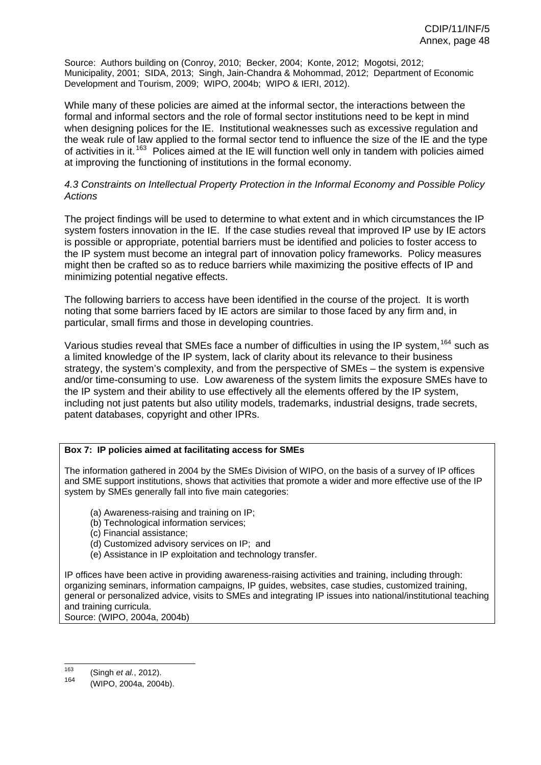Source: Authors building on (Conroy, 2010; Becker, 2004; Konte, 2012; Mogotsi, 2012; Municipality, 2001; SIDA, 2013; Singh, Jain-Chandra & Mohommad, 2012; Department of Economic Development and Tourism, 2009; WIPO, 2004b; WIPO & IERI, 2012).

While many of these policies are aimed at the informal sector, the interactions between the formal and informal sectors and the role of formal sector institutions need to be kept in mind when designing polices for the IE. Institutional weaknesses such as excessive regulation and the weak rule of law applied to the formal sector tend to influence the size of the IE and the type of activities in it.<sup>[163](#page-24-0)</sup> Polices aimed at the IE will function well only in tandem with policies aimed at improving the functioning of institutions in the formal economy.

### *4.3 Constraints on Intellectual Property Protection in the Informal Economy and Possible Policy Actions*

The project findings will be used to determine to what extent and in which circumstances the IP system fosters innovation in the IE. If the case studies reveal that improved IP use by IE actors is possible or appropriate, potential barriers must be identified and policies to foster access to the IP system must become an integral part of innovation policy frameworks. Policy measures might then be crafted so as to reduce barriers while maximizing the positive effects of IP and minimizing potential negative effects.

The following barriers to access have been identified in the course of the project. It is worth noting that some barriers faced by IE actors are similar to those faced by any firm and, in particular, small firms and those in developing countries.

Various studies reveal that SMEs face a number of difficulties in using the IP system,  $^{164}$  $^{164}$  $^{164}$  such as a limited knowledge of the IP system, lack of clarity about its relevance to their business strategy, the system's complexity, and from the perspective of SMEs – the system is expensive and/or time-consuming to use. Low awareness of the system limits the exposure SMEs have to the IP system and their ability to use effectively all the elements offered by the IP system, including not just patents but also utility models, trademarks, industrial designs, trade secrets, patent databases, copyright and other IPRs.

#### **Box 7: IP policies aimed at facilitating access for SMEs**

The information gathered in 2004 by the SMEs Division of WIPO, on the basis of a survey of IP offices and SME support institutions, shows that activities that promote a wider and more effective use of the IP system by SMEs generally fall into five main categories:

- (a) Awareness-raising and training on IP;
- (b) Technological information services;
- (c) Financial assistance;
- (d) Customized advisory services on IP; and
- (e) Assistance in IP exploitation and technology transfer.

IP offices have been active in providing awareness-raising activities and training, including through: organizing seminars, information campaigns, IP guides, websites, case studies, customized training, general or personalized advice, visits to SMEs and integrating IP issues into national/institutional teaching and training curricula. Source: (WIPO, 2004a, 2004b)

<sup>163</sup> 163 (Singh *et al.*, 2012).

<sup>(</sup>WIPO, 2004a, 2004b).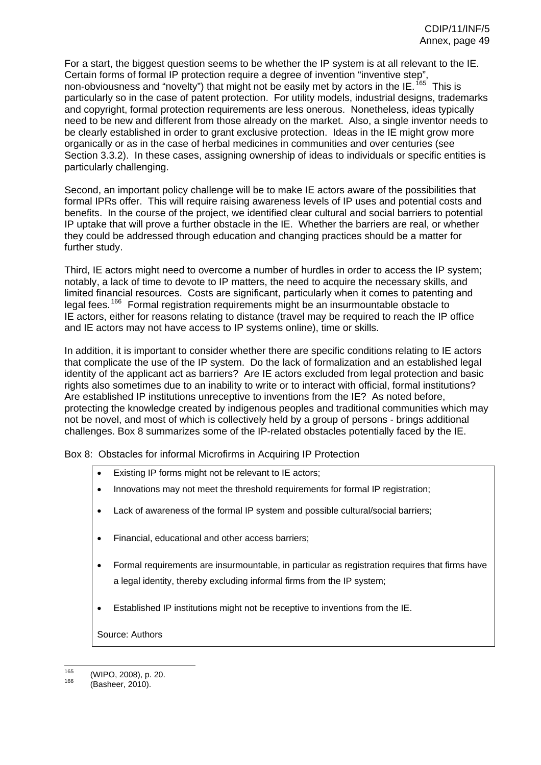For a start, the biggest question seems to be whether the IP system is at all relevant to the IE. Certain forms of formal IP protection require a degree of invention "inventive step", non-obviousness and "novelty") that might not be easily met by actors in the IE.<sup>[165](#page-24-2)</sup> This is particularly so in the case of patent protection. For utility models, industrial designs, trademarks and copyright, formal protection requirements are less onerous. Nonetheless, ideas typically need to be new and different from those already on the market. Also, a single inventor needs to be clearly established in order to grant exclusive protection. Ideas in the IE might grow more organically or as in the case of herbal medicines in communities and over centuries (see Section 3.3.2). In these cases, assigning ownership of ideas to individuals or specific entities is particularly challenging.

Second, an important policy challenge will be to make IE actors aware of the possibilities that formal IPRs offer. This will require raising awareness levels of IP uses and potential costs and benefits. In the course of the project, we identified clear cultural and social barriers to potential IP uptake that will prove a further obstacle in the IE. Whether the barriers are real, or whether they could be addressed through education and changing practices should be a matter for further study.

Third, IE actors might need to overcome a number of hurdles in order to access the IP system; notably, a lack of time to devote to IP matters, the need to acquire the necessary skills, and limited financial resources. Costs are significant, particularly when it comes to patenting and legal fees.<sup>[166](#page-24-3)</sup> Formal registration requirements might be an insurmountable obstacle to IE actors, either for reasons relating to distance (travel may be required to reach the IP office and IE actors may not have access to IP systems online), time or skills.

In addition, it is important to consider whether there are specific conditions relating to IE actors that complicate the use of the IP system. Do the lack of formalization and an established legal identity of the applicant act as barriers? Are IE actors excluded from legal protection and basic rights also sometimes due to an inability to write or to interact with official, formal institutions? Are established IP institutions unreceptive to inventions from the IE? As noted before, protecting the knowledge created by indigenous peoples and traditional communities which may not be novel, and most of which is collectively held by a group of persons - brings additional challenges. Box 8 summarizes some of the IP-related obstacles potentially faced by the IE.

Box 8: Obstacles for informal Microfirms in Acquiring IP Protection

- Existing IP forms might not be relevant to IE actors;
- Innovations may not meet the threshold requirements for formal IP registration;
- Lack of awareness of the formal IP system and possible cultural/social barriers;
- Financial, educational and other access barriers;
- Formal requirements are insurmountable, in particular as registration requires that firms have a legal identity, thereby excluding informal firms from the IP system;
- Established IP institutions might not be receptive to inventions from the IE.

Source: Authors

<sup>165</sup>  $^{165}$  (WIPO, 2008), p. 20.<br><sup>166</sup> (Basheer, 2010).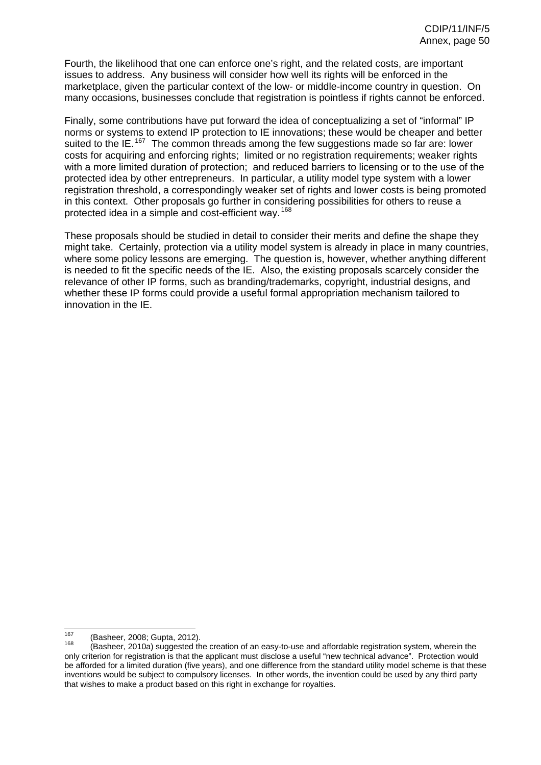Fourth, the likelihood that one can enforce one's right, and the related costs, are important issues to address. Any business will consider how well its rights will be enforced in the marketplace, given the particular context of the low- or middle-income country in question. On many occasions, businesses conclude that registration is pointless if rights cannot be enforced.

Finally, some contributions have put forward the idea of conceptualizing a set of "informal" IP norms or systems to extend IP protection to IE innovations; these would be cheaper and better suited to the IE.<sup>[167](#page-24-4)</sup> The common threads among the few suggestions made so far are: lower costs for acquiring and enforcing rights; limited or no registration requirements; weaker rights with a more limited duration of protection; and reduced barriers to licensing or to the use of the protected idea by other entrepreneurs. In particular, a utility model type system with a lower registration threshold, a correspondingly weaker set of rights and lower costs is being promoted in this context. Other proposals go further in considering possibilities for others to reuse a protected idea in a simple and cost-efficient way. <sup>[168](#page-24-5)</sup>

These proposals should be studied in detail to consider their merits and define the shape they might take. Certainly, protection via a utility model system is already in place in many countries, where some policy lessons are emerging. The question is, however, whether anything different is needed to fit the specific needs of the IE. Also, the existing proposals scarcely consider the relevance of other IP forms, such as branding/trademarks, copyright, industrial designs, and whether these IP forms could provide a useful formal appropriation mechanism tailored to innovation in the IE.

<sup>167</sup> 

<sup>&</sup>lt;sup>167</sup> (Basheer, 2008; Gupta, 2012).<br><sup>168</sup> (Basheer, 2010a) suggested the creation of an easy-to-use and affordable registration system, wherein the only criterion for registration is that the applicant must disclose a useful "new technical advance". Protection would be afforded for a limited duration (five years), and one difference from the standard utility model scheme is that these inventions would be subject to compulsory licenses. In other words, the invention could be used by any third party that wishes to make a product based on this right in exchange for royalties.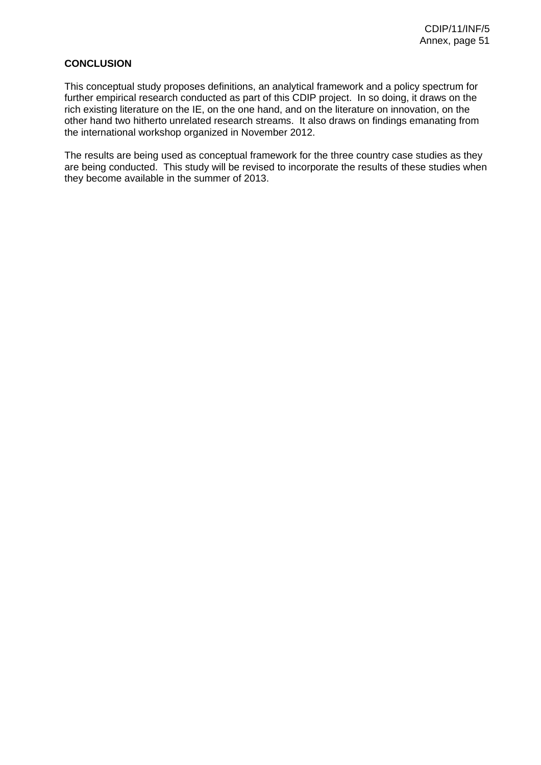# **CONCLUSION**

This conceptual study proposes definitions, an analytical framework and a policy spectrum for further empirical research conducted as part of this CDIP project. In so doing, it draws on the rich existing literature on the IE, on the one hand, and on the literature on innovation, on the other hand two hitherto unrelated research streams. It also draws on findings emanating from the international workshop organized in November 2012.

The results are being used as conceptual framework for the three country case studies as they are being conducted. This study will be revised to incorporate the results of these studies when they become available in the summer of 2013.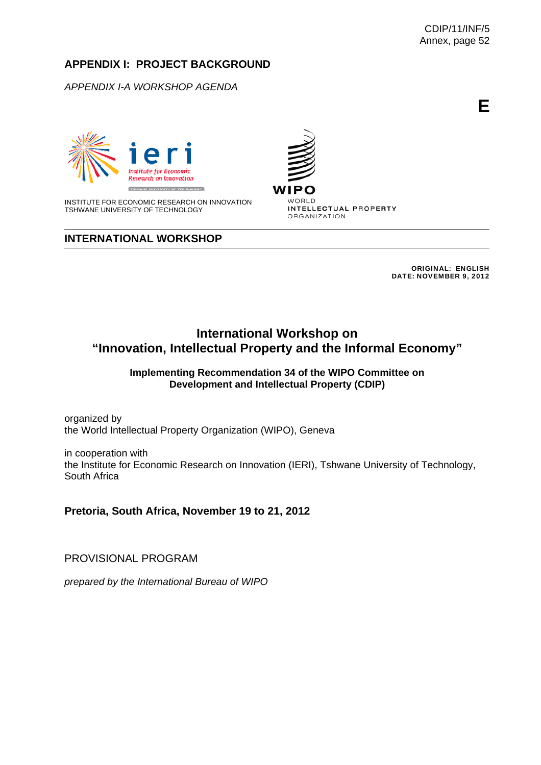# **APPENDIX I: PROJECT BACKGROUND**

*APPENDIX I-A WORKSHOP AGENDA* 



INSTITUTE FOR ECONOMIC RESEARCH ON INNOVATION TSHWANE UNIVERSITY OF TECHNOLOGY

# **INTERNATIONAL WORKSHOP**

WIPC WORLD INTELLECTUAL PROPERTY ORGANIZATION

> ORIGINAL: ENGLISH DATE: NOVEMBER 9, 2012

# **International Workshop on "Innovation, Intellectual Property and the Informal Economy"**

## **Implementing Recommendation 34 of the WIPO Committee on Development and Intellectual Property (CDIP)**

organized by the World Intellectual Property Organization (WIPO), Geneva

in cooperation with the Institute for Economic Research on Innovation (IERI), Tshwane University of Technology, South Africa

**Pretoria, South Africa, November 19 to 21, 2012** 

PROVISIONAL PROGRAM

*prepared by the International Bureau of WIPO* 

**E**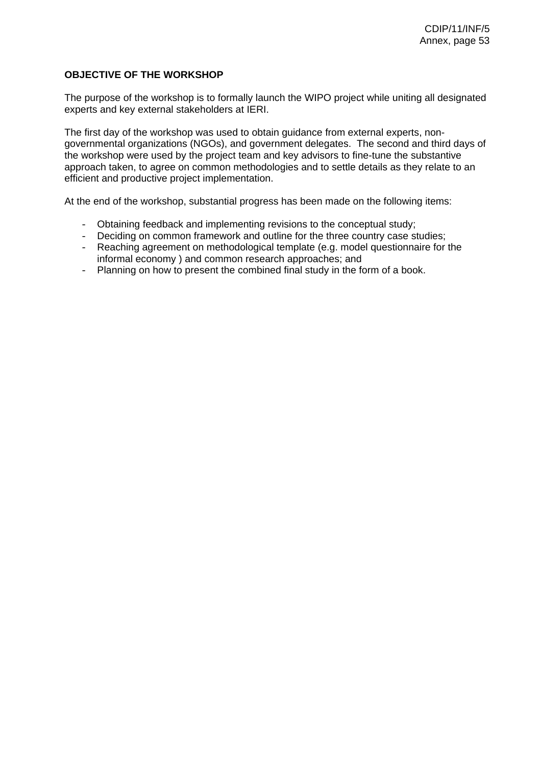# **OBJECTIVE OF THE WORKSHOP**

The purpose of the workshop is to formally launch the WIPO project while uniting all designated experts and key external stakeholders at IERI.

The first day of the workshop was used to obtain guidance from external experts, nongovernmental organizations (NGOs), and government delegates. The second and third days of the workshop were used by the project team and key advisors to fine-tune the substantive approach taken, to agree on common methodologies and to settle details as they relate to an efficient and productive project implementation.

At the end of the workshop, substantial progress has been made on the following items:

- Obtaining feedback and implementing revisions to the conceptual study;
- Deciding on common framework and outline for the three country case studies;
- Reaching agreement on methodological template (e.g. model questionnaire for the informal economy ) and common research approaches; and
- Planning on how to present the combined final study in the form of a book.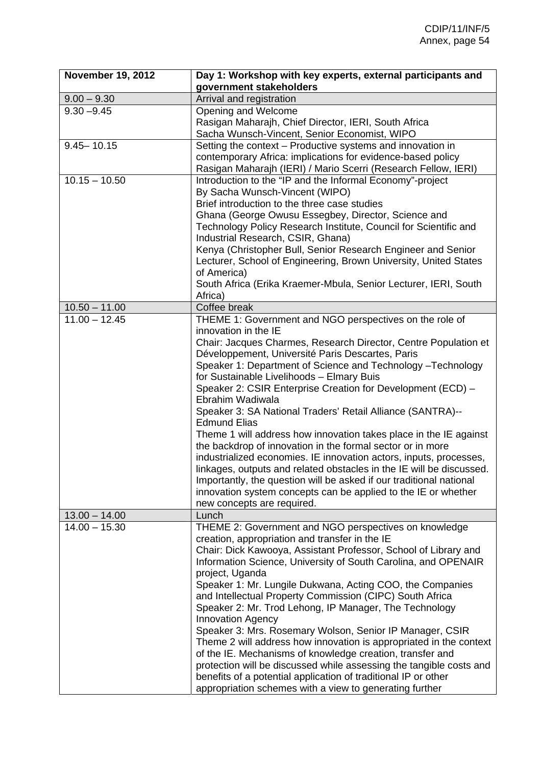| <b>November 19, 2012</b> | Day 1: Workshop with key experts, external participants and<br>government stakeholders                                                                                                                                                                                                                                                                                                                                                                                                                                                                                                                                                                                                                                                                                                                                                                                                                                                              |
|--------------------------|-----------------------------------------------------------------------------------------------------------------------------------------------------------------------------------------------------------------------------------------------------------------------------------------------------------------------------------------------------------------------------------------------------------------------------------------------------------------------------------------------------------------------------------------------------------------------------------------------------------------------------------------------------------------------------------------------------------------------------------------------------------------------------------------------------------------------------------------------------------------------------------------------------------------------------------------------------|
| $9.00 - 9.30$            | Arrival and registration                                                                                                                                                                                                                                                                                                                                                                                                                                                                                                                                                                                                                                                                                                                                                                                                                                                                                                                            |
| $9.30 - 9.45$            | Opening and Welcome<br>Rasigan Maharajh, Chief Director, IERI, South Africa<br>Sacha Wunsch-Vincent, Senior Economist, WIPO                                                                                                                                                                                                                                                                                                                                                                                                                                                                                                                                                                                                                                                                                                                                                                                                                         |
| $9.45 - 10.15$           | Setting the context - Productive systems and innovation in<br>contemporary Africa: implications for evidence-based policy<br>Rasigan Maharajh (IERI) / Mario Scerri (Research Fellow, IERI)                                                                                                                                                                                                                                                                                                                                                                                                                                                                                                                                                                                                                                                                                                                                                         |
| $10.15 - 10.50$          | Introduction to the "IP and the Informal Economy"-project<br>By Sacha Wunsch-Vincent (WIPO)<br>Brief introduction to the three case studies<br>Ghana (George Owusu Essegbey, Director, Science and<br>Technology Policy Research Institute, Council for Scientific and<br>Industrial Research, CSIR, Ghana)<br>Kenya (Christopher Bull, Senior Research Engineer and Senior<br>Lecturer, School of Engineering, Brown University, United States<br>of America)<br>South Africa (Erika Kraemer-Mbula, Senior Lecturer, IERI, South<br>Africa)                                                                                                                                                                                                                                                                                                                                                                                                        |
| $10.50 - 11.00$          | Coffee break                                                                                                                                                                                                                                                                                                                                                                                                                                                                                                                                                                                                                                                                                                                                                                                                                                                                                                                                        |
| $11.00 - 12.45$          | THEME 1: Government and NGO perspectives on the role of<br>innovation in the IE<br>Chair: Jacques Charmes, Research Director, Centre Population et<br>Développement, Université Paris Descartes, Paris<br>Speaker 1: Department of Science and Technology - Technology<br>for Sustainable Livelihoods - Elmary Buis<br>Speaker 2: CSIR Enterprise Creation for Development (ECD) -<br>Ebrahim Wadiwala<br>Speaker 3: SA National Traders' Retail Alliance (SANTRA)--<br><b>Edmund Elias</b><br>Theme 1 will address how innovation takes place in the IE against<br>the backdrop of innovation in the formal sector or in more<br>industrialized economies. IE innovation actors, inputs, processes,<br>linkages, outputs and related obstacles in the IE will be discussed.<br>Importantly, the question will be asked if our traditional national<br>innovation system concepts can be applied to the IE or whether<br>new concepts are required. |
| $13.00 - 14.00$          | Lunch                                                                                                                                                                                                                                                                                                                                                                                                                                                                                                                                                                                                                                                                                                                                                                                                                                                                                                                                               |
| $14.00 - 15.30$          | THEME 2: Government and NGO perspectives on knowledge<br>creation, appropriation and transfer in the IE<br>Chair: Dick Kawooya, Assistant Professor, School of Library and<br>Information Science, University of South Carolina, and OPENAIR<br>project, Uganda<br>Speaker 1: Mr. Lungile Dukwana, Acting COO, the Companies<br>and Intellectual Property Commission (CIPC) South Africa<br>Speaker 2: Mr. Trod Lehong, IP Manager, The Technology<br><b>Innovation Agency</b><br>Speaker 3: Mrs. Rosemary Wolson, Senior IP Manager, CSIR<br>Theme 2 will address how innovation is appropriated in the context<br>of the IE. Mechanisms of knowledge creation, transfer and<br>protection will be discussed while assessing the tangible costs and<br>benefits of a potential application of traditional IP or other<br>appropriation schemes with a view to generating further                                                                   |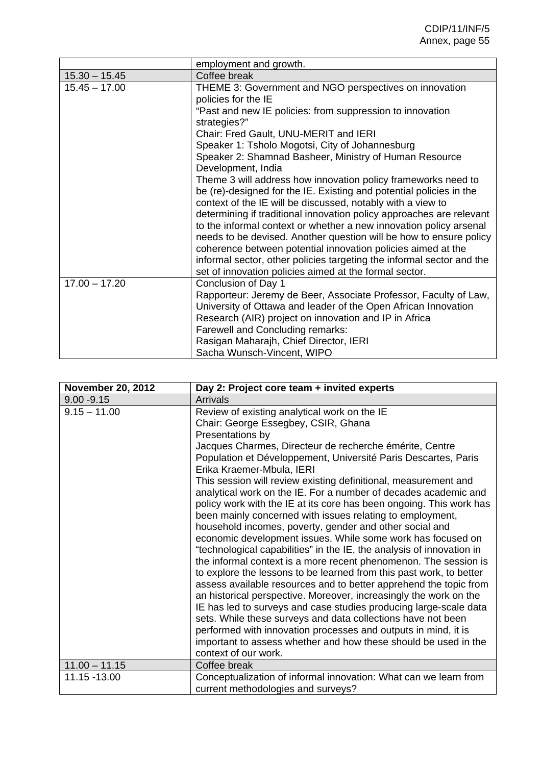|                 | employment and growth.                                                                                                                                                                                                                                                                                                                                                                                                                                                                                                                                                                                                     |
|-----------------|----------------------------------------------------------------------------------------------------------------------------------------------------------------------------------------------------------------------------------------------------------------------------------------------------------------------------------------------------------------------------------------------------------------------------------------------------------------------------------------------------------------------------------------------------------------------------------------------------------------------------|
| $15.30 - 15.45$ | Coffee break                                                                                                                                                                                                                                                                                                                                                                                                                                                                                                                                                                                                               |
| $15.45 - 17.00$ | THEME 3: Government and NGO perspectives on innovation<br>policies for the IE<br>"Past and new IE policies: from suppression to innovation<br>strategies?"                                                                                                                                                                                                                                                                                                                                                                                                                                                                 |
|                 | Chair: Fred Gault, UNU-MERIT and IERI                                                                                                                                                                                                                                                                                                                                                                                                                                                                                                                                                                                      |
|                 | Speaker 1: Tsholo Mogotsi, City of Johannesburg                                                                                                                                                                                                                                                                                                                                                                                                                                                                                                                                                                            |
|                 | Speaker 2: Shamnad Basheer, Ministry of Human Resource<br>Development, India                                                                                                                                                                                                                                                                                                                                                                                                                                                                                                                                               |
|                 | Theme 3 will address how innovation policy frameworks need to<br>be (re)-designed for the IE. Existing and potential policies in the<br>context of the IE will be discussed, notably with a view to<br>determining if traditional innovation policy approaches are relevant<br>to the informal context or whether a new innovation policy arsenal<br>needs to be devised. Another question will be how to ensure policy<br>coherence between potential innovation policies aimed at the<br>informal sector, other policies targeting the informal sector and the<br>set of innovation policies aimed at the formal sector. |
| $17.00 - 17.20$ | Conclusion of Day 1<br>Rapporteur: Jeremy de Beer, Associate Professor, Faculty of Law,<br>University of Ottawa and leader of the Open African Innovation<br>Research (AIR) project on innovation and IP in Africa<br>Farewell and Concluding remarks:<br>Rasigan Maharajh, Chief Director, IERI<br>Sacha Wunsch-Vincent, WIPO                                                                                                                                                                                                                                                                                             |

| <b>November 20, 2012</b> | Day 2: Project core team + invited experts                                                                                                                                                                                                                                                                                                                                                                                                                                                                                                                                                                                                                                                                                                                                                                                                                                                                                                                                                                                                                                                                                                                                                                                                                                                                    |
|--------------------------|---------------------------------------------------------------------------------------------------------------------------------------------------------------------------------------------------------------------------------------------------------------------------------------------------------------------------------------------------------------------------------------------------------------------------------------------------------------------------------------------------------------------------------------------------------------------------------------------------------------------------------------------------------------------------------------------------------------------------------------------------------------------------------------------------------------------------------------------------------------------------------------------------------------------------------------------------------------------------------------------------------------------------------------------------------------------------------------------------------------------------------------------------------------------------------------------------------------------------------------------------------------------------------------------------------------|
| $9.00 - 9.15$            | <b>Arrivals</b>                                                                                                                                                                                                                                                                                                                                                                                                                                                                                                                                                                                                                                                                                                                                                                                                                                                                                                                                                                                                                                                                                                                                                                                                                                                                                               |
| $9.15 - 11.00$           | Review of existing analytical work on the IE<br>Chair: George Essegbey, CSIR, Ghana<br>Presentations by<br>Jacques Charmes, Directeur de recherche émérite, Centre<br>Population et Développement, Université Paris Descartes, Paris<br>Erika Kraemer-Mbula, IERI<br>This session will review existing definitional, measurement and<br>analytical work on the IE. For a number of decades academic and<br>policy work with the IE at its core has been ongoing. This work has<br>been mainly concerned with issues relating to employment,<br>household incomes, poverty, gender and other social and<br>economic development issues. While some work has focused on<br>"technological capabilities" in the IE, the analysis of innovation in<br>the informal context is a more recent phenomenon. The session is<br>to explore the lessons to be learned from this past work, to better<br>assess available resources and to better apprehend the topic from<br>an historical perspective. Moreover, increasingly the work on the<br>IE has led to surveys and case studies producing large-scale data<br>sets. While these surveys and data collections have not been<br>performed with innovation processes and outputs in mind, it is<br>important to assess whether and how these should be used in the |
|                          | context of our work.                                                                                                                                                                                                                                                                                                                                                                                                                                                                                                                                                                                                                                                                                                                                                                                                                                                                                                                                                                                                                                                                                                                                                                                                                                                                                          |
| $11.00 - 11.15$          | Coffee break                                                                                                                                                                                                                                                                                                                                                                                                                                                                                                                                                                                                                                                                                                                                                                                                                                                                                                                                                                                                                                                                                                                                                                                                                                                                                                  |
| 11.15 -13.00             | Conceptualization of informal innovation: What can we learn from<br>current methodologies and surveys?                                                                                                                                                                                                                                                                                                                                                                                                                                                                                                                                                                                                                                                                                                                                                                                                                                                                                                                                                                                                                                                                                                                                                                                                        |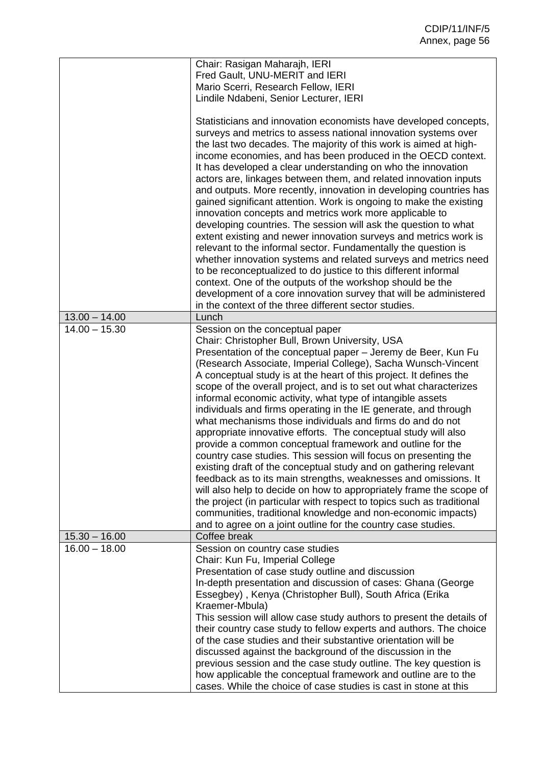|                 | Chair: Rasigan Maharajh, IERI<br>Fred Gault, UNU-MERIT and IERI               |
|-----------------|-------------------------------------------------------------------------------|
|                 | Mario Scerri, Research Fellow, IERI                                           |
|                 | Lindile Ndabeni, Senior Lecturer, IERI                                        |
|                 |                                                                               |
|                 | Statisticians and innovation economists have developed concepts,              |
|                 | surveys and metrics to assess national innovation systems over                |
|                 | the last two decades. The majority of this work is aimed at high-             |
|                 | income economies, and has been produced in the OECD context.                  |
|                 | It has developed a clear understanding on who the innovation                  |
|                 | actors are, linkages between them, and related innovation inputs              |
|                 | and outputs. More recently, innovation in developing countries has            |
|                 | gained significant attention. Work is ongoing to make the existing            |
|                 | innovation concepts and metrics work more applicable to                       |
|                 | developing countries. The session will ask the question to what               |
|                 | extent existing and newer innovation surveys and metrics work is              |
|                 | relevant to the informal sector. Fundamentally the question is                |
|                 | whether innovation systems and related surveys and metrics need               |
|                 | to be reconceptualized to do justice to this different informal               |
|                 | context. One of the outputs of the workshop should be the                     |
|                 | development of a core innovation survey that will be administered             |
|                 | in the context of the three different sector studies.                         |
| $13.00 - 14.00$ | Lunch                                                                         |
| $14.00 - 15.30$ | Session on the conceptual paper                                               |
|                 | Chair: Christopher Bull, Brown University, USA                                |
|                 | Presentation of the conceptual paper - Jeremy de Beer, Kun Fu                 |
|                 | (Research Associate, Imperial College), Sacha Wunsch-Vincent                  |
|                 | A conceptual study is at the heart of this project. It defines the            |
|                 | scope of the overall project, and is to set out what characterizes            |
|                 | informal economic activity, what type of intangible assets                    |
|                 | individuals and firms operating in the IE generate, and through               |
|                 | what mechanisms those individuals and firms do and do not                     |
|                 | appropriate innovative efforts. The conceptual study will also                |
|                 | provide a common conceptual framework and outline for the                     |
|                 | country case studies. This session will focus on presenting the               |
|                 | existing draft of the conceptual study and on gathering relevant              |
|                 | feedback as to its main strengths, weaknesses and omissions. It               |
|                 | will also help to decide on how to appropriately frame the scope of           |
|                 | the project (in particular with respect to topics such as traditional         |
|                 | communities, traditional knowledge and non-economic impacts)                  |
| $15.30 - 16.00$ | and to agree on a joint outline for the country case studies.<br>Coffee break |
| $16.00 - 18.00$ | Session on country case studies                                               |
|                 | Chair: Kun Fu, Imperial College                                               |
|                 | Presentation of case study outline and discussion                             |
|                 | In-depth presentation and discussion of cases: Ghana (George                  |
|                 | Essegbey), Kenya (Christopher Bull), South Africa (Erika                      |
|                 | Kraemer-Mbula)                                                                |
|                 | This session will allow case study authors to present the details of          |
|                 | their country case study to fellow experts and authors. The choice            |
|                 | of the case studies and their substantive orientation will be                 |
|                 | discussed against the background of the discussion in the                     |
|                 | previous session and the case study outline. The key question is              |
|                 | how applicable the conceptual framework and outline are to the                |
|                 | cases. While the choice of case studies is cast in stone at this              |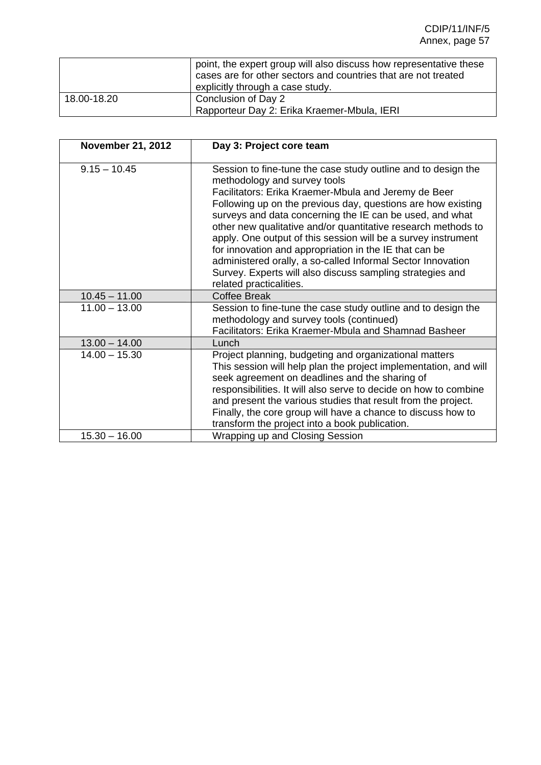|             | point, the expert group will also discuss how representative these<br>cases are for other sectors and countries that are not treated<br>explicitly through a case study. |
|-------------|--------------------------------------------------------------------------------------------------------------------------------------------------------------------------|
| 18.00-18.20 | Conclusion of Day 2<br>Rapporteur Day 2: Erika Kraemer-Mbula, IERI                                                                                                       |

| <b>November 21, 2012</b>           | Day 3: Project core team                                                                                                                                                                                                                                                                                                                                                                                                                                                                                                                                                                                                             |
|------------------------------------|--------------------------------------------------------------------------------------------------------------------------------------------------------------------------------------------------------------------------------------------------------------------------------------------------------------------------------------------------------------------------------------------------------------------------------------------------------------------------------------------------------------------------------------------------------------------------------------------------------------------------------------|
| $9.15 - 10.45$                     | Session to fine-tune the case study outline and to design the<br>methodology and survey tools<br>Facilitators: Erika Kraemer-Mbula and Jeremy de Beer<br>Following up on the previous day, questions are how existing<br>surveys and data concerning the IE can be used, and what<br>other new qualitative and/or quantitative research methods to<br>apply. One output of this session will be a survey instrument<br>for innovation and appropriation in the IE that can be<br>administered orally, a so-called Informal Sector Innovation<br>Survey. Experts will also discuss sampling strategies and<br>related practicalities. |
| $10.45 - 11.00$                    | <b>Coffee Break</b>                                                                                                                                                                                                                                                                                                                                                                                                                                                                                                                                                                                                                  |
| $11.00 - 13.00$                    | Session to fine-tune the case study outline and to design the<br>methodology and survey tools (continued)<br>Facilitators: Erika Kraemer-Mbula and Shamnad Basheer                                                                                                                                                                                                                                                                                                                                                                                                                                                                   |
| $13.00 - 14.00$                    | Lunch                                                                                                                                                                                                                                                                                                                                                                                                                                                                                                                                                                                                                                |
|                                    |                                                                                                                                                                                                                                                                                                                                                                                                                                                                                                                                                                                                                                      |
| $14.00 - 15.30$<br>$15.30 - 16.00$ | Project planning, budgeting and organizational matters<br>This session will help plan the project implementation, and will<br>seek agreement on deadlines and the sharing of<br>responsibilities. It will also serve to decide on how to combine<br>and present the various studies that result from the project.<br>Finally, the core group will have a chance to discuss how to<br>transform the project into a book publication.<br>Wrapping up and Closing Session                                                                                                                                                               |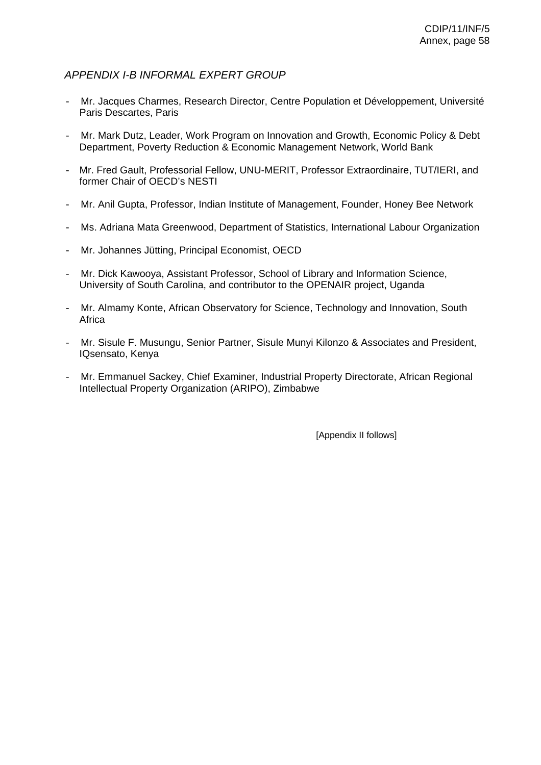# *APPENDIX I-B INFORMAL EXPERT GROUP*

- Mr. Jacques Charmes, Research Director, Centre Population et Développement, Université Paris Descartes, Paris
- Mr. Mark Dutz, Leader, Work Program on Innovation and Growth, Economic Policy & Debt Department, Poverty Reduction & Economic Management Network, World Bank
- Mr. Fred Gault, Professorial Fellow, UNU-MERIT, Professor Extraordinaire, TUT/IERI, and former Chair of OECD's NESTI
- Mr. Anil Gupta, Professor, Indian Institute of Management, Founder, Honey Bee Network
- Ms. Adriana Mata Greenwood, Department of Statistics, International Labour Organization
- Mr. Johannes Jütting, Principal Economist, OECD
- Mr. Dick Kawooya, Assistant Professor, School of Library and Information Science, University of South Carolina, and contributor to the OPENAIR project, Uganda
- Mr. Almamy Konte, African Observatory for Science, Technology and Innovation, South Africa
- Mr. Sisule F. Musungu, Senior Partner, Sisule Munyi Kilonzo & Associates and President, IQsensato, Kenya
- Mr. Emmanuel Sackey, Chief Examiner, Industrial Property Directorate, African Regional Intellectual Property Organization (ARIPO), Zimbabwe

[Appendix II follows]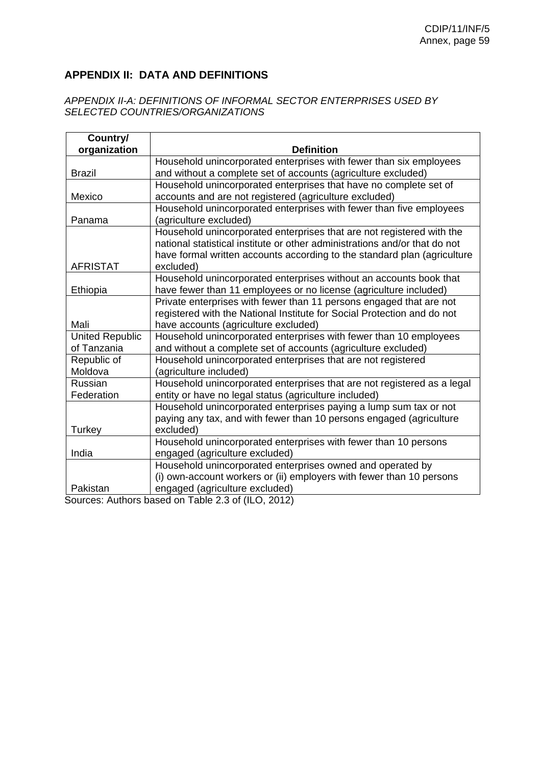# **APPENDIX II: DATA AND DEFINITIONS**

## *APPENDIX II-A: DEFINITIONS OF INFORMAL SECTOR ENTERPRISES USED BY SELECTED COUNTRIES/ORGANIZATIONS*

| Country/               |                                                                            |
|------------------------|----------------------------------------------------------------------------|
| organization           | <b>Definition</b>                                                          |
|                        | Household unincorporated enterprises with fewer than six employees         |
| <b>Brazil</b>          | and without a complete set of accounts (agriculture excluded)              |
|                        | Household unincorporated enterprises that have no complete set of          |
| Mexico                 | accounts and are not registered (agriculture excluded)                     |
|                        | Household unincorporated enterprises with fewer than five employees        |
| Panama                 | (agriculture excluded)                                                     |
|                        | Household unincorporated enterprises that are not registered with the      |
|                        | national statistical institute or other administrations and/or that do not |
|                        | have formal written accounts according to the standard plan (agriculture   |
| <b>AFRISTAT</b>        | excluded)                                                                  |
|                        | Household unincorporated enterprises without an accounts book that         |
| Ethiopia               | have fewer than 11 employees or no license (agriculture included)          |
|                        | Private enterprises with fewer than 11 persons engaged that are not        |
|                        | registered with the National Institute for Social Protection and do not    |
| Mali                   | have accounts (agriculture excluded)                                       |
| <b>United Republic</b> | Household unincorporated enterprises with fewer than 10 employees          |
| of Tanzania            | and without a complete set of accounts (agriculture excluded)              |
| Republic of            | Household unincorporated enterprises that are not registered               |
| Moldova                | (agriculture included)                                                     |
| Russian                | Household unincorporated enterprises that are not registered as a legal    |
| Federation             | entity or have no legal status (agriculture included)                      |
|                        | Household unincorporated enterprises paying a lump sum tax or not          |
|                        | paying any tax, and with fewer than 10 persons engaged (agriculture        |
| Turkey                 | excluded)                                                                  |
|                        | Household unincorporated enterprises with fewer than 10 persons            |
| India                  | engaged (agriculture excluded)                                             |
|                        | Household unincorporated enterprises owned and operated by                 |
|                        | (i) own-account workers or (ii) employers with fewer than 10 persons       |
| Pakistan               | engaged (agriculture excluded)                                             |

Sources: Authors based on Table 2.3 of (ILO, 2012)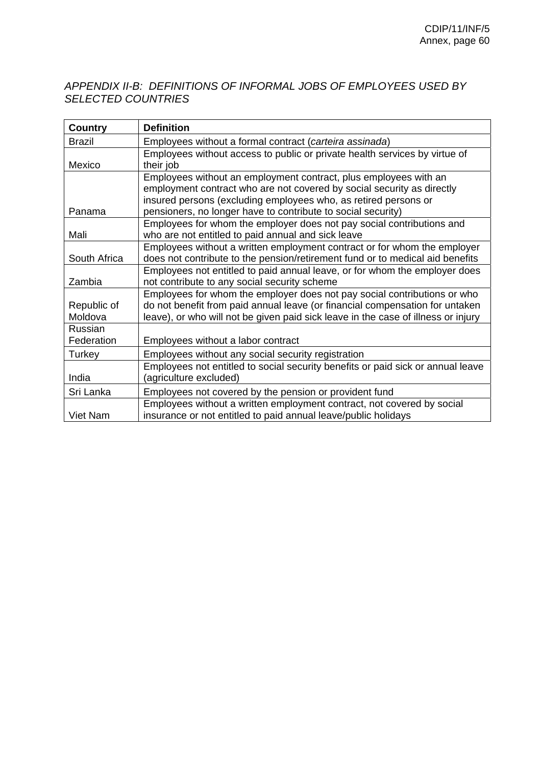# *APPENDIX II-B: DEFINITIONS OF INFORMAL JOBS OF EMPLOYEES USED BY SELECTED COUNTRIES*

| <b>Country</b> | <b>Definition</b>                                                                 |
|----------------|-----------------------------------------------------------------------------------|
| <b>Brazil</b>  | Employees without a formal contract (carteira assinada)                           |
|                | Employees without access to public or private health services by virtue of        |
| Mexico         | their job                                                                         |
|                | Employees without an employment contract, plus employees with an                  |
|                | employment contract who are not covered by social security as directly            |
|                | insured persons (excluding employees who, as retired persons or                   |
| Panama         | pensioners, no longer have to contribute to social security)                      |
|                | Employees for whom the employer does not pay social contributions and             |
| Mali           | who are not entitled to paid annual and sick leave                                |
|                | Employees without a written employment contract or for whom the employer          |
| South Africa   | does not contribute to the pension/retirement fund or to medical aid benefits     |
|                | Employees not entitled to paid annual leave, or for whom the employer does        |
| Zambia         | not contribute to any social security scheme                                      |
|                | Employees for whom the employer does not pay social contributions or who          |
| Republic of    | do not benefit from paid annual leave (or financial compensation for untaken      |
| Moldova        | leave), or who will not be given paid sick leave in the case of illness or injury |
| Russian        |                                                                                   |
| Federation     | Employees without a labor contract                                                |
| Turkey         | Employees without any social security registration                                |
|                | Employees not entitled to social security benefits or paid sick or annual leave   |
| India          | (agriculture excluded)                                                            |
| Sri Lanka      | Employees not covered by the pension or provident fund                            |
|                | Employees without a written employment contract, not covered by social            |
| Viet Nam       | insurance or not entitled to paid annual leave/public holidays                    |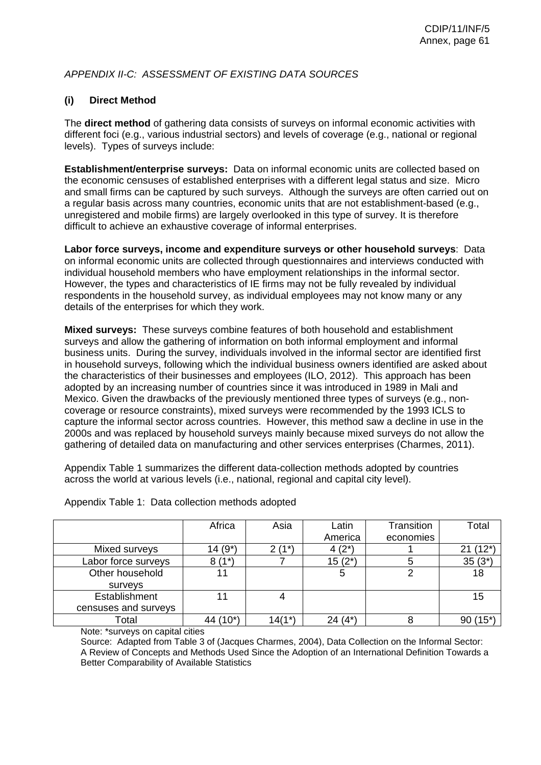# *APPENDIX II-C: ASSESSMENT OF EXISTING DATA SOURCES*

# **(i) Direct Method**

The **direct method** of gathering data consists of surveys on informal economic activities with different foci (e.g., various industrial sectors) and levels of coverage (e.g., national or regional levels). Types of surveys include:

**Establishment/enterprise surveys:** Data on informal economic units are collected based on the economic censuses of established enterprises with a different legal status and size. Micro and small firms can be captured by such surveys. Although the surveys are often carried out on a regular basis across many countries, economic units that are not establishment-based (e.g., unregistered and mobile firms) are largely overlooked in this type of survey. It is therefore difficult to achieve an exhaustive coverage of informal enterprises.

**Labor force surveys, income and expenditure surveys or other household surveys**: Data on informal economic units are collected through questionnaires and interviews conducted with individual household members who have employment relationships in the informal sector. However, the types and characteristics of IE firms may not be fully revealed by individual respondents in the household survey, as individual employees may not know many or any details of the enterprises for which they work.

**Mixed surveys:** These surveys combine features of both household and establishment surveys and allow the gathering of information on both informal employment and informal business units. During the survey, individuals involved in the informal sector are identified first in household surveys, following which the individual business owners identified are asked about the characteristics of their businesses and employees (ILO, 2012). This approach has been adopted by an increasing number of countries since it was introduced in 1989 in Mali and Mexico. Given the drawbacks of the previously mentioned three types of surveys (e.g., noncoverage or resource constraints), mixed surveys were recommended by the 1993 ICLS to capture the informal sector across countries. However, this method saw a decline in use in the 2000s and was replaced by household surveys mainly because mixed surveys do not allow the gathering of detailed data on manufacturing and other services enterprises (Charmes, 2011).

Appendix Table 1 summarizes the different data-collection methods adopted by countries across the world at various levels (i.e., national, regional and capital city level).

|                      | Africa    | Asia      | Latin<br>America | Transition<br>economies | Total                |
|----------------------|-----------|-----------|------------------|-------------------------|----------------------|
| Mixed surveys        | $14(9^*)$ | $(1^*)$   | $4(2^*)$         |                         | $(12^*)$             |
| Labor force surveys  | $8(1^*)$  |           | $15(2^*)$        |                         | $35(3^*)$            |
| Other household      | 11        |           | 5                | ⌒                       | 18                   |
| surveys              |           |           |                  |                         |                      |
| Establishment        | 11        |           |                  |                         | 15                   |
| censuses and surveys |           |           |                  |                         |                      |
| Total                | 44 (10*)  | $14(1^*)$ | $24(4^*)$        |                         | $(15^{\star})$<br>90 |

Appendix Table 1: Data collection methods adopted

Note: \*surveys on capital cities

Source: Adapted from Table 3 of (Jacques Charmes, 2004), Data Collection on the Informal Sector: A Review of Concepts and Methods Used Since the Adoption of an International Definition Towards a Better Comparability of Available Statistics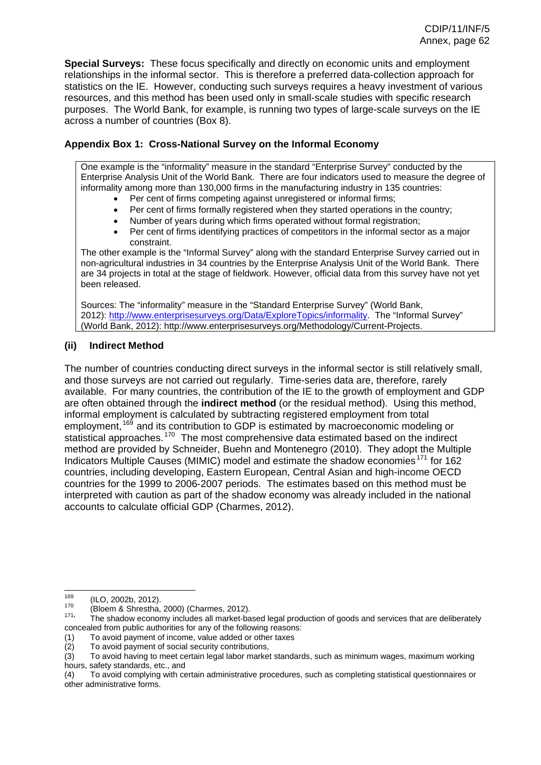**Special Surveys:** These focus specifically and directly on economic units and employment relationships in the informal sector. This is therefore a preferred data-collection approach for statistics on the IE. However, conducting such surveys requires a heavy investment of various resources, and this method has been used only in small-scale studies with specific research purposes. The World Bank, for example, is running two types of large-scale surveys on the IE across a number of countries (Box 8).

# **Appendix Box 1: Cross-National Survey on the Informal Economy**

One example is the "informality" measure in the standard "Enterprise Survey" conducted by the Enterprise Analysis Unit of the World Bank. There are four indicators used to measure the degree of informality among more than 130,000 firms in the manufacturing industry in 135 countries:

- Per cent of firms competing against unregistered or informal firms;
- Per cent of firms formally registered when they started operations in the country;
- Number of years during which firms operated without formal registration;
- Per cent of firms identifying practices of competitors in the informal sector as a major constraint.

The other example is the "Informal Survey" along with the standard Enterprise Survey carried out in non-agricultural industries in 34 countries by the Enterprise Analysis Unit of the World Bank. There are 34 projects in total at the stage of fieldwork. However, official data from this survey have not yet been released.

Sources: The "informality" measure in the "Standard Enterprise Survey" (World Bank, 2012): 1http://www.enterprisesurveys.org/Data/ExploreTopics/informality. The "Informal Survey" (World Bank, 2012): http://www.enterprisesurveys.org/Methodology/Current-Projects.

# **(ii) Indirect Method**

The number of countries conducting direct surveys in the informal sector is still relatively small, and those surveys are not carried out regularly. Time-series data are, therefore, rarely available. For many countries, the contribution of the IE to the growth of employment and GDP are often obtained through the **indirect method** (or the residual method). Using this method, informal employment is calculated by subtracting registered employment from total employment, <sup>[169](#page-24-6)</sup> and its contribution to GDP is estimated by macroeconomic modeling or statistical approaches.<sup>[170](#page-25-0)</sup> The most comprehensive data estimated based on the indirect method are provided by Schneider, Buehn and Montenegro (2010). They adopt the Multiple Indicators Multiple Causes (MIMIC) model and estimate the shadow economies<sup>[171](#page-25-1)</sup> for 162 countries, including developing, Eastern European, Central Asian and high-income OECD countries for the 1999 to 2006-2007 periods. The estimates based on this method must be interpreted with caution as part of the shadow economy was already included in the national accounts to calculate official GDP (Charmes, 2012).

<sup>169</sup> 

<sup>169 (</sup>ILO, 2002b, 2012).<br><sup>170</sup> (Bloem & Shrestha, 2000) (Charmes, 2012).<br><sup>171</sup>' The shadow economy includes all market-based legal production of goods and services that are deliberately concealed from public authorities for any of the following reasons:

<sup>(1)</sup> To avoid payment of income, value added or other taxes

To avoid payment of social security contributions,

<sup>(3)</sup> To avoid having to meet certain legal labor market standards, such as minimum wages, maximum working hours, safety standards, etc., and

<sup>(4)</sup> To avoid complying with certain administrative procedures, such as completing statistical questionnaires or other administrative forms.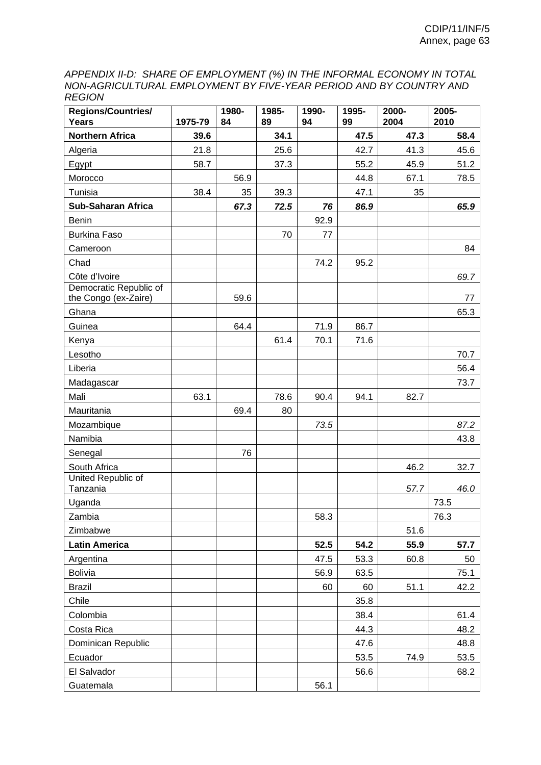*APPENDIX II-D: SHARE OF EMPLOYMENT (%) IN THE INFORMAL ECONOMY IN TOTAL NON-AGRICULTURAL EMPLOYMENT BY FIVE-YEAR PERIOD AND BY COUNTRY AND REGION* 

| <b>Regions/Countries/</b><br>Years             | 1975-79 | 1980-<br>84 | 1985-<br>89 | 1990-<br>94 | 1995-<br>99 | 2000-<br>2004 | 2005-<br>2010 |
|------------------------------------------------|---------|-------------|-------------|-------------|-------------|---------------|---------------|
| <b>Northern Africa</b>                         | 39.6    |             | 34.1        |             | 47.5        | 47.3          | 58.4          |
| Algeria                                        | 21.8    |             | 25.6        |             | 42.7        | 41.3          | 45.6          |
| Egypt                                          | 58.7    |             | 37.3        |             | 55.2        | 45.9          | 51.2          |
| Morocco                                        |         | 56.9        |             |             | 44.8        | 67.1          | 78.5          |
| Tunisia                                        | 38.4    | 35          | 39.3        |             | 47.1        | 35            |               |
| <b>Sub-Saharan Africa</b>                      |         | 67.3        | 72.5        | 76          | 86.9        |               | 65.9          |
| <b>Benin</b>                                   |         |             |             | 92.9        |             |               |               |
| <b>Burkina Faso</b>                            |         |             | 70          | 77          |             |               |               |
| Cameroon                                       |         |             |             |             |             |               | 84            |
| Chad                                           |         |             |             | 74.2        | 95.2        |               |               |
| Côte d'Ivoire                                  |         |             |             |             |             |               | 69.7          |
| Democratic Republic of<br>the Congo (ex-Zaire) |         | 59.6        |             |             |             |               | 77            |
| Ghana                                          |         |             |             |             |             |               | 65.3          |
| Guinea                                         |         | 64.4        |             | 71.9        | 86.7        |               |               |
| Kenya                                          |         |             | 61.4        | 70.1        | 71.6        |               |               |
| Lesotho                                        |         |             |             |             |             |               | 70.7          |
| Liberia                                        |         |             |             |             |             |               | 56.4          |
| Madagascar                                     |         |             |             |             |             |               | 73.7          |
| Mali                                           | 63.1    |             | 78.6        | 90.4        | 94.1        | 82.7          |               |
| Mauritania                                     |         | 69.4        | 80          |             |             |               |               |
| Mozambique                                     |         |             |             | 73.5        |             |               | 87.2          |
| Namibia                                        |         |             |             |             |             |               | 43.8          |
| Senegal                                        |         | 76          |             |             |             |               |               |
| South Africa                                   |         |             |             |             |             | 46.2          | 32.7          |
| United Republic of<br>Tanzania                 |         |             |             |             |             | 57.7          | 46.0          |
| Uganda                                         |         |             |             |             |             |               | 73.5          |
| Zambia                                         |         |             |             | 58.3        |             |               | 76.3          |
| Zimbabwe                                       |         |             |             |             |             | 51.6          |               |
| <b>Latin America</b>                           |         |             |             | 52.5        | 54.2        | 55.9          | 57.7          |
| Argentina                                      |         |             |             | 47.5        | 53.3        | 60.8          | 50            |
| <b>Bolivia</b>                                 |         |             |             | 56.9        | 63.5        |               | 75.1          |
| <b>Brazil</b>                                  |         |             |             | 60          | 60          | 51.1          | 42.2          |
| Chile                                          |         |             |             |             | 35.8        |               |               |
| Colombia                                       |         |             |             |             | 38.4        |               | 61.4          |
| Costa Rica                                     |         |             |             |             | 44.3        |               | 48.2          |
| Dominican Republic                             |         |             |             |             | 47.6        |               | 48.8          |
| Ecuador                                        |         |             |             |             | 53.5        | 74.9          | 53.5          |
| El Salvador                                    |         |             |             |             | 56.6        |               | 68.2          |
| Guatemala                                      |         |             |             | 56.1        |             |               |               |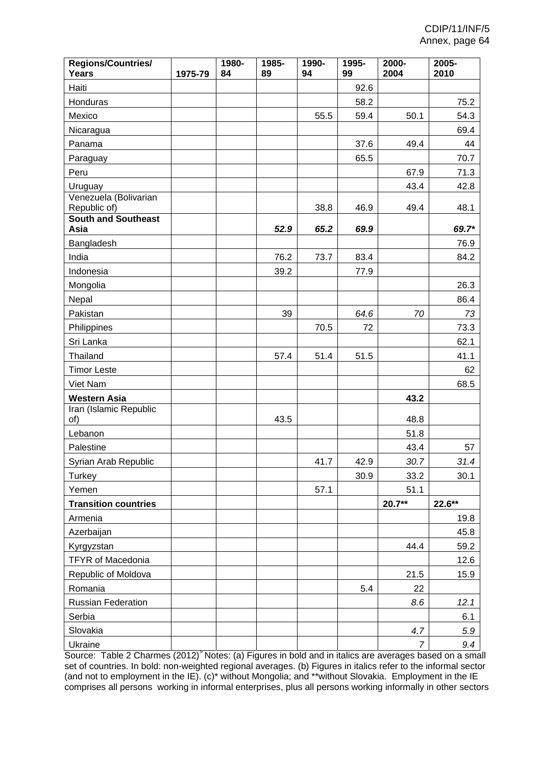| <b>Regions/Countries/</b><br><b>Years</b>        | 1975-79 | 1980-<br>84 | 1985-<br>89 | 1990-<br>94 | 1995-<br>99 | 2000-<br>2004  | 2005-<br>2010 |
|--------------------------------------------------|---------|-------------|-------------|-------------|-------------|----------------|---------------|
| Haiti                                            |         |             |             |             | 92.6        |                |               |
| Honduras                                         |         |             |             |             | 58.2        |                | 75.2          |
| Mexico                                           |         |             |             | 55.5        | 59.4        | 50.1           | 54.3          |
| Nicaragua                                        |         |             |             |             |             |                | 69.4          |
| Panama                                           |         |             |             |             | 37.6        | 49.4           | 44            |
| Paraguay                                         |         |             |             |             | 65.5        |                | 70.7          |
| Peru                                             |         |             |             |             |             | 67.9           | 71.3          |
| Uruguay<br>Venezuela (Bolivarian<br>Republic of) |         |             |             | 38.8        | 46.9        | 43.4<br>49.4   | 42.8<br>48.1  |
| <b>South and Southeast</b>                       |         |             |             |             |             |                |               |
| Asia                                             |         |             | 52.9        | 65.2        | 69.9        |                | 69.7*         |
| Bangladesh                                       |         |             |             |             |             |                | 76.9          |
| India                                            |         |             | 76.2        | 73.7        | 83.4        |                | 84.2          |
| Indonesia                                        |         |             | 39.2        |             | 77.9        |                |               |
| Mongolia                                         |         |             |             |             |             |                | 26.3          |
| Nepal                                            |         |             |             |             |             |                | 86.4          |
| Pakistan                                         |         |             | 39          |             | 64.6        | 70             | 73            |
| Philippines                                      |         |             |             | 70.5        | 72          |                | 73.3          |
| Sri Lanka                                        |         |             |             |             |             |                | 62.1          |
| Thailand                                         |         |             | 57.4        | 51.4        | 51.5        |                | 41.1          |
| <b>Timor Leste</b>                               |         |             |             |             |             |                | 62            |
| Viet Nam                                         |         |             |             |             |             |                | 68.5          |
| <b>Western Asia</b>                              |         |             |             |             |             | 43.2           |               |
| Iran (Islamic Republic<br>of)                    |         |             | 43.5        |             |             | 48.8           |               |
| Lebanon                                          |         |             |             |             |             | 51.8           |               |
| Palestine                                        |         |             |             |             |             | 43.4           | 57            |
| Syrian Arab Republic                             |         |             |             | 41.7        | 42.9        | 30.7           | 31.4          |
| Turkey                                           |         |             |             |             | 30.9        | 33.2           | 30.1          |
| Yemen                                            |         |             |             | 57.1        |             | 51.1           |               |
| <b>Transition countries</b>                      |         |             |             |             |             | $20.7**$       | 22.6**        |
| Armenia                                          |         |             |             |             |             |                | 19.8          |
| Azerbaijan                                       |         |             |             |             |             |                | 45.8          |
| Kyrgyzstan                                       |         |             |             |             |             | 44.4           | 59.2          |
| <b>TFYR of Macedonia</b>                         |         |             |             |             |             |                | 12.6          |
| Republic of Moldova                              |         |             |             |             |             | 21.5           | 15.9          |
| Romania                                          |         |             |             |             | 5.4         | 22             |               |
| Russian Federation                               |         |             |             |             |             | 8.6            | 12.1          |
| Serbia                                           |         |             |             |             |             |                | 6.1           |
| Slovakia                                         |         |             |             |             |             | 4.7            | 5.9           |
| Ukraine                                          |         |             |             |             |             | $\overline{7}$ | 9.4           |

Source: Table 2 Charmes (2012)<sup>></sup> Notes: (a) Figures in bold and in italics are averages based on a small set of countries. In bold: non-weighted regional averages. (b) Figures in italics refer to the informal sector (and not to employment in the IE). (c)\* without Mongolia; and \*\*without Slovakia. Employment in the IE comprises all persons working in informal enterprises, plus all persons working informally in other sectors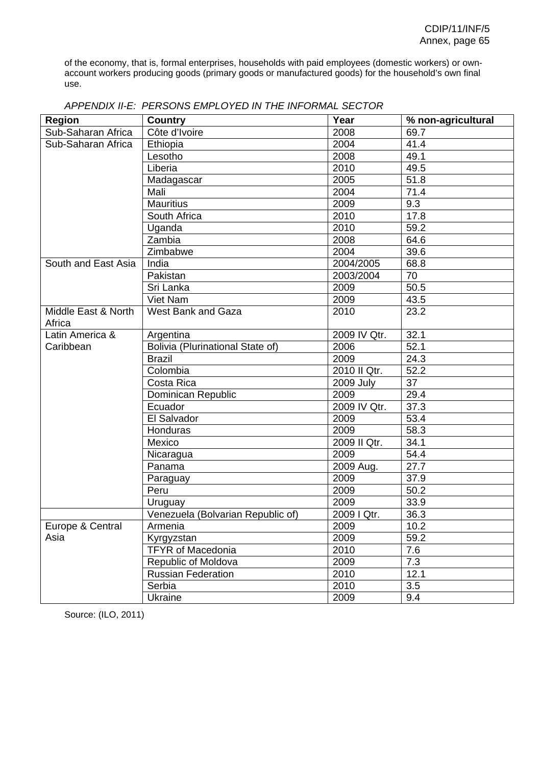of the economy, that is, formal enterprises, households with paid employees (domestic workers) or ownaccount workers producing goods (primary goods or manufactured goods) for the household's own final use.

| <b>Region</b>       | <b>Country</b>                    | Year             | % non-agricultural |
|---------------------|-----------------------------------|------------------|--------------------|
| Sub-Saharan Africa  | Côte d'Ivoire                     | 2008             | 69.7               |
| Sub-Saharan Africa  | Ethiopia                          | 2004             | 41.4               |
|                     | Lesotho                           | 2008             | 49.1               |
|                     | Liberia                           | 2010             | 49.5               |
|                     | Madagascar                        | 2005             | 51.8               |
|                     | Mali                              | 2004             | 71.4               |
|                     | <b>Mauritius</b>                  | 2009             | 9.3                |
|                     | South Africa                      | 2010             | 17.8               |
|                     | Uganda                            | 2010             | 59.2               |
|                     | Zambia                            | 2008             | 64.6               |
|                     | Zimbabwe                          | 2004             | 39.6               |
| South and East Asia | India                             | 2004/2005        | 68.8               |
|                     | Pakistan                          | 2003/2004        | 70                 |
|                     | Sri Lanka                         | 2009             | 50.5               |
|                     | Viet Nam                          | 2009             | 43.5               |
| Middle East & North | <b>West Bank and Gaza</b>         | 2010             | 23.2               |
| Africa              |                                   |                  |                    |
| Latin America &     | Argentina                         | 2009 IV Qtr.     | 32.1               |
| Caribbean           | Bolivia (Plurinational State of)  | 2006             | 52.1               |
|                     | <b>Brazil</b>                     | 2009             | 24.3               |
|                     | Colombia                          | 2010 II Qtr.     | 52.2               |
|                     | Costa Rica                        | <b>2009 July</b> | 37                 |
|                     | Dominican Republic                | 2009             | 29.4               |
|                     | Ecuador                           | 2009 IV Qtr.     | 37.3               |
|                     | El Salvador                       | 2009             | 53.4               |
|                     | Honduras                          | 2009             | 58.3               |
|                     | Mexico                            | 2009 II Qtr.     | 34.1               |
|                     | Nicaragua                         | 2009             | 54.4               |
|                     | Panama                            | 2009 Aug.        | 27.7               |
|                     | Paraguay                          | 2009             | 37.9               |
|                     | Peru                              | 2009             | $50.\overline{2}$  |
|                     | Uruguay                           | 2009             | 33.9               |
|                     | Venezuela (Bolvarian Republic of) | 2009   Qtr.      | 36.3               |
| Europe & Central    | Armenia                           | 2009             | 10.2               |
| Asia                | Kyrgyzstan                        | 2009             | 59.2               |
|                     | <b>TFYR of Macedonia</b>          | 2010             | 7.6                |
|                     | Republic of Moldova               | 2009             | 7.3                |
|                     | <b>Russian Federation</b>         | 2010             | 12.1               |
|                     | Serbia                            | 2010             | 3.5                |
|                     | Ukraine                           | 2009             | 9.4                |

| APPENDIX II-E: PERSONS EMPLOYED IN THE INFORMAL SECTOR |
|--------------------------------------------------------|
|--------------------------------------------------------|

Source: (ILO, 2011)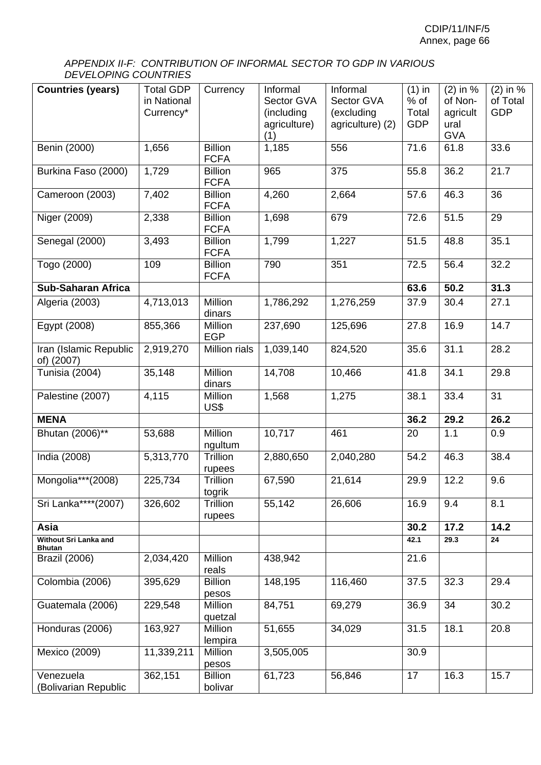### *APPENDIX II-F: CONTRIBUTION OF INFORMAL SECTOR TO GDP IN VARIOUS DEVELOPING COUNTRIES*

| <b>Countries (years)</b>                      | <b>Total GDP</b><br>in National<br>Currency* | Currency                      | Informal<br>Sector GVA<br>(including<br>agriculture)<br>(1) | Informal<br>Sector GVA<br>(excluding<br>agriculture) (2) | $(1)$ in<br>$%$ of<br>Total<br><b>GDP</b> | $(2)$ in %<br>of Non-<br>agricult<br>ural<br><b>GVA</b> | $\overline{2}$ ) in %<br>of Total<br><b>GDP</b> |
|-----------------------------------------------|----------------------------------------------|-------------------------------|-------------------------------------------------------------|----------------------------------------------------------|-------------------------------------------|---------------------------------------------------------|-------------------------------------------------|
| Benin (2000)                                  | 1,656                                        | <b>Billion</b><br><b>FCFA</b> | 1,185                                                       | 556                                                      | 71.6                                      | 61.8                                                    | 33.6                                            |
| Burkina Faso (2000)                           | 1,729                                        | <b>Billion</b><br><b>FCFA</b> | 965                                                         | 375                                                      | 55.8                                      | 36.2                                                    | 21.7                                            |
| Cameroon (2003)                               | 7,402                                        | <b>Billion</b><br><b>FCFA</b> | 4,260                                                       | 2,664                                                    | 57.6                                      | 46.3                                                    | 36                                              |
| Niger (2009)                                  | 2,338                                        | <b>Billion</b><br><b>FCFA</b> | 1,698                                                       | 679                                                      | 72.6                                      | 51.5                                                    | 29                                              |
| Senegal (2000)                                | 3,493                                        | <b>Billion</b><br><b>FCFA</b> | 1,799                                                       | 1,227                                                    | 51.5                                      | 48.8                                                    | 35.1                                            |
| Togo (2000)                                   | 109                                          | <b>Billion</b><br><b>FCFA</b> | 790                                                         | 351                                                      | 72.5                                      | 56.4                                                    | 32.2                                            |
| <b>Sub-Saharan Africa</b>                     |                                              |                               |                                                             |                                                          | 63.6                                      | 50.2                                                    | 31.3                                            |
| Algeria (2003)                                | 4,713,013                                    | Million<br>dinars             | 1,786,292                                                   | 1,276,259                                                | 37.9                                      | 30.4                                                    | 27.1                                            |
| Egypt (2008)                                  | 855,366                                      | Million<br><b>EGP</b>         | 237,690                                                     | 125,696                                                  | 27.8                                      | 16.9                                                    | 14.7                                            |
| Iran (Islamic Republic<br>of) (2007)          | 2,919,270                                    | Million rials                 | 1,039,140                                                   | 824,520                                                  | 35.6                                      | 31.1                                                    | 28.2                                            |
| Tunisia (2004)                                | 35,148                                       | Million<br>dinars             | 14,708                                                      | 10,466                                                   | 41.8                                      | 34.1                                                    | 29.8                                            |
| Palestine (2007)                              | 4,115                                        | Million<br>US\$               | 1,568                                                       | 1,275                                                    | 38.1                                      | 33.4                                                    | 31                                              |
| <b>MENA</b>                                   |                                              |                               |                                                             |                                                          | 36.2                                      | 29.2                                                    | 26.2                                            |
| Bhutan (2006)**                               | 53,688                                       | Million<br>ngultum            | 10,717                                                      | 461                                                      | 20                                        | 1.1                                                     | 0.9                                             |
| India (2008)                                  | 5,313,770                                    | Trillion<br>rupees            | 2,880,650                                                   | 2,040,280                                                | 54.2                                      | 46.3                                                    | 38.4                                            |
| Mongolia***(2008)                             | 225,734                                      | Trillion<br>togrik            | 67,590                                                      | 21,614                                                   | 29.9                                      | 12.2                                                    | 9.6                                             |
| Sri Lanka****(2007)                           | 326,602                                      | Trillion<br>rupees            | 55,142                                                      | 26,606                                                   | 16.9                                      | 9.4                                                     | 8.1                                             |
| Asia                                          |                                              |                               |                                                             |                                                          | 30.2                                      | 17.2                                                    | 14.2                                            |
| <b>Without Sri Lanka and</b><br><b>Bhutan</b> |                                              |                               |                                                             |                                                          | 42.1                                      | 29.3                                                    | 24                                              |
| <b>Brazil (2006)</b>                          | 2,034,420                                    | Million<br>reals              | 438,942                                                     |                                                          | 21.6                                      |                                                         |                                                 |
| Colombia (2006)                               | 395,629                                      | <b>Billion</b><br>pesos       | 148,195                                                     | 116,460                                                  | 37.5                                      | 32.3                                                    | 29.4                                            |
| Guatemala (2006)                              | 229,548                                      | Million<br>quetzal            | 84,751                                                      | 69,279                                                   | 36.9                                      | 34                                                      | 30.2                                            |
| Honduras (2006)                               | 163,927                                      | Million<br>lempira            | 51,655                                                      | 34,029                                                   | 31.5                                      | 18.1                                                    | 20.8                                            |
| Mexico (2009)                                 | 11,339,211                                   | Million<br>pesos              | 3,505,005                                                   |                                                          | 30.9                                      |                                                         |                                                 |
| Venezuela                                     | 362,151                                      | <b>Billion</b>                | 61,723                                                      | 56,846                                                   | 17                                        | 16.3                                                    | 15.7                                            |
| (Bolivarian Republic                          |                                              | bolivar                       |                                                             |                                                          |                                           |                                                         |                                                 |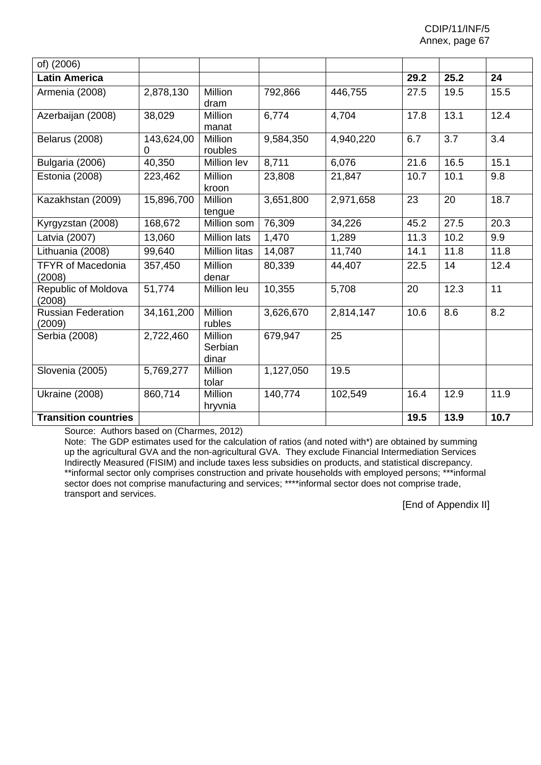| of) (2006)                          |                        |                                    |           |           |      |      |      |
|-------------------------------------|------------------------|------------------------------------|-----------|-----------|------|------|------|
| <b>Latin America</b>                |                        |                                    |           |           | 29.2 | 25.2 | 24   |
| Armenia (2008)                      | 2,878,130              | Million<br>dram                    | 792,866   | 446,755   | 27.5 | 19.5 | 15.5 |
| Azerbaijan (2008)                   | 38,029                 | <b>Million</b><br>manat            | 6,774     | 4,704     | 17.8 | 13.1 | 12.4 |
| <b>Belarus (2008)</b>               | 143,624,00<br>$\Omega$ | <b>Million</b><br>roubles          | 9,584,350 | 4,940,220 | 6.7  | 3.7  | 3.4  |
| Bulgaria (2006)                     | 40,350                 | Million lev                        | 8,711     | 6,076     | 21.6 | 16.5 | 15.1 |
| Estonia (2008)                      | 223,462                | <b>Million</b><br>kroon            | 23,808    | 21,847    | 10.7 | 10.1 | 9.8  |
| Kazakhstan (2009)                   | 15,896,700             | Million<br>tengue                  | 3,651,800 | 2,971,658 | 23   | 20   | 18.7 |
| Kyrgyzstan (2008)                   | 168,672                | Million som                        | 76,309    | 34,226    | 45.2 | 27.5 | 20.3 |
| Latvia (2007)                       | 13,060                 | <b>Million lats</b>                | 1,470     | 1,289     | 11.3 | 10.2 | 9.9  |
| Lithuania (2008)                    | 99,640                 | <b>Million litas</b>               | 14,087    | 11,740    | 14.1 | 11.8 | 11.8 |
| <b>TFYR of Macedonia</b><br>(2008)  | 357,450                | Million<br>denar                   | 80,339    | 44,407    | 22.5 | 14   | 12.4 |
| Republic of Moldova<br>(2008)       | 51,774                 | Million leu                        | 10,355    | 5,708     | 20   | 12.3 | 11   |
| <b>Russian Federation</b><br>(2009) | 34, 161, 200           | Million<br>rubles                  | 3,626,670 | 2,814,147 | 10.6 | 8.6  | 8.2  |
| Serbia (2008)                       | 2,722,460              | <b>Million</b><br>Serbian<br>dinar | 679,947   | 25        |      |      |      |
| Slovenia (2005)                     | 5,769,277              | <b>Million</b><br>tolar            | 1,127,050 | 19.5      |      |      |      |
| <b>Ukraine (2008)</b>               | 860,714                | <b>Million</b><br>hryvnia          | 140,774   | 102,549   | 16.4 | 12.9 | 11.9 |
| <b>Transition countries</b>         |                        |                                    |           |           | 19.5 | 13.9 | 10.7 |

Source: Authors based on (Charmes, 2012)

Note:The GDP estimates used for the calculation of ratios (and noted with\*) are obtained by summing up the agricultural GVA and the non-agricultural GVA. They exclude Financial Intermediation Services Indirectly Measured (FISIM) and include taxes less subsidies on products, and statistical discrepancy. \*\*informal sector only comprises construction and private households with employed persons; \*\*\*informal sector does not comprise manufacturing and services; \*\*\*\*informal sector does not comprise trade, transport and services.

[End of Appendix II]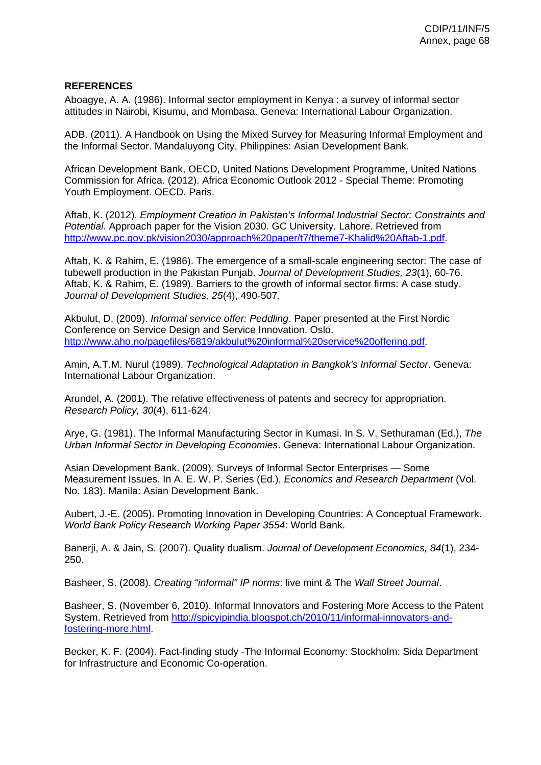# **REFERENCES**

Aboagye, A. A. (1986). Informal sector employment in Kenya : a survey of informal sector attitudes in Nairobi, Kisumu, and Mombasa. Geneva: International Labour Organization.

ADB. (2011). A Handbook on Using the Mixed Survey for Measuring Informal Employment and the Informal Sector. Mandaluyong City, Philippines: Asian Development Bank.

African Development Bank, OECD, United Nations Development Programme, United Nations Commission for Africa. (2012). Africa Economic Outlook 2012 - Special Theme: Promoting Youth Employment. OECD. Paris.

Aftab, K. (2012). *Employment Creation in Pakistan's Informal Industrial Sector: Constraints and Potential*. Approach paper for the Vision 2030. GC University. Lahore. Retrieved from http://www.pc.gov.pk/vision2030/approach%20paper/t7/theme7-Khalid%20Aftab-1.pdf.

Aftab, K. & Rahim, E. (1986). The emergence of a small-scale engineering sector: The case of tubewell production in the Pakistan Punjab. *Journal of Development Studies, 23*(1), 60-76. Aftab, K. & Rahim, E. (1989). Barriers to the growth of informal sector firms: A case study. *Journal of Development Studies, 25*(4), 490-507.

Akbulut, D. (2009). *Informal service offer: Peddling*. Paper presented at the First Nordic Conference on Service Design and Service Innovation. Oslo. http://www.aho.no/pagefiles/6819/akbulut%20informal%20service%20offering.pdf.

Amin, A.T.M. Nurul (1989). *Technological Adaptation in Bangkok's Informal Sector*. Geneva: International Labour Organization.

Arundel, A. (2001). The relative effectiveness of patents and secrecy for appropriation. *Research Policy, 30*(4), 611-624.

Arye, G. (1981). The Informal Manufacturing Sector in Kumasi. In S. V. Sethuraman (Ed.), *The Urban Informal Sector in Developing Economies*. Geneva: International Labour Organization.

Asian Development Bank. (2009). Surveys of Informal Sector Enterprises — Some Measurement Issues. In A. E. W. P. Series (Ed.), *Economics and Research Department* (Vol. No. 183). Manila: Asian Development Bank.

Aubert, J.-E. (2005). Promoting Innovation in Developing Countries: A Conceptual Framework. *World Bank Policy Research Working Paper 3554*: World Bank.

Banerji, A. & Jain, S. (2007). Quality dualism. *Journal of Development Economics, 84*(1), 234- 250.

Basheer, S. (2008). *Creating "informal" IP norms*: live mint & The *Wall Street Journal*.

Basheer, S. (November 6, 2010). Informal Innovators and Fostering More Access to the Patent System. Retrieved from http://spicyipindia.blogspot.ch/2010/11/informal-innovators-andfostering-more.html.

Becker, K. F. (2004). Fact-finding study -The Informal Economy: Stockholm: Sida Department for Infrastructure and Economic Co-operation.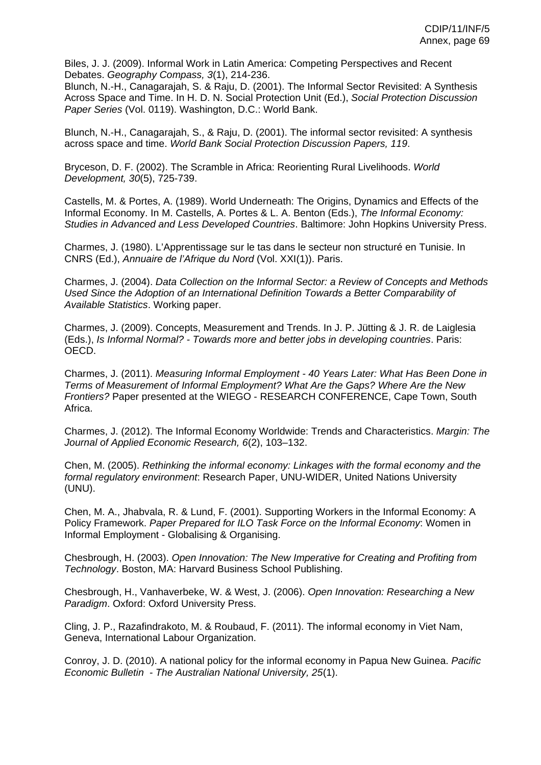Biles, J. J. (2009). Informal Work in Latin America: Competing Perspectives and Recent Debates. *Geography Compass, 3*(1), 214-236.

Blunch, N.-H., Canagarajah, S. & Raju, D. (2001). The Informal Sector Revisited: A Synthesis Across Space and Time. In H. D. N. Social Protection Unit (Ed.), *Social Protection Discussion Paper Series* (Vol. 0119). Washington, D.C.: World Bank.

Blunch, N.-H., Canagarajah, S., & Raju, D. (2001). The informal sector revisited: A synthesis across space and time. *World Bank Social Protection Discussion Papers, 119*.

Bryceson, D. F. (2002). The Scramble in Africa: Reorienting Rural Livelihoods. *World Development, 30*(5), 725-739.

Castells, M. & Portes, A. (1989). World Underneath: The Origins, Dynamics and Effects of the Informal Economy. In M. Castells, A. Portes & L. A. Benton (Eds.), *The Informal Economy: Studies in Advanced and Less Developed Countries*. Baltimore: John Hopkins University Press.

Charmes, J. (1980). L'Apprentissage sur le tas dans le secteur non structuré en Tunisie. In CNRS (Ed.), *Annuaire de l'Afrique du Nord* (Vol. XXI(1)). Paris.

Charmes, J. (2004). *Data Collection on the Informal Sector: a Review of Concepts and Methods Used Since the Adoption of an International Definition Towards a Better Comparability of Available Statistics*. Working paper.

Charmes, J. (2009). Concepts, Measurement and Trends. In J. P. Jütting & J. R. de Laiglesia (Eds.), *Is Informal Normal? - Towards more and better jobs in developing countries*. Paris: OECD.

Charmes, J. (2011). *Measuring Informal Employment - 40 Years Later: What Has Been Done in Terms of Measurement of Informal Employment? What Are the Gaps? Where Are the New Frontiers?* Paper presented at the WIEGO - RESEARCH CONFERENCE, Cape Town, South Africa.

Charmes, J. (2012). The Informal Economy Worldwide: Trends and Characteristics. *Margin: The Journal of Applied Economic Research, 6*(2), 103–132.

Chen, M. (2005). *Rethinking the informal economy: Linkages with the formal economy and the formal regulatory environment*: Research Paper, UNU-WIDER, United Nations University (UNU).

Chen, M. A., Jhabvala, R. & Lund, F. (2001). Supporting Workers in the Informal Economy: A Policy Framework. *Paper Prepared for ILO Task Force on the Informal Economy*: Women in Informal Employment - Globalising & Organising.

Chesbrough, H. (2003). *Open Innovation: The New Imperative for Creating and Profiting from Technology*. Boston, MA: Harvard Business School Publishing.

Chesbrough, H., Vanhaverbeke, W. & West, J. (2006). *Open Innovation: Researching a New Paradigm*. Oxford: Oxford University Press.

Cling, J. P., Razafindrakoto, M. & Roubaud, F. (2011). The informal economy in Viet Nam, Geneva, International Labour Organization.

Conroy, J. D. (2010). A national policy for the informal economy in Papua New Guinea. *Pacific Economic Bulletin - The Australian National University, 25*(1).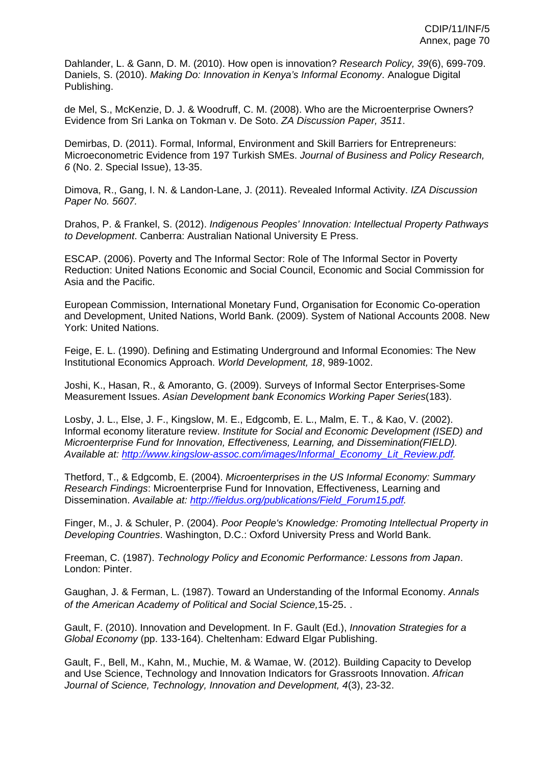Dahlander, L. & Gann, D. M. (2010). How open is innovation? *Research Policy, 39*(6), 699-709. Daniels, S. (2010). *Making Do: Innovation in Kenya's Informal Economy*. Analogue Digital Publishing.

de Mel, S., McKenzie, D. J. & Woodruff, C. M. (2008). Who are the Microenterprise Owners? Evidence from Sri Lanka on Tokman v. De Soto. *ZA Discussion Paper, 3511*.

Demirbas, D. (2011). Formal, Informal, Environment and Skill Barriers for Entrepreneurs: Microeconometric Evidence from 197 Turkish SMEs. *Journal of Business and Policy Research, 6* (No. 2. Special Issue), 13-35.

Dimova, R., Gang, I. N. & Landon-Lane, J. (2011). Revealed Informal Activity. *IZA Discussion Paper No. 5607.*

Drahos, P. & Frankel, S. (2012). *Indigenous Peoples' Innovation: Intellectual Property Pathways to Development*. Canberra: Australian National University E Press.

ESCAP. (2006). Poverty and The Informal Sector: Role of The Informal Sector in Poverty Reduction: United Nations Economic and Social Council, Economic and Social Commission for Asia and the Pacific.

European Commission, International Monetary Fund, Organisation for Economic Co-operation and Development, United Nations, World Bank. (2009). System of National Accounts 2008. New York: United Nations.

Feige, E. L. (1990). Defining and Estimating Underground and Informal Economies: The New Institutional Economics Approach. *World Development, 18*, 989-1002.

Joshi, K., Hasan, R., & Amoranto, G. (2009). Surveys of Informal Sector Enterprises-Some Measurement Issues. *Asian Development bank Economics Working Paper Series*(183).

Losby, J. L., Else, J. F., Kingslow, M. E., Edgcomb, E. L., Malm, E. T., & Kao, V. (2002). Informal economy literature review. *Institute for Social and Economic Development (ISED) and Microenterprise Fund for Innovation, Effectiveness, Learning, and Dissemination(FIELD). Available at:* 5*http://www.kingslow-assoc.com/images/Informal\_Economy\_Lit\_Review.pdf.* 

Thetford, T., & Edgcomb, E. (2004). *Microenterprises in the US Informal Economy: Summary Research Findings*: Microenterprise Fund for Innovation, Effectiveness, Learning and Dissemination. Available at: http://fieldus.org/publications/Field\_Forum15.pdf.

Finger, M., J. & Schuler, P. (2004). *Poor People's Knowledge: Promoting Intellectual Property in Developing Countries*. Washington, D.C.: Oxford University Press and World Bank.

Freeman, C. (1987). *Technology Policy and Economic Performance: Lessons from Japan*. London: Pinter.

Gaughan, J. & Ferman, L. (1987). Toward an Understanding of the Informal Economy. *Annals of the American Academy of Political and Social Science,*15-25. .

Gault, F. (2010). Innovation and Development. In F. Gault (Ed.), *Innovation Strategies for a Global Economy* (pp. 133-164). Cheltenham: Edward Elgar Publishing.

Gault, F., Bell, M., Kahn, M., Muchie, M. & Wamae, W. (2012). Building Capacity to Develop and Use Science, Technology and Innovation Indicators for Grassroots Innovation. *African Journal of Science, Technology, Innovation and Development, 4*(3), 23-32.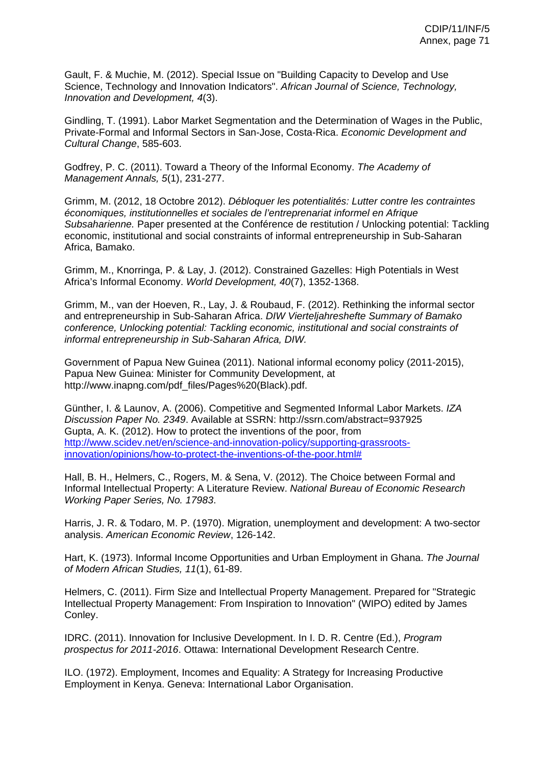Gault, F. & Muchie, M. (2012). Special Issue on "Building Capacity to Develop and Use Science, Technology and Innovation Indicators". *African Journal of Science, Technology, Innovation and Development, 4*(3).

Gindling, T. (1991). Labor Market Segmentation and the Determination of Wages in the Public, Private-Formal and Informal Sectors in San-Jose, Costa-Rica. *Economic Development and Cultural Change*, 585-603.

Godfrey, P. C. (2011). Toward a Theory of the Informal Economy. *The Academy of Management Annals, 5*(1), 231-277.

Grimm, M. (2012, 18 Octobre 2012). *Débloquer les potentialités: Lutter contre les contraintes économiques, institutionnelles et sociales de l'entreprenariat informel en Afrique Subsaharienne.* Paper presented at the Conférence de restitution / Unlocking potential: Tackling economic, institutional and social constraints of informal entrepreneurship in Sub-Saharan Africa, Bamako.

Grimm, M., Knorringa, P. & Lay, J. (2012). Constrained Gazelles: High Potentials in West Africa's Informal Economy. *World Development, 40*(7), 1352-1368.

Grimm, M., van der Hoeven, R., Lay, J. & Roubaud, F. (2012). Rethinking the informal sector and entrepreneurship in Sub-Saharan Africa. *DIW Vierteljahreshefte Summary of Bamako conference, Unlocking potential: Tackling economic, institutional and social constraints of informal entrepreneurship in Sub-Saharan Africa, DIW.* 

Government of Papua New Guinea (2011). National informal economy policy (2011-2015), Papua New Guinea: Minister for Community Development, at http://www.inapng.com/pdf\_files/Pages%20(Black).pdf.

Günther, I. & Launov, A. (2006). Competitive and Segmented Informal Labor Markets. *IZA Discussion Paper No. 2349*. Available at SSRN: http://ssrn.com/abstract=937925 Gupta, A. K. (2012). How to protect the inventions of the poor, from http://www.scidev.net/en/science-and-innovation-policy/supporting-grassrootsinnovation/opinions/how-to-protect-the-inventions-of-the-poor.html#

Hall, B. H., Helmers, C., Rogers, M. & Sena, V. (2012). The Choice between Formal and Informal Intellectual Property: A Literature Review. *National Bureau of Economic Research Working Paper Series, No. 17983*.

Harris, J. R. & Todaro, M. P. (1970). Migration, unemployment and development: A two-sector analysis. *American Economic Review*, 126-142.

Hart, K. (1973). Informal Income Opportunities and Urban Employment in Ghana. *The Journal of Modern African Studies, 11*(1), 61-89.

Helmers, C. (2011). Firm Size and Intellectual Property Management. Prepared for "Strategic Intellectual Property Management: From Inspiration to Innovation" (WIPO) edited by James Conley.

IDRC. (2011). Innovation for Inclusive Development. In I. D. R. Centre (Ed.), *Program prospectus for 2011-2016*. Ottawa: International Development Research Centre.

ILO. (1972). Employment, Incomes and Equality: A Strategy for Increasing Productive Employment in Kenya. Geneva: International Labor Organisation.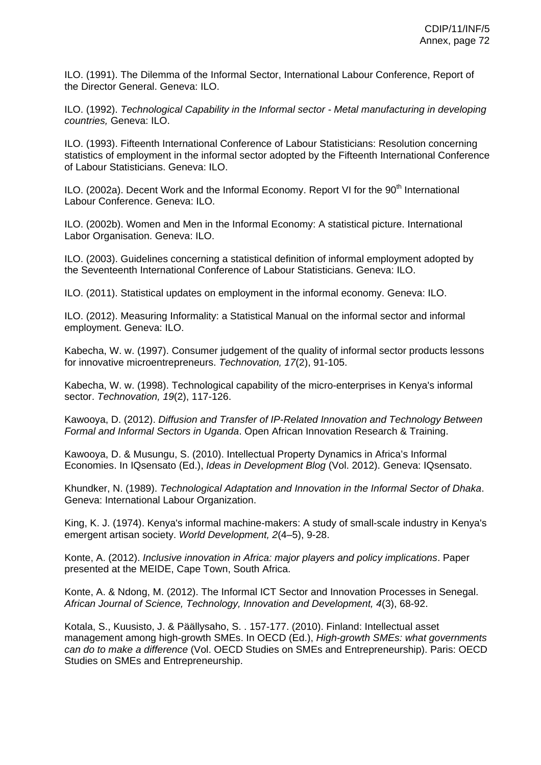ILO. (1991). The Dilemma of the Informal Sector, International Labour Conference, Report of the Director General. Geneva: ILO.

ILO. (1992). *Technological Capability in the Informal sector - Metal manufacturing in developing countries,* Geneva: ILO.

ILO. (1993). Fifteenth International Conference of Labour Statisticians: Resolution concerning statistics of employment in the informal sector adopted by the Fifteenth International Conference of Labour Statisticians. Geneva: ILO.

ILO. (2002a). Decent Work and the Informal Economy. Report VI for the 90<sup>th</sup> International Labour Conference. Geneva: ILO.

ILO. (2002b). Women and Men in the Informal Economy: A statistical picture. International Labor Organisation. Geneva: ILO.

ILO. (2003). Guidelines concerning a statistical definition of informal employment adopted by the Seventeenth International Conference of Labour Statisticians. Geneva: ILO.

ILO. (2011). Statistical updates on employment in the informal economy. Geneva: ILO.

ILO. (2012). Measuring Informality: a Statistical Manual on the informal sector and informal employment. Geneva: ILO.

Kabecha, W. w. (1997). Consumer judgement of the quality of informal sector products lessons for innovative microentrepreneurs. *Technovation, 17*(2), 91-105.

Kabecha, W. w. (1998). Technological capability of the micro-enterprises in Kenya's informal sector. *Technovation, 19*(2), 117-126.

Kawooya, D. (2012). *Diffusion and Transfer of IP-Related Innovation and Technology Between Formal and Informal Sectors in Uganda*. Open African Innovation Research & Training.

Kawooya, D. & Musungu, S. (2010). Intellectual Property Dynamics in Africa's Informal Economies. In IQsensato (Ed.), *Ideas in Development Blog* (Vol. 2012). Geneva: IQsensato.

Khundker, N. (1989). *Technological Adaptation and Innovation in the Informal Sector of Dhaka*. Geneva: International Labour Organization.

King, K. J. (1974). Kenya's informal machine-makers: A study of small-scale industry in Kenya's emergent artisan society. *World Development, 2*(4–5), 9-28.

Konte, A. (2012). *Inclusive innovation in Africa: major players and policy implications*. Paper presented at the MEIDE, Cape Town, South Africa.

Konte, A. & Ndong, M. (2012). The Informal ICT Sector and Innovation Processes in Senegal. *African Journal of Science, Technology, Innovation and Development, 4*(3), 68-92.

Kotala, S., Kuusisto, J. & Päällysaho, S. . 157-177. (2010). Finland: Intellectual asset management among high-growth SMEs. In OECD (Ed.), *High-growth SMEs: what governments can do to make a difference* (Vol. OECD Studies on SMEs and Entrepreneurship). Paris: OECD Studies on SMEs and Entrepreneurship.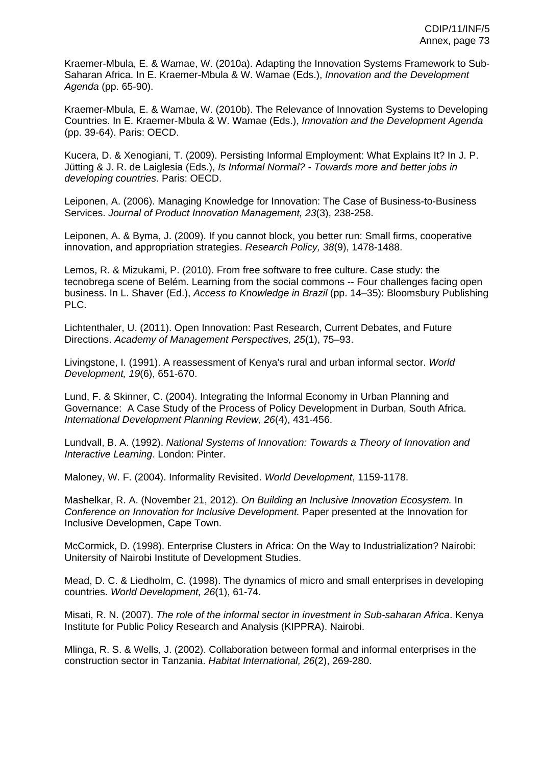Kraemer-Mbula, E. & Wamae, W. (2010a). Adapting the Innovation Systems Framework to Sub-Saharan Africa. In E. Kraemer-Mbula & W. Wamae (Eds.), *Innovation and the Development Agenda* (pp. 65-90).

Kraemer-Mbula, E. & Wamae, W. (2010b). The Relevance of Innovation Systems to Developing Countries. In E. Kraemer-Mbula & W. Wamae (Eds.), *Innovation and the Development Agenda*  (pp. 39-64). Paris: OECD.

Kucera, D. & Xenogiani, T. (2009). Persisting Informal Employment: What Explains It? In J. P. Jütting & J. R. de Laiglesia (Eds.), *Is Informal Normal? - Towards more and better jobs in developing countries*. Paris: OECD.

Leiponen, A. (2006). Managing Knowledge for Innovation: The Case of Business-to-Business Services. *Journal of Product Innovation Management, 23*(3), 238-258.

Leiponen, A. & Byma, J. (2009). If you cannot block, you better run: Small firms, cooperative innovation, and appropriation strategies. *Research Policy, 38*(9), 1478-1488.

Lemos, R. & Mizukami, P. (2010). From free software to free culture. Case study: the tecnobrega scene of Belém. Learning from the social commons -- Four challenges facing open business. In L. Shaver (Ed.), *Access to Knowledge in Brazil* (pp. 14–35): Bloomsbury Publishing PLC.

Lichtenthaler, U. (2011). Open Innovation: Past Research, Current Debates, and Future Directions. *Academy of Management Perspectives, 25*(1), 75–93.

Livingstone, I. (1991). A reassessment of Kenya's rural and urban informal sector. *World Development, 19*(6), 651-670.

Lund, F. & Skinner, C. (2004). Integrating the Informal Economy in Urban Planning and Governance: A Case Study of the Process of Policy Development in Durban, South Africa. *International Development Planning Review, 26*(4), 431-456.

Lundvall, B. A. (1992). *National Systems of Innovation: Towards a Theory of Innovation and Interactive Learning*. London: Pinter.

Maloney, W. F. (2004). Informality Revisited. *World Development*, 1159-1178.

Mashelkar, R. A. (November 21, 2012). *On Building an Inclusive Innovation Ecosystem.* In *Conference on Innovation for Inclusive Development.* Paper presented at the Innovation for Inclusive Developmen, Cape Town.

McCormick, D. (1998). Enterprise Clusters in Africa: On the Way to Industrialization? Nairobi: Unitersity of Nairobi Institute of Development Studies.

Mead, D. C. & Liedholm, C. (1998). The dynamics of micro and small enterprises in developing countries. *World Development, 26*(1), 61-74.

Misati, R. N. (2007). *The role of the informal sector in investment in Sub-saharan Africa*. Kenya Institute for Public Policy Research and Analysis (KIPPRA). Nairobi.

Mlinga, R. S. & Wells, J. (2002). Collaboration between formal and informal enterprises in the construction sector in Tanzania. *Habitat International, 26*(2), 269-280.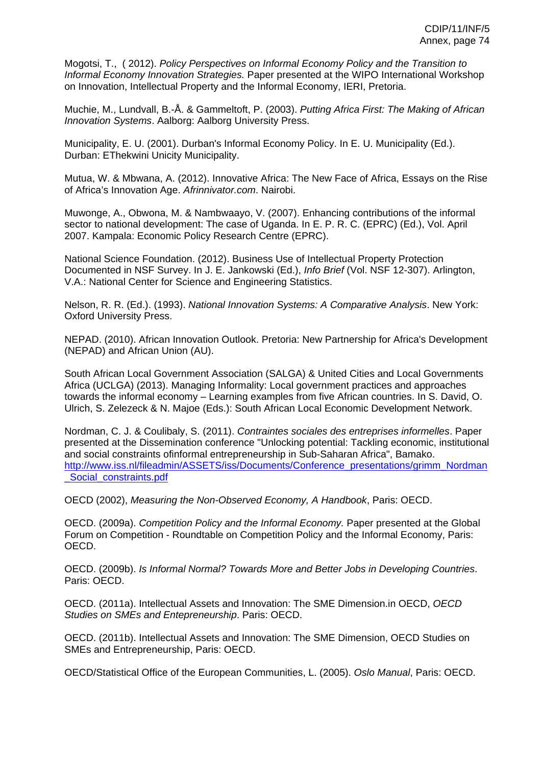Mogotsi, T., ( 2012). *Policy Perspectives on Informal Economy Policy and the Transition to Informal Economy Innovation Strategies.* Paper presented at the WIPO International Workshop on Innovation, Intellectual Property and the Informal Economy, IERI, Pretoria.

Muchie, M., Lundvall, B.-Å. & Gammeltoft, P. (2003). *Putting Africa First: The Making of African Innovation Systems*. Aalborg: Aalborg University Press.

Municipality, E. U. (2001). Durban's Informal Economy Policy. In E. U. Municipality (Ed.). Durban: EThekwini Unicity Municipality.

Mutua, W. & Mbwana, A. (2012). Innovative Africa: The New Face of Africa, Essays on the Rise of Africa's Innovation Age. *Afrinnivator.com*. Nairobi.

Muwonge, A., Obwona, M. & Nambwaayo, V. (2007). Enhancing contributions of the informal sector to national development: The case of Uganda. In E. P. R. C. (EPRC) (Ed.), Vol. April 2007. Kampala: Economic Policy Research Centre (EPRC).

National Science Foundation. (2012). Business Use of Intellectual Property Protection Documented in NSF Survey. In J. E. Jankowski (Ed.), *Info Brief* (Vol. NSF 12-307). Arlington, V.A.: National Center for Science and Engineering Statistics.

Nelson, R. R. (Ed.). (1993). *National Innovation Systems: A Comparative Analysis*. New York: Oxford University Press.

NEPAD. (2010). African Innovation Outlook. Pretoria: New Partnership for Africa's Development (NEPAD) and African Union (AU).

South African Local Government Association (SALGA) & United Cities and Local Governments Africa (UCLGA) (2013). Managing Informality: Local government practices and approaches towards the informal economy – Learning examples from five African countries. In S. David, O. Ulrich, S. Zelezeck & N. Majoe (Eds.): South African Local Economic Development Network.

Nordman, C. J. & Coulibaly, S. (2011). *Contraintes sociales des entreprises informelles*. Paper presented at the Dissemination conference "Unlocking potential: Tackling economic, institutional and social constraints ofinformal entrepreneurship in Sub-Saharan Africa", Bamako. http://www.iss.nl/fileadmin/ASSETS/iss/Documents/Conference\_presentations/grimm\_Nordman \_Social\_constraints.pdf

OECD (2002), *Measuring the Non-Observed Economy, A Handbook*, Paris: OECD.

OECD. (2009a). *Competition Policy and the Informal Economy.* Paper presented at the Global Forum on Competition - Roundtable on Competition Policy and the Informal Economy, Paris: OECD.

OECD. (2009b). *Is Informal Normal? Towards More and Better Jobs in Developing Countries*. Paris: OECD.

OECD. (2011a). Intellectual Assets and Innovation: The SME Dimension.in OECD, *OECD Studies on SMEs and Entepreneurship*. Paris: OECD.

OECD. (2011b). Intellectual Assets and Innovation: The SME Dimension, OECD Studies on SMEs and Entrepreneurship, Paris: OECD.

OECD/Statistical Office of the European Communities, L. (2005). *Oslo Manual*, Paris: OECD.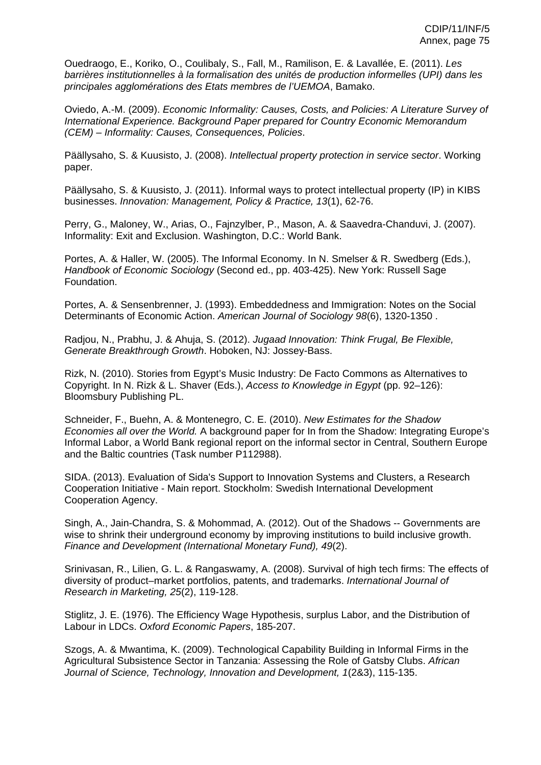Ouedraogo, E., Koriko, O., Coulibaly, S., Fall, M., Ramilison, E. & Lavallée, E. (2011). *Les barrières institutionnelles à la formalisation des unités de production informelles (UPI) dans les principales agglomérations des Etats membres de l'UEMOA*, Bamako.

Oviedo, A.-M. (2009). *Economic Informality: Causes, Costs, and Policies: A Literature Survey of International Experience. Background Paper prepared for Country Economic Memorandum (CEM) – Informality: Causes, Consequences, Policies*.

Päällysaho, S. & Kuusisto, J. (2008). *Intellectual property protection in service sector*. Working paper.

Päällysaho, S. & Kuusisto, J. (2011). Informal ways to protect intellectual property (IP) in KIBS businesses. *Innovation: Management, Policy & Practice, 13*(1), 62-76.

Perry, G., Maloney, W., Arias, O., Fajnzylber, P., Mason, A. & Saavedra-Chanduvi, J. (2007). Informality: Exit and Exclusion. Washington, D.C.: World Bank.

Portes, A. & Haller, W. (2005). The Informal Economy. In N. Smelser & R. Swedberg (Eds.), *Handbook of Economic Sociology* (Second ed., pp. 403-425). New York: Russell Sage Foundation.

Portes, A. & Sensenbrenner, J. (1993). Embeddedness and Immigration: Notes on the Social Determinants of Economic Action. *American Journal of Sociology 98*(6), 1320-1350 .

Radjou, N., Prabhu, J. & Ahuja, S. (2012). *Jugaad Innovation: Think Frugal, Be Flexible, Generate Breakthrough Growth*. Hoboken, NJ: Jossey-Bass.

Rizk, N. (2010). Stories from Egypt's Music Industry: De Facto Commons as Alternatives to Copyright. In N. Rizk & L. Shaver (Eds.), *Access to Knowledge in Egypt* (pp. 92–126): Bloomsbury Publishing PL.

Schneider, F., Buehn, A. & Montenegro, C. E. (2010). *New Estimates for the Shadow Economies all over the World.* A background paper for In from the Shadow: Integrating Europe's Informal Labor, a World Bank regional report on the informal sector in Central, Southern Europe and the Baltic countries (Task number P112988).

SIDA. (2013). Evaluation of Sida's Support to Innovation Systems and Clusters, a Research Cooperation Initiative - Main report. Stockholm: Swedish International Development Cooperation Agency.

Singh, A., Jain-Chandra, S. & Mohommad, A. (2012). Out of the Shadows -- Governments are wise to shrink their underground economy by improving institutions to build inclusive growth. *Finance and Development (International Monetary Fund), 49*(2).

Srinivasan, R., Lilien, G. L. & Rangaswamy, A. (2008). Survival of high tech firms: The effects of diversity of product–market portfolios, patents, and trademarks. *International Journal of Research in Marketing, 25*(2), 119-128.

Stiglitz, J. E. (1976). The Efficiency Wage Hypothesis, surplus Labor, and the Distribution of Labour in LDCs. *Oxford Economic Papers*, 185-207.

Szogs, A. & Mwantima, K. (2009). Technological Capability Building in Informal Firms in the Agricultural Subsistence Sector in Tanzania: Assessing the Role of Gatsby Clubs. *African Journal of Science, Technology, Innovation and Development, 1*(2&3), 115-135.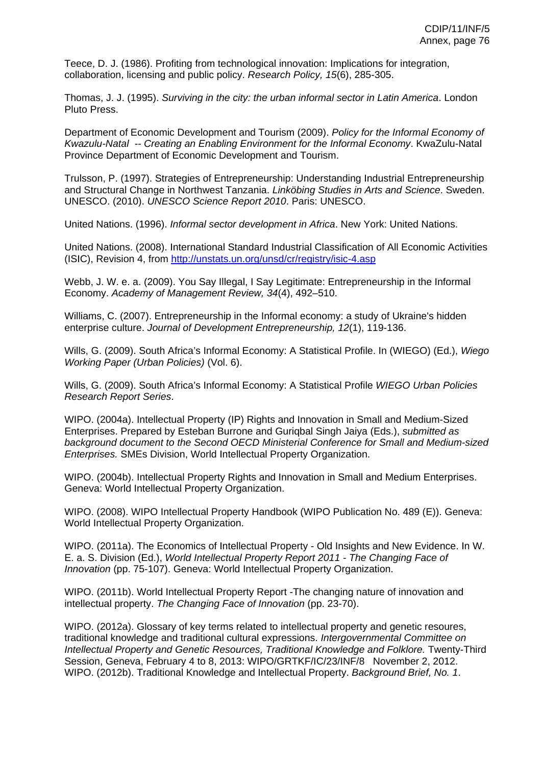Teece, D. J. (1986). Profiting from technological innovation: Implications for integration, collaboration, licensing and public policy. *Research Policy, 15*(6), 285-305.

Thomas, J. J. (1995). *Surviving in the city: the urban informal sector in Latin America*. London Pluto Press.

Department of Economic Development and Tourism (2009). *Policy for the Informal Economy of Kwazulu-Natal -- Creating an Enabling Environment for the Informal Economy*. KwaZulu-Natal Province Department of Economic Development and Tourism.

Trulsson, P. (1997). Strategies of Entrepreneurship: Understanding Industrial Entrepreneurship and Structural Change in Northwest Tanzania. *Linköbing Studies in Arts and Science*. Sweden. UNESCO. (2010). *UNESCO Science Report 2010*. Paris: UNESCO.

United Nations. (1996). *Informal sector development in Africa*. New York: United Nations.

United Nations. (2008). International Standard Industrial Classification of All Economic Activities (ISIC), Revision 4, from http://unstats.un.org/unsd/cr/registry/isic-4.asp

Webb, J. W. e. a. (2009). You Say Illegal, I Say Legitimate: Entrepreneurship in the Informal Economy. *Academy of Management Review, 34*(4), 492–510.

Williams, C. (2007). Entrepreneurship in the Informal economy: a study of Ukraine's hidden enterprise culture. *Journal of Development Entrepreneurship, 12*(1), 119-136.

Wills, G. (2009). South Africa's Informal Economy: A Statistical Profile. In (WIEGO) (Ed.), *Wiego Working Paper (Urban Policies)* (Vol. 6).

Wills, G. (2009). South Africa's Informal Economy: A Statistical Profile *WIEGO Urban Policies Research Report Series*.

WIPO. (2004a). Intellectual Property (IP) Rights and Innovation in Small and Medium-Sized Enterprises. Prepared by Esteban Burrone and Guriqbal Singh Jaiya (Eds.), *submitted as background document to the Second OECD Ministerial Conference for Small and Medium-sized Enterprises.* SMEs Division, World Intellectual Property Organization.

WIPO. (2004b). Intellectual Property Rights and Innovation in Small and Medium Enterprises. Geneva: World Intellectual Property Organization.

WIPO. (2008). WIPO Intellectual Property Handbook (WIPO Publication No. 489 (E)). Geneva: World Intellectual Property Organization.

WIPO. (2011a). The Economics of Intellectual Property - Old Insights and New Evidence. In W. E. a. S. Division (Ed.), *World Intellectual Property Report 2011 - The Changing Face of Innovation* (pp. 75-107). Geneva: World Intellectual Property Organization.

WIPO. (2011b). World Intellectual Property Report -The changing nature of innovation and intellectual property. *The Changing Face of Innovation* (pp. 23-70).

WIPO. (2012a). Glossary of key terms related to intellectual property and genetic resoures, traditional knowledge and traditional cultural expressions. *Intergovernmental Committee on Intellectual Property and Genetic Resources, Traditional Knowledge and Folklore.* Twenty-Third Session, Geneva, February 4 to 8, 2013: WIPO/GRTKF/IC/23/INF/8 November 2, 2012. WIPO. (2012b). Traditional Knowledge and Intellectual Property. *Background Brief, No. 1*.